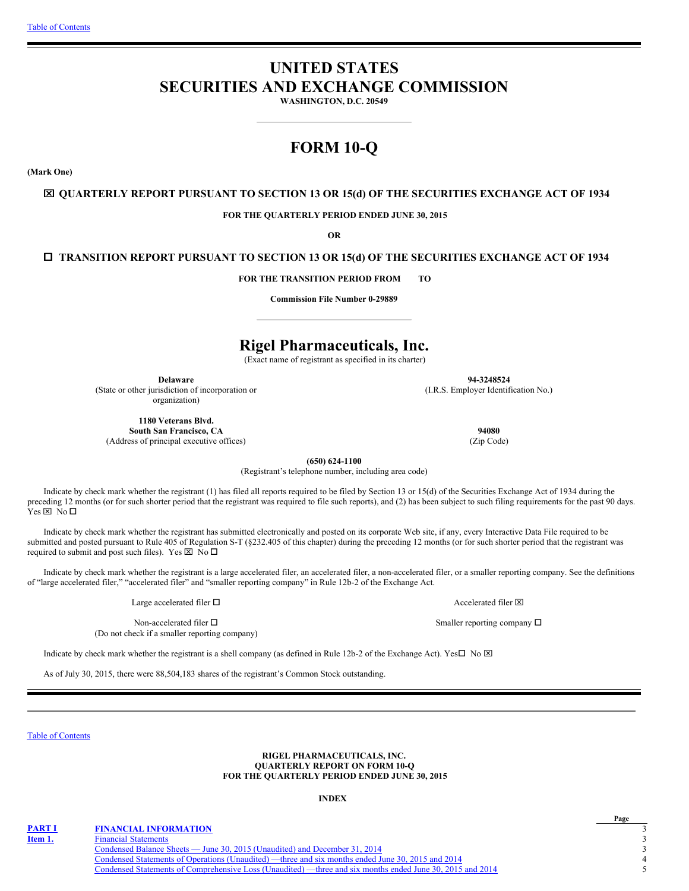# **UNITED STATES SECURITIES AND EXCHANGE COMMISSION**

**WASHINGTON, D.C. 20549**

# **FORM 10-Q**

**(Mark One)**

# x **QUARTERLY REPORT PURSUANT TO SECTION 13 OR 15(d) OF THE SECURITIES EXCHANGE ACT OF 1934**

**FOR THE QUARTERLY PERIOD ENDED JUNE 30, 2015**

**OR**

# o **TRANSITION REPORT PURSUANT TO SECTION 13 OR 15(d) OF THE SECURITIES EXCHANGE ACT OF 1934**

**FOR THE TRANSITION PERIOD FROM TO**

**Commission File Number 0-29889**

# **Rigel Pharmaceuticals, Inc.**

(Exact name of registrant as specified in its charter)

**Delaware 94-3248524** (State or other jurisdiction of incorporation or (I.R.S. Employer Identification No.)

organization)

**1180 Veterans Blvd. South San Francisco, CA 94080**

(Address of principal executive offices) (Zip Code)

**(650) 624-1100**

(Registrant's telephone number, including area code)

Indicate by check mark whether the registrant (1) has filed all reports required to be filed by Section 13 or 15(d) of the Securities Exchange Act of 1934 during the preceding 12 months (or for such shorter period that the registrant was required to file such reports), and (2) has been subject to such filing requirements for the past 90 days.  $Yes \boxtimes No \Box$ 

Indicate by check mark whether the registrant has submitted electronically and posted on its corporate Web site, if any, every Interactive Data File required to be submitted and posted pursuant to Rule 405 of Regulation S-T (§232.405 of this chapter) during the preceding 12 months (or for such shorter period that the registrant was required to submit and post such files). Yes  $\boxtimes$  No  $\square$ 

Indicate by check mark whether the registrant is a large accelerated filer, an accelerated filer, a non-accelerated filer, or a smaller reporting company. See the definitions of "large accelerated filer," "accelerated filer" and "smaller reporting company" in Rule 12b-2 of the Exchange Act.

Large accelerated filer  $\Box$  Accelerated filer  $\boxtimes$ 

Non-accelerated filer  $\square$  Smaller reporting company  $\square$ (Do not check if a smaller reporting company)

Indicate by check mark whether the registrant is a shell company (as defined in Rule 12b-2 of the Exchange Act). Yes $\square$  No  $\boxtimes$ 

As of July 30, 2015, there were 88,504,183 shares of the registrant's Common Stock outstanding.

Table of [Contents](#page-0-0)

### **RIGEL PHARMACEUTICALS, INC. QUARTERLY REPORT ON FORM 10-Q FOR THE QUARTERLY PERIOD ENDED JUNE 30, 2015**

<span id="page-0-0"></span>**INDEX**

**[PART](#page-1-0) 1 FINANCIAL [INFORMATION](#page-1-0)** 3<br> **Item 1.** Financial Statements 3 **<u>[Item](#page-1-1) 1.</u>** Financial [Statements](#page-1-1) 3<br> **1.1.** Condensed Balance Sheets — June 30, 2015 (Unaudited) and December 31, 2014 Condensed Balance Sheets — June 30, 2015 [\(Unaudited\)](#page-1-2) and December 31, 2014<br>Condensed Statements of Operations (Unaudited) —three and six months ended June 30, 2015 and 2014 4 Condensed Statements of Operations [\(Unaudited\)](#page-1-3) —three and six months ended June 30, 2015 and 2014 Condensed Statements of [Comprehensive](#page-2-0) Loss (Unaudited) —three and six months ended June 30, 2015 and 2014 5

**Page**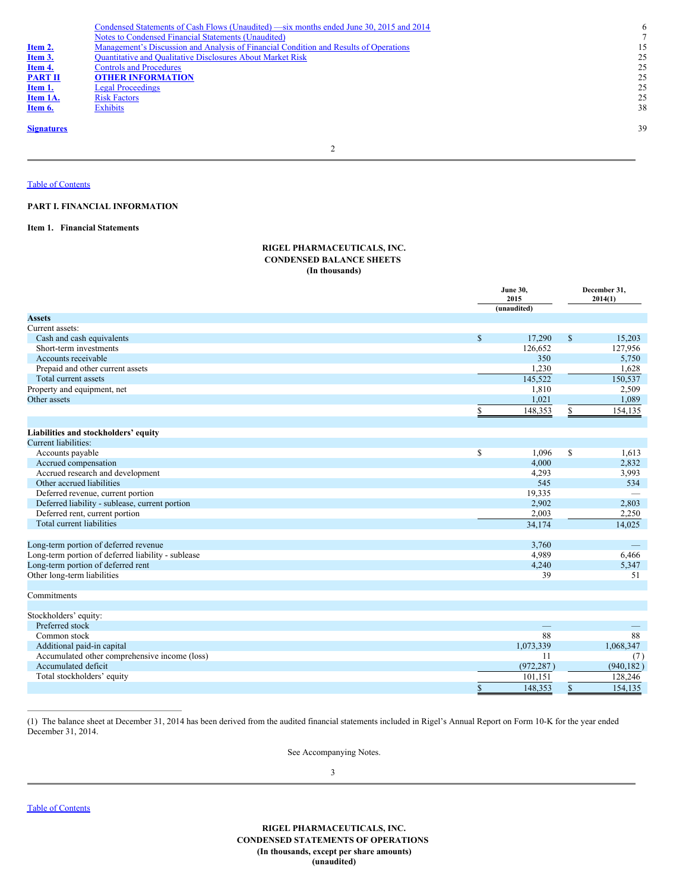|                | Condensed Statements of Cash Flows (Unaudited) —six months ended June 30, 2015 and 2014 |    |
|----------------|-----------------------------------------------------------------------------------------|----|
|                | Notes to Condensed Financial Statements (Unaudited)                                     |    |
| Item 2.        | Management's Discussion and Analysis of Financial Condition and Results of Operations   | 15 |
| Item 3.        | <b>Quantitative and Qualitative Disclosures About Market Risk</b>                       | 25 |
| Item 4.        | <b>Controls and Procedures</b>                                                          | 25 |
| <b>PART II</b> | <b>OTHER INFORMATION</b>                                                                | 25 |
| Item 1.        | <b>Legal Proceedings</b>                                                                | 25 |
| Item 1A.       | <b>Risk Factors</b>                                                                     | 25 |
| Item 6.        | <b>Exhibits</b>                                                                         | 38 |

**[Signatures](#page-23-0)** 39

<span id="page-1-2"></span>2

# Table of [Contents](#page-0-0)

# **PART I. FINANCIAL INFORMATION**

# <span id="page-1-1"></span>**Item 1. Financial Statements**

# <span id="page-1-0"></span>**RIGEL PHARMACEUTICALS, INC. CONDENSED BALANCE SHEETS (In thousands)**

|                                                    |              | <b>June 30,</b><br>2015 |    | December 31,<br>2014(1)  |
|----------------------------------------------------|--------------|-------------------------|----|--------------------------|
|                                                    |              | (unaudited)             |    |                          |
| <b>Assets</b>                                      |              |                         |    |                          |
| Current assets:                                    |              |                         |    |                          |
| Cash and cash equivalents                          | $\mathbb{S}$ | 17,290                  | \$ | 15,203                   |
| Short-term investments                             |              | 126,652                 |    | 127,956                  |
| Accounts receivable                                |              | 350                     |    | 5,750                    |
| Prepaid and other current assets                   |              | 1,230                   |    | 1,628                    |
| Total current assets                               |              | 145,522                 |    | 150,537                  |
| Property and equipment, net                        |              | 1,810                   |    | 2,509                    |
| Other assets                                       |              | 1,021                   |    | 1,089                    |
|                                                    | \$           | 148,353                 | \$ | 154,135                  |
| Liabilities and stockholders' equity               |              |                         |    |                          |
| <b>Current liabilities:</b>                        |              |                         |    |                          |
| Accounts payable                                   | $\mathbb{S}$ | 1,096                   | \$ | 1,613                    |
| Accrued compensation                               |              | 4,000                   |    | 2,832                    |
| Accrued research and development                   |              | 4,293                   |    | 3,993                    |
| Other accrued liabilities                          |              | 545                     |    | 534                      |
| Deferred revenue, current portion                  |              | 19,335                  |    | $\overline{\phantom{0}}$ |
| Deferred liability - sublease, current portion     |              | 2,902                   |    | 2,803                    |
| Deferred rent, current portion                     |              | 2,003                   |    | 2,250                    |
| Total current liabilities                          |              | 34,174                  |    | 14,025                   |
|                                                    |              |                         |    |                          |
| Long-term portion of deferred revenue              |              | 3,760                   |    |                          |
| Long-term portion of deferred liability - sublease |              | 4,989                   |    | 6,466                    |
| Long-term portion of deferred rent                 |              | 4,240                   |    | 5,347                    |
| Other long-term liabilities                        |              | 39                      |    | 51                       |
| Commitments                                        |              |                         |    |                          |
|                                                    |              |                         |    |                          |
| Stockholders' equity:                              |              |                         |    |                          |
| Preferred stock                                    |              |                         |    |                          |
| Common stock                                       |              | 88                      |    | 88                       |
| Additional paid-in capital                         |              | 1,073,339               |    | 1,068,347                |
| Accumulated other comprehensive income (loss)      |              | 11                      |    | (7)                      |
| Accumulated deficit                                |              | (972, 287)              |    | (940, 182)               |
| Total stockholders' equity                         |              | 101,151                 |    | 128,246                  |
|                                                    | $\mathbb{S}$ | 148,353                 | \$ | 154,135                  |

(1) The balance sheet at December 31, 2014 has been derived from the audited financial statements included in Rigel's Annual Report on Form 10-K for the year ended December 31, 2014.

See Accompanying Notes.

<span id="page-1-3"></span>3

# **RIGEL PHARMACEUTICALS, INC. CONDENSED STATEMENTS OF OPERATIONS (In thousands, except per share amounts) (unaudited)**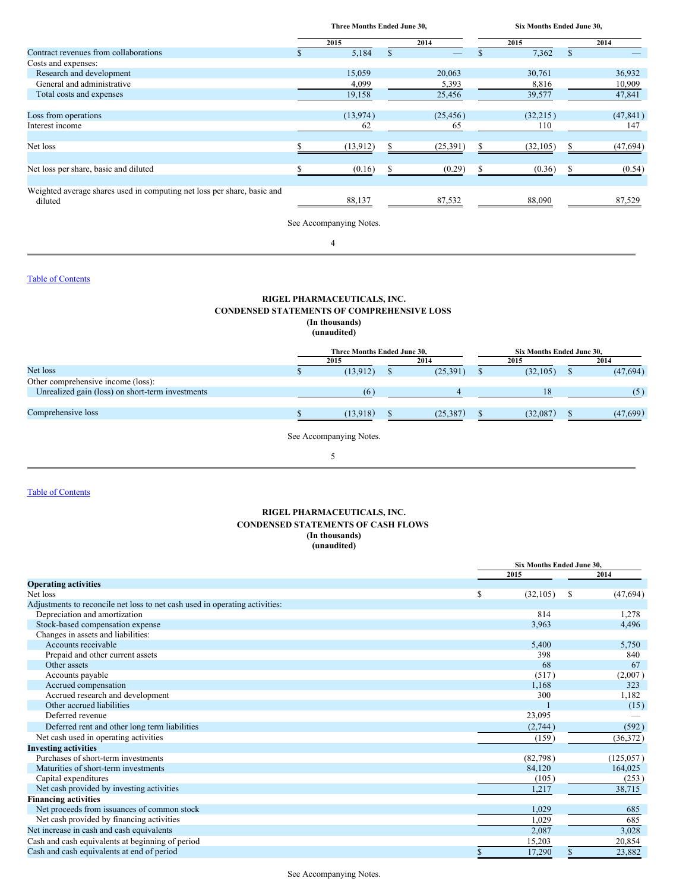|                                                                                    | Three Months Ended June 30, |                         |              | Six Months Ended June 30, |  |           |    |           |
|------------------------------------------------------------------------------------|-----------------------------|-------------------------|--------------|---------------------------|--|-----------|----|-----------|
|                                                                                    |                             | 2015                    |              | 2014                      |  | 2015      |    | 2014      |
| Contract revenues from collaborations                                              |                             | 5,184                   | $\mathbb{S}$ |                           |  | 7,362     | \$ |           |
| Costs and expenses:                                                                |                             |                         |              |                           |  |           |    |           |
| Research and development                                                           |                             | 15,059                  |              | 20,063                    |  | 30,761    |    | 36,932    |
| General and administrative                                                         |                             | 4,099                   |              | 5,393                     |  | 8,816     |    | 10,909    |
| Total costs and expenses                                                           |                             | 19,158                  |              | 25,456                    |  | 39,577    |    | 47,841    |
| Loss from operations                                                               |                             | (13,974)                |              | (25, 456)                 |  | (32,215)  |    | (47, 841) |
| Interest income                                                                    |                             | 62                      |              | 65                        |  | 110       |    | 147       |
| Net loss                                                                           |                             | (13, 912)               |              | (25, 391)                 |  | (32, 105) |    | (47, 694) |
| Net loss per share, basic and diluted                                              |                             | (0.16)                  |              | (0.29)                    |  | (0.36)    |    | (0.54)    |
| Weighted average shares used in computing net loss per share, basic and<br>diluted |                             | 88,137                  |              | 87,532                    |  | 88,090    |    | 87,529    |
|                                                                                    |                             | See Accompanying Notes. |              |                           |  |           |    |           |

<span id="page-2-0"></span>4

Table of [Contents](#page-0-0)

# **RIGEL PHARMACEUTICALS, INC. CONDENSED STATEMENTS OF COMPREHENSIVE LOSS (In thousands) (unaudited)**

|                                                  | Three Months Ended June 30. |           |  | Six Months Ended June 30, |  |           |  |           |
|--------------------------------------------------|-----------------------------|-----------|--|---------------------------|--|-----------|--|-----------|
|                                                  |                             | 2015      |  | 2014                      |  | 2015      |  | 2014      |
| Net loss                                         |                             | (13, 912) |  | (25, 391)                 |  | (32, 105) |  | (47, 694) |
| Other comprehensive income (loss):               |                             |           |  |                           |  |           |  |           |
| Unrealized gain (loss) on short-term investments |                             | (6)       |  |                           |  | 18        |  | (5)       |
| Comprehensive loss                               |                             | (13.918)  |  | (25.387)                  |  | (32.087)  |  | (47,699)  |
|                                                  |                             |           |  |                           |  |           |  |           |

See Accompanying Notes.

<span id="page-2-1"></span>5

Table of [Contents](#page-0-0)

# **RIGEL PHARMACEUTICALS, INC. CONDENSED STATEMENTS OF CASH FLOWS (In thousands) (unaudited)**

|                                                                             |      | <b>Six Months Ended June 30.</b> |            |  |
|-----------------------------------------------------------------------------|------|----------------------------------|------------|--|
|                                                                             | 2015 |                                  | 2014       |  |
| <b>Operating activities</b>                                                 |      |                                  |            |  |
| Net loss                                                                    | S    | (32, 105)<br><sup>\$</sup>       | (47, 694)  |  |
| Adjustments to reconcile net loss to net cash used in operating activities: |      |                                  |            |  |
| Depreciation and amortization                                               |      | 814                              | 1,278      |  |
| Stock-based compensation expense                                            |      | 3,963                            | 4,496      |  |
| Changes in assets and liabilities:                                          |      |                                  |            |  |
| Accounts receivable                                                         |      | 5,400                            | 5,750      |  |
| Prepaid and other current assets                                            |      | 398                              | 840        |  |
| Other assets                                                                |      | 68                               | 67         |  |
| Accounts payable                                                            |      | (517)                            | (2,007)    |  |
| Accrued compensation                                                        |      | 1,168                            | 323        |  |
| Accrued research and development                                            |      | 300                              | 1,182      |  |
| Other accrued liabilities                                                   |      |                                  | (15)       |  |
| Deferred revenue                                                            |      | 23,095                           |            |  |
| Deferred rent and other long term liabilities                               |      | (2,744)                          | (592)      |  |
| Net cash used in operating activities                                       |      | (159)                            | (36,372)   |  |
| <b>Investing activities</b>                                                 |      |                                  |            |  |
| Purchases of short-term investments                                         |      | (82,798)                         | (125, 057) |  |
| Maturities of short-term investments                                        |      | 84.120                           | 164,025    |  |
| Capital expenditures                                                        |      | (105)                            | (253)      |  |
| Net cash provided by investing activities                                   |      | 1.217                            | 38,715     |  |
| <b>Financing activities</b>                                                 |      |                                  |            |  |
| Net proceeds from issuances of common stock                                 |      | 1,029                            | 685        |  |
| Net cash provided by financing activities                                   |      | 1,029                            | 685        |  |
| Net increase in cash and cash equivalents                                   |      | 2,087                            | 3,028      |  |
| Cash and cash equivalents at beginning of period                            |      | 15,203                           | 20,854     |  |
| Cash and cash equivalents at end of period                                  | \$   | 17,290<br>$\mathbb{S}$           | 23.882     |  |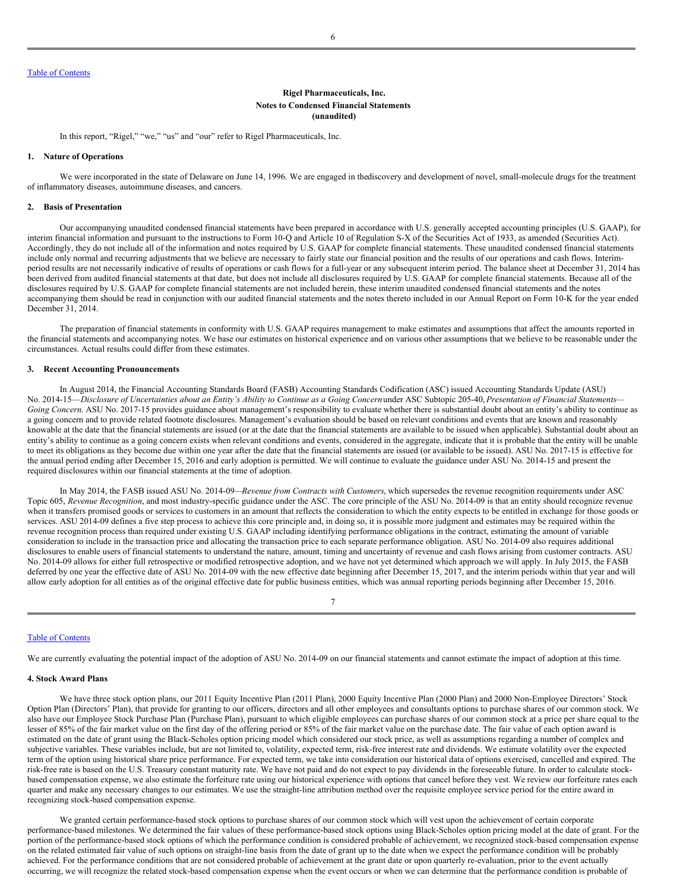# <span id="page-3-0"></span>**Rigel Pharmaceuticals, Inc. Notes to Condensed Financial Statements (unaudited)**

In this report, "Rigel," "we," "us" and "our" refer to Rigel Pharmaceuticals, Inc.

#### **1. Nature of Operations**

We were incorporated in the state of Delaware on June 14, 1996. We are engaged in thediscovery and development of novel, small-molecule drugs for the treatment of inflammatory diseases, autoimmune diseases, and cancers.

#### **2. Basis of Presentation**

Our accompanying unaudited condensed financial statements have been prepared in accordance with U.S. generally accepted accounting principles (U.S. GAAP), for interim financial information and pursuant to the instructions to Form 10-Q and Article 10 of Regulation S-X of the Securities Act of 1933, as amended (Securities Act). Accordingly, they do not include all of the information and notes required by U.S. GAAP for complete financial statements. These unaudited condensed financial statements include only normal and recurring adjustments that we believe are necessary to fairly state our financial position and the results of our operations and cash flows. Interimperiod results are not necessarily indicative of results of operations or cash flows for a full-year or any subsequent interim period. The balance sheet at December 31, 2014 has been derived from audited financial statements at that date, but does not include all disclosures required by U.S. GAAP for complete financial statements. Because all of the disclosures required by U.S. GAAP for complete financial statements are not included herein, these interim unaudited condensed financial statements and the notes accompanying them should be read in conjunction with our audited financial statements and the notes thereto included in our Annual Report on Form 10-K for the year ended December 31, 2014.

The preparation of financial statements in conformity with U.S. GAAP requires management to make estimates and assumptions that affect the amounts reported in the financial statements and accompanying notes. We base our estimates on historical experience and on various other assumptions that we believe to be reasonable under the circumstances. Actual results could differ from these estimates.

# **3. Recent Accounting Pronouncements**

In August 2014, the Financial Accounting Standards Board (FASB) Accounting Standards Codification (ASC) issued Accounting Standards Update (ASU) No. 2014-15-Disclosure of Uncertainties about an Entity's Ability to Continue as a Going Concernunder ASC Subtopic 205-40, Presentation of Financial Statements-*Going Concern*. ASU No. 2017-15 provides guidance about management's responsibility to evaluate whether there is substantial doubt about an entity's ability to continue as a going concern and to provide related footnote disclosures. Management's evaluation should be based on relevant conditions and events that are known and reasonably knowable at the date that the financial statements are issued (or at the date that the financial statements are available to be issued when applicable). Substantial doubt about an entity's ability to continue as a going concern exists when relevant conditions and events, considered in the aggregate, indicate that it is probable that the entity will be unable to meet its obligations as they become due within one year after the date that the financial statements are issued (or available to be issued). ASU No. 2017-15 is effective for the annual period ending after December 15, 2016 and early adoption is permitted. We will continue to evaluate the guidance under ASU No. 2014-15 and present the required disclosures within our financial statements at the time of adoption.

In May 2014, the FASB issued ASU No. 2014-09—*Revenue from Contracts with Customers*, which supersedes the revenue recognition requirements under ASC Topic 605, *Revenue Recognition*, and most industry-specific guidance under the ASC. The core principle of the ASU No. 2014-09 is that an entity should recognize revenue when it transfers promised goods or services to customers in an amount that reflects the consideration to which the entity expects to be entitled in exchange for those goods or services. ASU 2014-09 defines a five step process to achieve this core principle and, in doing so, it is possible more judgment and estimates may be required within the revenue recognition process than required under existing U.S. GAAP including identifying performance obligations in the contract, estimating the amount of variable consideration to include in the transaction price and allocating the transaction price to each separate performance obligation. ASU No. 2014-09 also requires additional disclosures to enable users of financial statements to understand the nature, amount, timing and uncertainty of revenue and cash flows arising from customer contracts. ASU No. 2014-09 allows for either full retrospective or modified retrospective adoption, and we have not yet determined which approach we will apply. In July 2015, the FASB deferred by one year the effective date of ASU No. 2014-09 with the new effective date beginning after December 15, 2017, and the interim periods within that year and will allow early adoption for all entities as of the original effective date for public business entities, which was annual reporting periods beginning after December 15, 2016.

# 7

# Table of [Contents](#page-0-0)

We are currently evaluating the potential impact of the adoption of ASU No. 2014-09 on our financial statements and cannot estimate the impact of adoption at this time.

# **4. Stock Award Plans**

We have three stock option plans, our 2011 Equity Incentive Plan (2011 Plan), 2000 Equity Incentive Plan (2000 Plan) and 2000 Non-Employee Directors' Stock Option Plan (Directors' Plan), that provide for granting to our officers, directors and all other employees and consultants options to purchase shares of our common stock. We also have our Employee Stock Purchase Plan (Purchase Plan), pursuant to which eligible employees can purchase shares of our common stock at a price per share equal to the lesser of 85% of the fair market value on the first day of the offering period or 85% of the fair market value on the purchase date. The fair value of each option award is estimated on the date of grant using the Black-Scholes option pricing model which considered our stock price, as well as assumptions regarding a number of complex and subjective variables. These variables include, but are not limited to, volatility, expected term, risk-free interest rate and dividends. We estimate volatility over the expected term of the option using historical share price performance. For expected term, we take into consideration our historical data of options exercised, cancelled and expired. The risk-free rate is based on the U.S. Treasury constant maturity rate. We have not paid and do not expect to pay dividends in the foreseeable future. In order to calculate stockbased compensation expense, we also estimate the forfeiture rate using our historical experience with options that cancel before they vest. We review our forfeiture rates each quarter and make any necessary changes to our estimates. We use the straight-line attribution method over the requisite employee service period for the entire award in recognizing stock-based compensation expense.

We granted certain performance-based stock options to purchase shares of our common stock which will vest upon the achievement of certain corporate performance-based milestones. We determined the fair values of these performance-based stock options using Black-Scholes option pricing model at the date of grant. For the portion of the performance-based stock options of which the performance condition is considered probable of achievement, we recognized stock-based compensation expense on the related estimated fair value of such options on straight-line basis from the date of grant up to the date when we expect the performance condition will be probably achieved. For the performance conditions that are not considered probable of achievement at the grant date or upon quarterly re-evaluation, prior to the event actually occurring, we will recognize the related stock-based compensation expense when the event occurs or when we can determine that the performance condition is probable of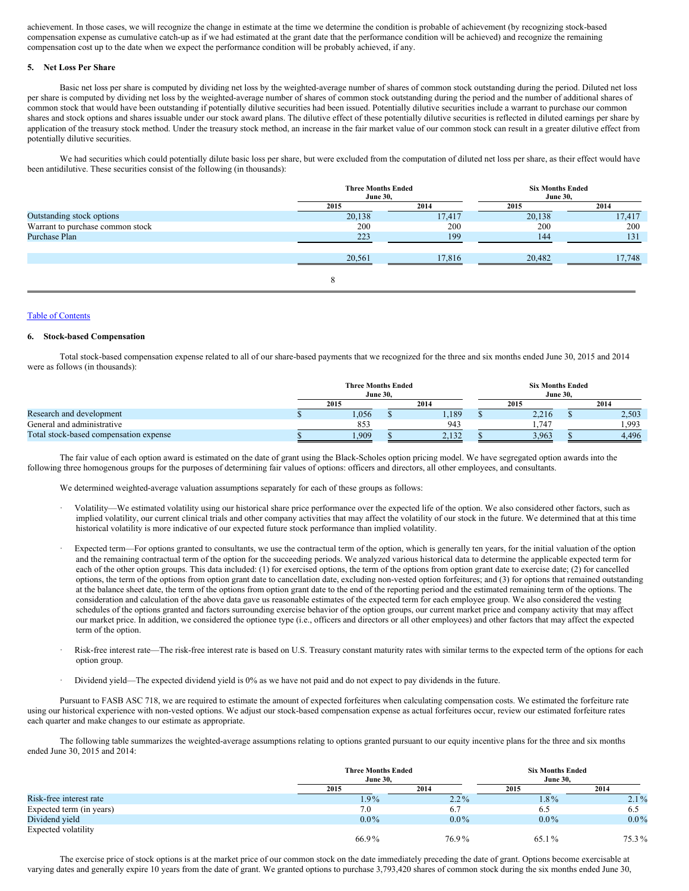achievement. In those cases, we will recognize the change in estimate at the time we determine the condition is probable of achievement (by recognizing stock-based compensation expense as cumulative catch-up as if we had estimated at the grant date that the performance condition will be achieved) and recognize the remaining compensation cost up to the date when we expect the performance condition will be probably achieved, if any.

# **5. Net Loss Per Share**

Basic net loss per share is computed by dividing net loss by the weighted-average number of shares of common stock outstanding during the period. Diluted net loss per share is computed by dividing net loss by the weighted-average number of shares of common stock outstanding during the period and the number of additional shares of common stock that would have been outstanding if potentially dilutive securities had been issued. Potentially dilutive securities include a warrant to purchase our common shares and stock options and shares issuable under our stock award plans. The dilutive effect of these potentially dilutive securities is reflected in diluted earnings per share by application of the treasury stock method. Under the treasury stock method, an increase in the fair market value of our common stock can result in a greater dilutive effect from potentially dilutive securities.

We had securities which could potentially dilute basic loss per share, but were excluded from the computation of diluted net loss per share, as their effect would have been antidilutive. These securities consist of the following (in thousands):

|                                  | <b>Three Months Ended</b><br><b>June 30,</b> |        | <b>Six Months Ended</b><br><b>June 30,</b> |        |  |  |
|----------------------------------|----------------------------------------------|--------|--------------------------------------------|--------|--|--|
|                                  | 2015                                         | 2014   | 2015                                       | 2014   |  |  |
| Outstanding stock options        | 20,138                                       | 17,417 | 20,138                                     | 17,417 |  |  |
| Warrant to purchase common stock | 200                                          | 200    | 200                                        | 200    |  |  |
| Purchase Plan                    | 223                                          | 199    | 144                                        | 131    |  |  |
|                                  |                                              |        |                                            |        |  |  |
|                                  | 20,561                                       | 17.816 | 20,482                                     | 17.748 |  |  |
|                                  |                                              |        |                                            |        |  |  |
|                                  |                                              |        |                                            |        |  |  |

### Table of [Contents](#page-0-0)

### **6. Stock-based Compensation**

Total stock-based compensation expense related to all of our share-based payments that we recognized for the three and six months ended June 30, 2015 and 2014 were as follows (in thousands):

|                                        | <b>Three Months Ended</b><br><b>June 30.</b> |      |  | <b>Six Months Ended</b><br><b>June 30.</b> |  |       |  |       |
|----------------------------------------|----------------------------------------------|------|--|--------------------------------------------|--|-------|--|-------|
|                                        | 2015                                         |      |  | 2014                                       |  | 2015  |  | 2014  |
| Research and development               |                                              | .056 |  | .189                                       |  | 2,216 |  | 2,503 |
| General and administrative             |                                              | 853  |  | 943                                        |  | 1.747 |  | .993  |
| Total stock-based compensation expense |                                              | .909 |  | 2.132                                      |  | 3.963 |  | 4.496 |

The fair value of each option award is estimated on the date of grant using the Black-Scholes option pricing model. We have segregated option awards into the following three homogenous groups for the purposes of determining fair values of options: officers and directors, all other employees, and consultants.

We determined weighted-average valuation assumptions separately for each of these groups as follows:

- · Volatility—We estimated volatility using our historical share price performance over the expected life of the option. We also considered other factors, such as implied volatility, our current clinical trials and other company activities that may affect the volatility of our stock in the future. We determined that at this time historical volatility is more indicative of our expected future stock performance than implied volatility.
- Expected term—For options granted to consultants, we use the contractual term of the option, which is generally ten years, for the initial valuation of the option and the remaining contractual term of the option for the succeeding periods. We analyzed various historical data to determine the applicable expected term for each of the other option groups. This data included: (1) for exercised options, the term of the options from option grant date to exercise date; (2) for cancelled options, the term of the options from option grant date to cancellation date, excluding non-vested option forfeitures; and (3) for options that remained outstanding at the balance sheet date, the term of the options from option grant date to the end of the reporting period and the estimated remaining term of the options. The consideration and calculation of the above data gave us reasonable estimates of the expected term for each employee group. We also considered the vesting schedules of the options granted and factors surrounding exercise behavior of the option groups, our current market price and company activity that may affect our market price. In addition, we considered the optionee type (i.e., officers and directors or all other employees) and other factors that may affect the expected term of the option.
- Risk-free interest rate—The risk-free interest rate is based on U.S. Treasury constant maturity rates with similar terms to the expected term of the options for each option group.
- Dividend yield—The expected dividend yield is 0% as we have not paid and do not expect to pay dividends in the future.

Pursuant to FASB ASC 718, we are required to estimate the amount of expected forfeitures when calculating compensation costs. We estimated the forfeiture rate using our historical experience with non-vested options. We adjust our stock-based compensation expense as actual forfeitures occur, review our estimated forfeiture rates each quarter and make changes to our estimate as appropriate.

The following table summarizes the weighted-average assumptions relating to options granted pursuant to our equity incentive plans for the three and six months ended June 30, 2015 and 2014:

|                          | <b>Three Months Ended</b><br><b>June 30.</b> |         | <b>Six Months Ended</b><br><b>June 30.</b> |         |  |
|--------------------------|----------------------------------------------|---------|--------------------------------------------|---------|--|
|                          | 2015                                         | 2014    | 2015                                       | 2014    |  |
| Risk-free interest rate  | $1.9\%$                                      | $2.2\%$ | $1.8\%$                                    | $2.1\%$ |  |
| Expected term (in years) | 7.0                                          | 6.7     | 6.5                                        | 6.5     |  |
| Dividend yield           | $0.0\%$                                      | $0.0\%$ | $0.0\%$                                    | $0.0\%$ |  |
| Expected volatility      | 66.9%                                        | 76.9%   | 65.1%                                      | 75.3%   |  |

The exercise price of stock options is at the market price of our common stock on the date immediately preceding the date of grant. Options become exercisable at varying dates and generally expire 10 years from the date of grant. We granted options to purchase 3,793,420 shares of common stock during the six months ended June 30,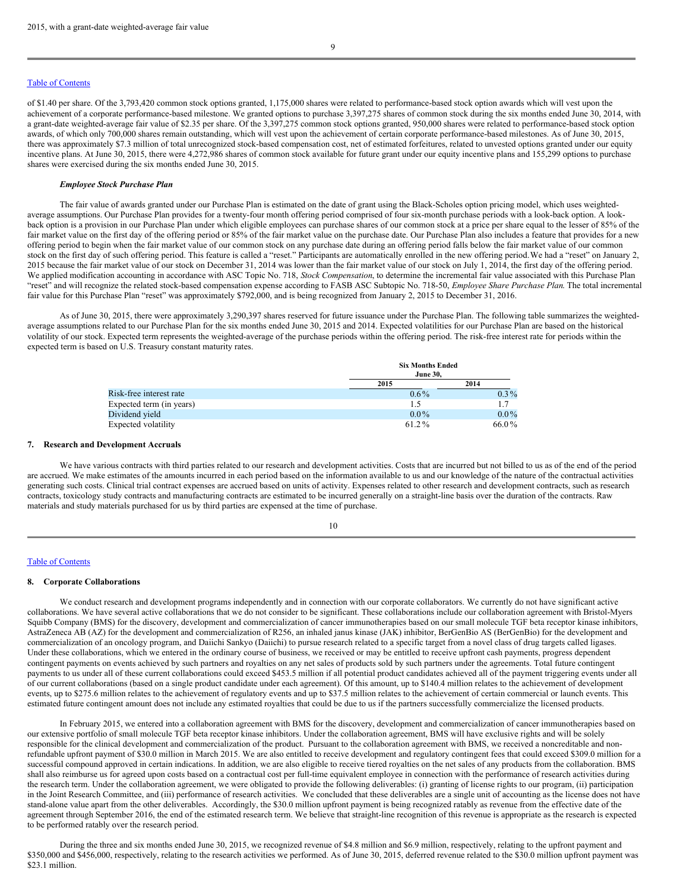### Table of [Contents](#page-0-0)

9

of \$1.40 per share. Of the 3,793,420 common stock options granted, 1,175,000 shares were related to performance-based stock option awards which will vest upon the achievement of a corporate performance-based milestone. We granted options to purchase 3,397,275 shares of common stock during the six months ended June 30, 2014, with a grant-date weighted-average fair value of \$2.35 per share. Of the 3,397,275 common stock options granted, 950,000 shares were related to performance-based stock option awards, of which only 700,000 shares remain outstanding, which will vest upon the achievement of certain corporate performance-based milestones. As of June 30, 2015, there was approximately \$7.3 million of total unrecognized stock-based compensation cost, net of estimated forfeitures, related to unvested options granted under our equity incentive plans. At June 30, 2015, there were 4,272,986 shares of common stock available for future grant under our equity incentive plans and 155,299 options to purchase shares were exercised during the six months ended June 30, 2015.

### *Employee Stock Purchase Plan*

The fair value of awards granted under our Purchase Plan is estimated on the date of grant using the Black-Scholes option pricing model, which uses weightedaverage assumptions. Our Purchase Plan provides for a twenty-four month offering period comprised of four six-month purchase periods with a look-back option. A lookback option is a provision in our Purchase Plan under which eligible employees can purchase shares of our common stock at a price per share equal to the lesser of 85% of the fair market value on the first day of the offering period or 85% of the fair market value on the purchase date. Our Purchase Plan also includes a feature that provides for a new offering period to begin when the fair market value of our common stock on any purchase date during an offering period falls below the fair market value of our common stock on the first day of such offering period. This feature is called a "reset." Participants are automatically enrolled in the new offering period.We had a "reset" on January 2, 2015 because the fair market value of our stock on December 31, 2014 was lower than the fair market value of our stock on July 1, 2014, the first day of the offering period. We applied modification accounting in accordance with ASC Topic No. 718, *Stock Compensation*, to determine the incremental fair value associated with this Purchase Plan "reset" and will recognize the related stock-based compensation expense according to FASB ASC Subtopic No. 718-50, *Employee Share Purchase Plan*. The total incremental fair value for this Purchase Plan "reset" was approximately \$792,000, and is being recognized from January 2, 2015 to December 31, 2016.

As of June 30, 2015, there were approximately 3,290,397 shares reserved for future issuance under the Purchase Plan. The following table summarizes the weightedaverage assumptions related to our Purchase Plan for the six months ended June 30, 2015 and 2014. Expected volatilities for our Purchase Plan are based on the historical volatility of our stock. Expected term represents the weighted-average of the purchase periods within the offering period. The risk-free interest rate for periods within the expected term is based on U.S. Treasury constant maturity rates.

|                          | <b>June 30.</b> | <b>Six Months Ended</b> |  |  |  |  |
|--------------------------|-----------------|-------------------------|--|--|--|--|
|                          | 2015            | 2014                    |  |  |  |  |
| Risk-free interest rate  | $0.6\%$         | $0.3\%$                 |  |  |  |  |
| Expected term (in years) | 1.5             | 1.7                     |  |  |  |  |
| Dividend yield           | $0.0\%$         | $0.0\%$                 |  |  |  |  |
| Expected volatility      | 61.2%           | 66.0%                   |  |  |  |  |

### **7. Research and Development Accruals**

We have various contracts with third parties related to our research and development activities. Costs that are incurred but not billed to us as of the end of the period are accrued. We make estimates of the amounts incurred in each period based on the information available to us and our knowledge of the nature of the contractual activities generating such costs. Clinical trial contract expenses are accrued based on units of activity. Expenses related to other research and development contracts, such as research contracts, toxicology study contracts and manufacturing contracts are estimated to be incurred generally on a straight-line basis over the duration of the contracts. Raw materials and study materials purchased for us by third parties are expensed at the time of purchase.

# 10

# Table of [Contents](#page-0-0)

### **8. Corporate Collaborations**

We conduct research and development programs independently and in connection with our corporate collaborators. We currently do not have significant active collaborations. We have several active collaborations that we do not consider to be significant. These collaborations include our collaboration agreement with Bristol-Myers Squibb Company (BMS) for the discovery, development and commercialization of cancer immunotherapies based on our small molecule TGF beta receptor kinase inhibitors, AstraZeneca AB (AZ) for the development and commercialization of R256, an inhaled janus kinase (JAK) inhibitor, BerGenBio AS (BerGenBio) for the development and commercialization of an oncology program, and Daiichi Sankyo (Daiichi) to pursue research related to a specific target from a novel class of drug targets called ligases. Under these collaborations, which we entered in the ordinary course of business, we received or may be entitled to receive upfront cash payments, progress dependent contingent payments on events achieved by such partners and royalties on any net sales of products sold by such partners under the agreements. Total future contingent payments to us under all of these current collaborations could exceed \$453.5 million if all potential product candidates achieved all of the payment triggering events under all of our current collaborations (based on a single product candidate under each agreement). Of this amount, up to \$140.4 million relates to the achievement of development events, up to \$275.6 million relates to the achievement of regulatory events and up to \$37.5 million relates to the achievement of certain commercial or launch events. This estimated future contingent amount does not include any estimated royalties that could be due to us if the partners successfully commercialize the licensed products.

In February 2015, we entered into a collaboration agreement with BMS for the discovery, development and commercialization of cancer immunotherapies based on our extensive portfolio of small molecule TGF beta receptor kinase inhibitors. Under the collaboration agreement, BMS will have exclusive rights and will be solely responsible for the clinical development and commercialization of the product. Pursuant to the collaboration agreement with BMS, we received a noncreditable and nonrefundable upfront payment of \$30.0 million in March 2015. We are also entitled to receive development and regulatory contingent fees that could exceed \$309.0 million for a successful compound approved in certain indications. In addition, we are also eligible to receive tiered royalties on the net sales of any products from the collaboration. BMS shall also reimburse us for agreed upon costs based on a contractual cost per full-time equivalent employee in connection with the performance of research activities during the research term. Under the collaboration agreement, we were obligated to provide the following deliverables: (i) granting of license rights to our program, (ii) participation in the Joint Research Committee, and (iii) performance of research activities. We concluded that these deliverables are a single unit of accounting as the license does not have stand-alone value apart from the other deliverables. Accordingly, the \$30.0 million upfront payment is being recognized ratably as revenue from the effective date of the agreement through September 2016, the end of the estimated research term. We believe that straight-line recognition of this revenue is appropriate as the research is expected to be performed ratably over the research period.

During the three and six months ended June 30, 2015, we recognized revenue of \$4.8 million and \$6.9 million, respectively, relating to the upfront payment and \$350,000 and \$456,000, respectively, relating to the research activities we performed. As of June 30, 2015, deferred revenue related to the \$30.0 million upfront payment was \$23.1 million.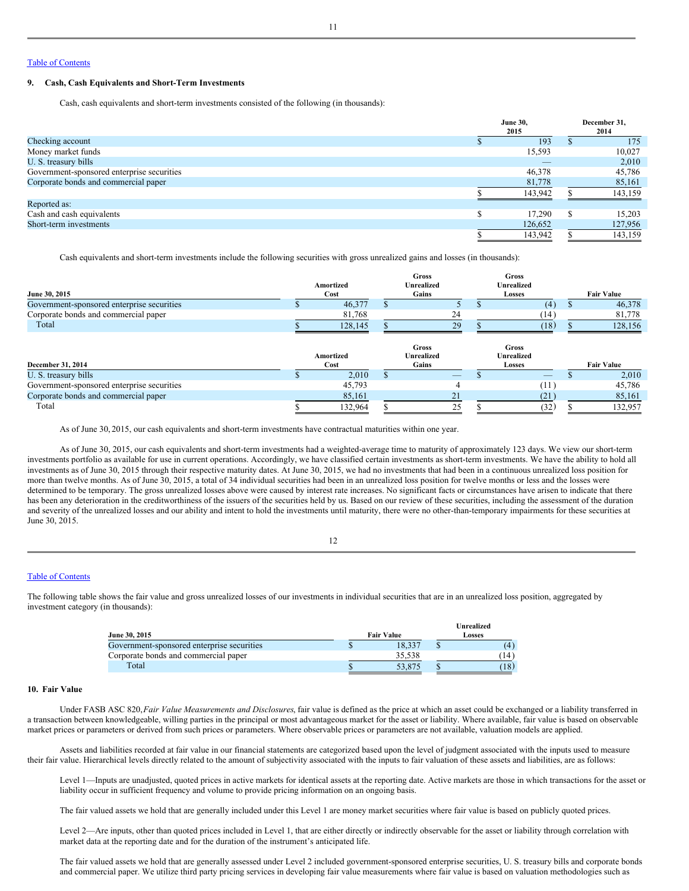11

# Table of [Contents](#page-0-0)

#### **9. Cash, Cash Equivalents and Short-Term Investments**

Cash, cash equivalents and short-term investments consisted of the following (in thousands):

|                                            |  | <b>June 30,</b><br>2015 | December 31,<br>2014 |         |
|--------------------------------------------|--|-------------------------|----------------------|---------|
| Checking account                           |  | 193                     |                      | 175     |
| Money market funds                         |  | 15,593                  |                      | 10,027  |
| U. S. treasury bills                       |  |                         |                      | 2,010   |
| Government-sponsored enterprise securities |  | 46,378                  |                      | 45,786  |
| Corporate bonds and commercial paper       |  | 81,778                  |                      | 85,161  |
|                                            |  | 143,942                 |                      | 143,159 |
| Reported as:                               |  |                         |                      |         |
| Cash and cash equivalents                  |  | 17,290                  | S                    | 15,203  |
| Short-term investments                     |  | 126,652                 |                      | 127,956 |
|                                            |  | 143,942                 |                      | 143,159 |

Cash equivalents and short-term investments include the following securities with gross unrealized gains and losses (in thousands):

| June 30, 2015                              | Amortized<br>Cost | <b>Gross</b><br>Unrealized<br>Gains | Gross<br><b>Unrealized</b><br><b>Losses</b> | <b>Fair Value</b> |
|--------------------------------------------|-------------------|-------------------------------------|---------------------------------------------|-------------------|
| Government-sponsored enterprise securities | 46,377            |                                     | (4)                                         | 46,378            |
| Corporate bonds and commercial paper       | 81,768            | 24                                  | (14)                                        | 81,778            |
| Total                                      | 128,145           | 29                                  | (18)                                        | 128,156           |
| December 31, 2014                          | Amortized<br>Cost | <b>Gross</b><br>Unrealized<br>Gains | Gross<br><b>Unrealized</b><br><b>Losses</b> | <b>Fair Value</b> |
| U. S. treasury bills                       | 2.010             | $-$                                 | _                                           | 2.010             |
| Government-sponsored enterprise securities | 45.793            | 4                                   | (11)                                        | 45,786            |
| Corporate bonds and commercial paper       | 85.161            | 21                                  | (21)                                        | 85,161            |

Total 5 132,964 \$ 132,964 \$ 25 \$ (32) \$ 132,957

As of June 30, 2015, our cash equivalents and short-term investments have contractual maturities within one year.

As of June 30, 2015, our cash equivalents and short-term investments had a weighted-average time to maturity of approximately 123 days. We view our short-term investments portfolio as available for use in current operations. Accordingly, we have classified certain investments as short-term investments. We have the ability to hold all investments as of June 30, 2015 through their respective maturity dates. At June 30, 2015, we had no investments that had been in a continuous unrealized loss position for more than twelve months. As of June 30, 2015, a total of 34 individual securities had been in an unrealized loss position for twelve months or less and the losses were determined to be temporary. The gross unrealized losses above were caused by interest rate increases. No significant facts or circumstances have arisen to indicate that there has been any deterioration in the creditworthiness of the issuers of the securities held by us. Based on our review of these securities, including the assessment of the duration and severity of the unrealized losses and our ability and intent to hold the investments until maturity, there were no other-than-temporary impairments for these securities at June 30, 2015.

#### 12

#### Table of [Contents](#page-0-0)

The following table shows the fair value and gross unrealized losses of our investments in individual securities that are in an unrealized loss position, aggregated by investment category (in thousands):

| June 30, 2015                              | <b>Fair Value</b> | Unrealized<br>Losses |
|--------------------------------------------|-------------------|----------------------|
| Government-sponsored enterprise securities | 18.337            |                      |
| Corporate bonds and commercial paper       | 35.538            | 14                   |
| Total                                      | 53.875            | 18)                  |

# **10. Fair Value**

Under FASB ASC 820,*Fair Value Measurements and Disclosures*, fair value is defined as the price at which an asset could be exchanged or a liability transferred in a transaction between knowledgeable, willing parties in the principal or most advantageous market for the asset or liability. Where available, fair value is based on observable market prices or parameters or derived from such prices or parameters. Where observable prices or parameters are not available, valuation models are applied.

Assets and liabilities recorded at fair value in our financial statements are categorized based upon the level of judgment associated with the inputs used to measure their fair value. Hierarchical levels directly related to the amount of subjectivity associated with the inputs to fair valuation of these assets and liabilities, are as follows:

Level 1—Inputs are unadjusted, quoted prices in active markets for identical assets at the reporting date. Active markets are those in which transactions for the asset or liability occur in sufficient frequency and volume to provide pricing information on an ongoing basis.

The fair valued assets we hold that are generally included under this Level 1 are money market securities where fair value is based on publicly quoted prices.

Level 2—Are inputs, other than quoted prices included in Level 1, that are either directly or indirectly observable for the asset or liability through correlation with market data at the reporting date and for the duration of the instrument's anticipated life.

The fair valued assets we hold that are generally assessed under Level 2 included government-sponsored enterprise securities, U. S. treasury bills and corporate bonds and commercial paper. We utilize third party pricing services in developing fair value measurements where fair value is based on valuation methodologies such as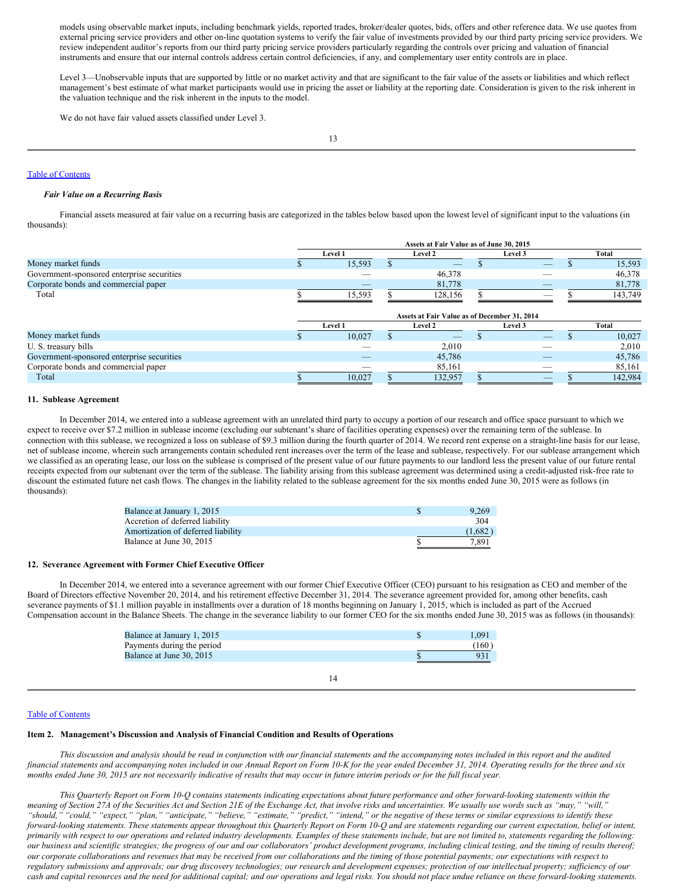models using observable market inputs, including benchmark yields, reported trades, broker/dealer quotes, bids, offers and other reference data. We use quotes from external pricing service providers and other on-line quotation systems to verify the fair value of investments provided by our third party pricing service providers. We review independent auditor's reports from our third party pricing service providers particularly regarding the controls over pricing and valuation of financial instruments and ensure that our internal controls address certain control deficiencies, if any, and complementary user entity controls are in place.

Level 3—Unobservable inputs that are supported by little or no market activity and that are significant to the fair value of the assets or liabilities and which reflect management's best estimate of what market participants would use in pricing the asset or liability at the reporting date. Consideration is given to the risk inherent in the valuation technique and the risk inherent in the inputs to the model.

We do not have fair valued assets classified under Level 3.

#### Table of [Contents](#page-0-0)

#### *Fair Value on a Recurring Basis*

Financial assets measured at fair value on a recurring basis are categorized in the tables below based upon the lowest level of significant input to the valuations (in thousands):

|                                            |         | Assets at Fair Value as of June 30, 2015     |                          |         |
|--------------------------------------------|---------|----------------------------------------------|--------------------------|---------|
|                                            | Level 1 | Level 2                                      | Level 3                  | Total   |
| Money market funds                         | 15,593  | _                                            | $-$                      | 15,593  |
| Government-sponsored enterprise securities |         | 46,378                                       |                          | 46,378  |
| Corporate bonds and commercial paper       |         | 81,778                                       |                          | 81,778  |
| Total                                      | 15,593  | 128,156                                      | $\sim$                   | 143,749 |
|                                            |         | Assets at Fair Value as of December 31, 2014 |                          |         |
|                                            | Level 1 | Level 2                                      | Level 3                  | Total   |
| Money market funds                         | 10.027  | _                                            | $\overline{\phantom{a}}$ | 10,027  |
| U. S. treasury bills                       |         | 2,010                                        |                          | 2,010   |
| Government-sponsored enterprise securities |         | 45,786                                       |                          | 45,786  |
| Corporate bonds and commercial paper       |         | 85,161                                       |                          | 85,161  |
| Total                                      | 10,027  | 132,957                                      |                          | 142,984 |

#### **11. Sublease Agreement**

In December 2014, we entered into a sublease agreement with an unrelated third party to occupy a portion of our research and office space pursuant to which we expect to receive over \$7.2 million in sublease income (excluding our subtenant's share of facilities operating expenses) over the remaining term of the sublease. In connection with this sublease, we recognized a loss on sublease of \$9.3 million during the fourth quarter of 2014. We record rent expense on a straight-line basis for our lease, net of sublease income, wherein such arrangements contain scheduled rent increases over the term of the lease and sublease, respectively. For our sublease arrangement which we classified as an operating lease, our loss on the sublease is comprised of the present value of our future payments to our landlord less the present value of our future rental receipts expected from our subtenant over the term of the sublease. The liability arising from this sublease agreement was determined using a credit-adjusted risk-free rate to discount the estimated future net cash flows. The changes in the liability related to the sublease agreement for the six months ended June 30, 2015 were as follows (in thousands):

| Balance at January 1, 2015         | 9.269   |
|------------------------------------|---------|
| Accretion of deferred liability    | 304     |
| Amortization of deferred liability | (1,682) |
| Balance at June 30, 2015           | 7.891   |

# **12. Severance Agreement with Former Chief Executive Officer**

In December 2014, we entered into a severance agreement with our former Chief Executive Officer (CEO) pursuant to his resignation as CEO and member of the Board of Directors effective November 20, 2014, and his retirement effective December 31, 2014. The severance agreement provided for, among other benefits, cash severance payments of \$1.1 million payable in installments over a duration of 18 months beginning on January 1, 2015, which is included as part of the Accrued Compensation account in the Balance Sheets. The change in the severance liability to our former CEO for the six months ended June 30, 2015 was as follows (in thousands):

<span id="page-7-0"></span>

| Balance at January 1, 2015 |  | 1,091 |
|----------------------------|--|-------|
| Payments during the period |  | 160   |
| Balance at June 30, 2015   |  | 93    |
|                            |  |       |
|                            |  |       |

#### Table of [Contents](#page-0-0)

# **Item 2. Management's Discussion and Analysis of Financial Condition and Results of Operations**

This discussion and analysis should be read in conjunction with our financial statements and the accompanying notes included in this report and the audited financial statements and accompanying notes included in our Annual Report on Form 10-K for the year ended December 31, 2014. Operating results for the three and six months ended June 30, 2015 are not necessarily indicative of results that may occur in future interim periods or for the full fiscal year.

This Quarterly Report on Form 10-Q contains statements indicating expectations about future performance and other forward-looking statements within the meaning of Section 27A of the Securities Act and Section 21E of the Exchange Act, that involve risks and uncertainties. We usually use words such as "may," "will," "should," "could," "expect," "plan," "anticipate," "believe," "estimate," "predict," "intend," or the negative of these terms or similar expressions to identify these forward-looking statements. These statements appear throughout this Quarterly Report on Form 10-Q and are statements regarding our current expectation, belief or intent, primarily with respect to our operations and related industry developments. Examples of these statements include, but are not limited to, statements regarding the following: our business and scientific strategies; the progress of our and our collaborators' product development programs, including clinical testing, and the timing of results thereof; our corporate collaborations and revenues that may be received from our collaborations and the timing of those potential payments; our expectations with respect to regulatory submissions and approvals; our drug discovery technologies; our research and development expenses; protection of our intellectual property; sufficiency of our cash and capital resources and the need for additional capital; and our operations and legal risks. You should not place undue reliance on these forward-looking statements.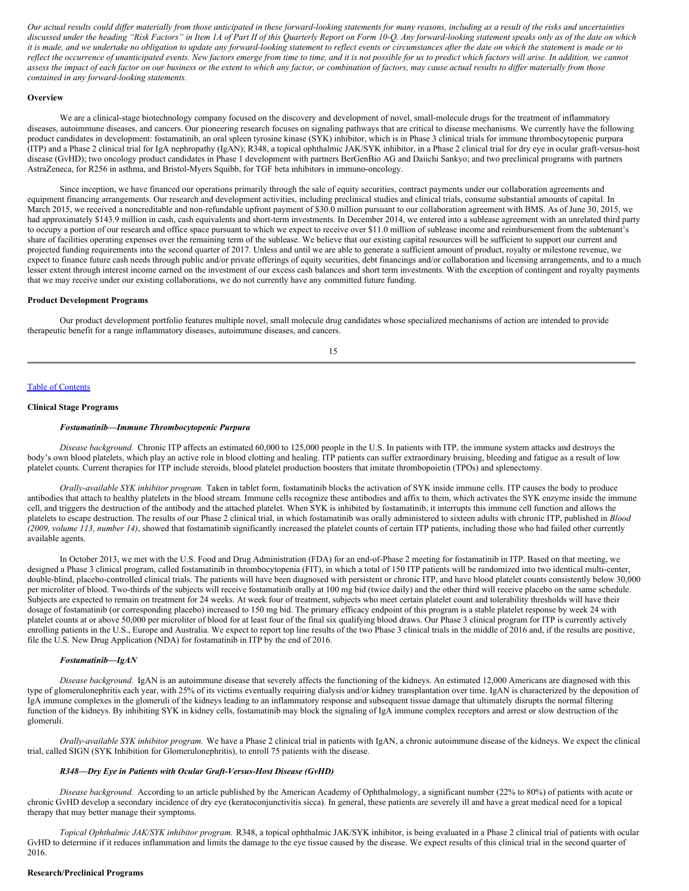Our actual results could differ materially from those anticipated in these forward-looking statements for many reasons, including as a result of the risks and uncertainties discussed under the heading "Risk Factors" in Item 1A of Part II of this Quarterly Report on Form 10-Q. Any forward-looking statement speaks only as of the date on which it is made, and we undertake no obligation to update any forward-looking statement to reflect events or circumstances after the date on which the statement is made or to reflect the occurrence of unanticipated events. New factors emerge from time to time, and it is not possible for us to predict which factors will arise. In addition, we cannot assess the impact of each factor on our business or the extent to which any factor, or combination of factors, may cause actual results to differ materially from those *contained in any forward-looking statements.*

### **Overview**

We are a clinical-stage biotechnology company focused on the discovery and development of novel, small-molecule drugs for the treatment of inflammatory diseases, autoimmune diseases, and cancers. Our pioneering research focuses on signaling pathways that are critical to disease mechanisms. We currently have the following product candidates in development: fostamatinib, an oral spleen tyrosine kinase (SYK) inhibitor, which is in Phase 3 clinical trials for immune thrombocytopenic purpura (ITP) and a Phase 2 clinical trial for IgA nephropathy (IgAN); R348, a topical ophthalmic JAK/SYK inhibitor, in a Phase 2 clinical trial for dry eye in ocular graft-versus-host disease (GvHD); two oncology product candidates in Phase 1 development with partners BerGenBio AG and Daiichi Sankyo; and two preclinical programs with partners AstraZeneca, for R256 in asthma, and Bristol-Myers Squibb, for TGF beta inhibitors in immuno-oncology.

Since inception, we have financed our operations primarily through the sale of equity securities, contract payments under our collaboration agreements and equipment financing arrangements. Our research and development activities, including preclinical studies and clinical trials, consume substantial amounts of capital. In March 2015, we received a noncreditable and non-refundable upfront payment of \$30.0 million pursuant to our collaboration agreement with BMS. As of June 30, 2015, we had approximately \$143.9 million in cash, cash equivalents and short-term investments. In December 2014, we entered into a sublease agreement with an unrelated third party to occupy a portion of our research and office space pursuant to which we expect to receive over \$11.0 million of sublease income and reimbursement from the subtenant's share of facilities operating expenses over the remaining term of the sublease. We believe that our existing capital resources will be sufficient to support our current and projected funding requirements into the second quarter of 2017. Unless and until we are able to generate a sufficient amount of product, royalty or milestone revenue, we expect to finance future cash needs through public and/or private offerings of equity securities, debt financings and/or collaboration and licensing arrangements, and to a much lesser extent through interest income earned on the investment of our excess cash balances and short term investments. With the exception of contingent and royalty payments that we may receive under our existing collaborations, we do not currently have any committed future funding.

#### **Product Development Programs**

Our product development portfolio features multiple novel, small molecule drug candidates whose specialized mechanisms of action are intended to provide therapeutic benefit for a range inflammatory diseases, autoimmune diseases, and cancers.

15

# Table of [Contents](#page-0-0)

# **Clinical Stage Programs**

#### *Fostamatinib—Immune Thrombocytopenic Purpura*

*Disease background.* Chronic ITP affects an estimated 60,000 to 125,000 people in the U.S. In patients with ITP, the immune system attacks and destroys the body's own blood platelets, which play an active role in blood clotting and healing. ITP patients can suffer extraordinary bruising, bleeding and fatigue as a result of low platelet counts. Current therapies for ITP include steroids, blood platelet production boosters that imitate thrombopoietin (TPOs) and splenectomy.

*Orally-available SYK inhibitor program.* Taken in tablet form, fostamatinib blocks the activation of SYK inside immune cells. ITP causes the body to produce antibodies that attach to healthy platelets in the blood stream. Immune cells recognize these antibodies and affix to them, which activates the SYK enzyme inside the immune cell, and triggers the destruction of the antibody and the attached platelet. When SYK is inhibited by fostamatinib, it interrupts this immune cell function and allows the platelets to escape destruction. The results of our Phase 2 clinical trial, in which fostamatinib was orally administered to sixteen adults with chronic ITP, published in *Blood (2009, volume 113, number 14)*, showed that fostamatinib significantly increased the platelet counts of certain ITP patients, including those who had failed other currently available agents.

In October 2013, we met with the U.S. Food and Drug Administration (FDA) for an end-of-Phase 2 meeting for fostamatinib in ITP. Based on that meeting, we designed a Phase 3 clinical program, called fostamatinib in thrombocytopenia (FIT), in which a total of 150 ITP patients will be randomized into two identical multi-center, double-blind, placebo-controlled clinical trials. The patients will have been diagnosed with persistent or chronic ITP, and have blood platelet counts consistently below 30,000 per microliter of blood. Two-thirds of the subjects will receive fostamatinib orally at 100 mg bid (twice daily) and the other third will receive placebo on the same schedule. Subjects are expected to remain on treatment for 24 weeks. At week four of treatment, subjects who meet certain platelet count and tolerability thresholds will have their dosage of fostamatinib (or corresponding placebo) increased to 150 mg bid. The primary efficacy endpoint of this program is a stable platelet response by week 24 with platelet counts at or above 50,000 per microliter of blood for at least four of the final six qualifying blood draws. Our Phase 3 clinical program for ITP is currently actively enrolling patients in the U.S., Europe and Australia. We expect to report top line results of the two Phase 3 clinical trials in the middle of 2016 and, if the results are positive, file the U.S. New Drug Application (NDA) for fostamatinib in ITP by the end of 2016.

# *Fostamatinib—IgAN*

*Disease background.* IgAN is an autoimmune disease that severely affects the functioning of the kidneys. An estimated 12,000 Americans are diagnosed with this type of glomerulonephritis each year, with 25% of its victims eventually requiring dialysis and/or kidney transplantation over time. IgAN is characterized by the deposition of IgA immune complexes in the glomeruli of the kidneys leading to an inflammatory response and subsequent tissue damage that ultimately disrupts the normal filtering function of the kidneys. By inhibiting SYK in kidney cells, fostamatinib may block the signaling of IgA immune complex receptors and arrest or slow destruction of the glomeruli.

*Orally-available SYK inhibitor program.* We have a Phase 2 clinical trial in patients with IgAN, a chronic autoimmune disease of the kidneys. We expect the clinical trial, called SIGN (SYK Inhibition for Glomerulonephritis), to enroll 75 patients with the disease.

# *R348—Dry Eye in Patients with Ocular Graft-Versus-Host Disease (GvHD)*

*Disease background.* According to an article published by the American Academy of Ophthalmology, a significant number (22% to 80%) of patients with acute or chronic GvHD develop a secondary incidence of dry eye (keratoconjunctivitis sicca). In general, these patients are severely ill and have a great medical need for a topical therapy that may better manage their symptoms.

*Topical Ophthalmic JAK/SYK inhibitor program.* R348, a topical ophthalmic JAK/SYK inhibitor, is being evaluated in a Phase 2 clinical trial of patients with ocular GvHD to determine if it reduces inflammation and limits the damage to the eye tissue caused by the disease. We expect results of this clinical trial in the second quarter of 2016.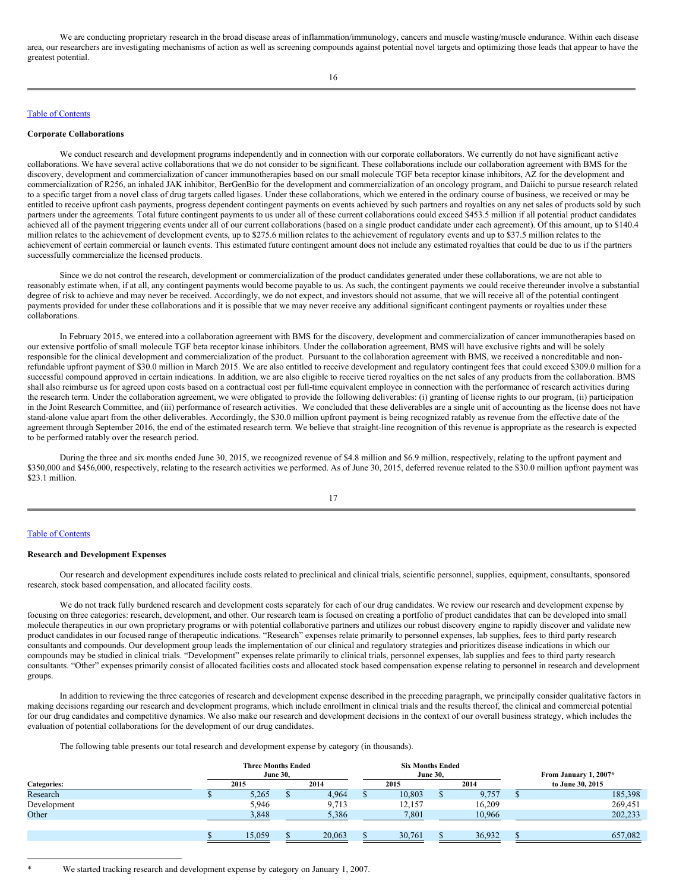We are conducting proprietary research in the broad disease areas of inflammation/immunology, cancers and muscle wasting/muscle endurance. Within each disease area, our researchers are investigating mechanisms of action as well as screening compounds against potential novel targets and optimizing those leads that appear to have the greatest potential.

# Table of [Contents](#page-0-0)

### **Corporate Collaborations**

We conduct research and development programs independently and in connection with our corporate collaborators. We currently do not have significant active collaborations. We have several active collaborations that we do not consider to be significant. These collaborations include our collaboration agreement with BMS for the discovery, development and commercialization of cancer immunotherapies based on our small molecule TGF beta receptor kinase inhibitors, AZ for the development and commercialization of R256, an inhaled JAK inhibitor, BerGenBio for the development and commercialization of an oncology program, and Daiichi to pursue research related to a specific target from a novel class of drug targets called ligases. Under these collaborations, which we entered in the ordinary course of business, we received or may be entitled to receive upfront cash payments, progress dependent contingent payments on events achieved by such partners and royalties on any net sales of products sold by such partners under the agreements. Total future contingent payments to us under all of these current collaborations could exceed \$453.5 million if all potential product candidates achieved all of the payment triggering events under all of our current collaborations (based on a single product candidate under each agreement). Of this amount, up to \$140.4 million relates to the achievement of development events, up to \$275.6 million relates to the achievement of regulatory events and up to \$37.5 million relates to the achievement of certain commercial or launch events. This estimated future contingent amount does not include any estimated royalties that could be due to us if the partners successfully commercialize the licensed products.

Since we do not control the research, development or commercialization of the product candidates generated under these collaborations, we are not able to reasonably estimate when, if at all, any contingent payments would become payable to us. As such, the contingent payments we could receive thereunder involve a substantial degree of risk to achieve and may never be received. Accordingly, we do not expect, and investors should not assume, that we will receive all of the potential contingent payments provided for under these collaborations and it is possible that we may never receive any additional significant contingent payments or royalties under these collaborations.

In February 2015, we entered into a collaboration agreement with BMS for the discovery, development and commercialization of cancer immunotherapies based on our extensive portfolio of small molecule TGF beta receptor kinase inhibitors. Under the collaboration agreement, BMS will have exclusive rights and will be solely responsible for the clinical development and commercialization of the product. Pursuant to the collaboration agreement with BMS, we received a noncreditable and nonrefundable upfront payment of \$30.0 million in March 2015. We are also entitled to receive development and regulatory contingent fees that could exceed \$309.0 million for a successful compound approved in certain indications. In addition, we are also eligible to receive tiered royalties on the net sales of any products from the collaboration. BMS shall also reimburse us for agreed upon costs based on a contractual cost per full-time equivalent employee in connection with the performance of research activities during the research term. Under the collaboration agreement, we were obligated to provide the following deliverables: (i) granting of license rights to our program, (ii) participation in the Joint Research Committee, and (iii) performance of research activities. We concluded that these deliverables are a single unit of accounting as the license does not have stand-alone value apart from the other deliverables. Accordingly, the \$30.0 million upfront payment is being recognized ratably as revenue from the effective date of the agreement through September 2016, the end of the estimated research term. We believe that straight-line recognition of this revenue is appropriate as the research is expected to be performed ratably over the research period.

During the three and six months ended June 30, 2015, we recognized revenue of \$4.8 million and \$6.9 million, respectively, relating to the upfront payment and \$350,000 and \$456,000, respectively, relating to the research activities we performed. As of June 30, 2015, deferred revenue related to the \$30.0 million upfront payment was \$23.1 million.

17

#### Table of [Contents](#page-0-0)

#### **Research and Development Expenses**

Our research and development expenditures include costs related to preclinical and clinical trials, scientific personnel, supplies, equipment, consultants, sponsored research, stock based compensation, and allocated facility costs.

We do not track fully burdened research and development costs separately for each of our drug candidates. We review our research and development expense by focusing on three categories: research, development, and other. Our research team is focused on creating a portfolio of product candidates that can be developed into small molecule therapeutics in our own proprietary programs or with potential collaborative partners and utilizes our robust discovery engine to rapidly discover and validate new product candidates in our focused range of therapeutic indications. "Research" expenses relate primarily to personnel expenses, lab supplies, fees to third party research consultants and compounds. Our development group leads the implementation of our clinical and regulatory strategies and prioritizes disease indications in which our compounds may be studied in clinical trials. "Development" expenses relate primarily to clinical trials, personnel expenses, lab supplies and fees to third party research consultants. "Other" expenses primarily consist of allocated facilities costs and allocated stock based compensation expense relating to personnel in research and development groups.

In addition to reviewing the three categories of research and development expense described in the preceding paragraph, we principally consider qualitative factors in making decisions regarding our research and development programs, which include enrollment in clinical trials and the results thereof, the clinical and commercial potential for our drug candidates and competitive dynamics. We also make our research and development decisions in the context of our overall business strategy, which includes the evaluation of potential collaborations for the development of our drug candidates.

The following table presents our total research and development expense by category (in thousands).

|                    | <b>Three Months Ended</b><br><b>June 30,</b> |        | <b>Six Months Ended</b><br><b>June 30,</b> |    |        | From January 1, 2007* |
|--------------------|----------------------------------------------|--------|--------------------------------------------|----|--------|-----------------------|
| <b>Categories:</b> | 2015                                         | 2014   | 2015                                       |    | 2014   | to June 30, 2015      |
| Research           | 5,265                                        | 4,964  | 10,803                                     | ۰D | 9,757  | 185,398               |
| Development        | 5.946                                        | 9,713  | 12,157                                     |    | 16,209 | 269,451               |
| Other              | 3.848                                        | 5,386  | 7,801                                      |    | 10.966 | 202,233               |
|                    |                                              |        |                                            |    |        |                       |
|                    | 15.059                                       | 20,063 | 30,761                                     |    | 36.932 | 657.082               |

We started tracking research and development expense by category on January 1, 2007.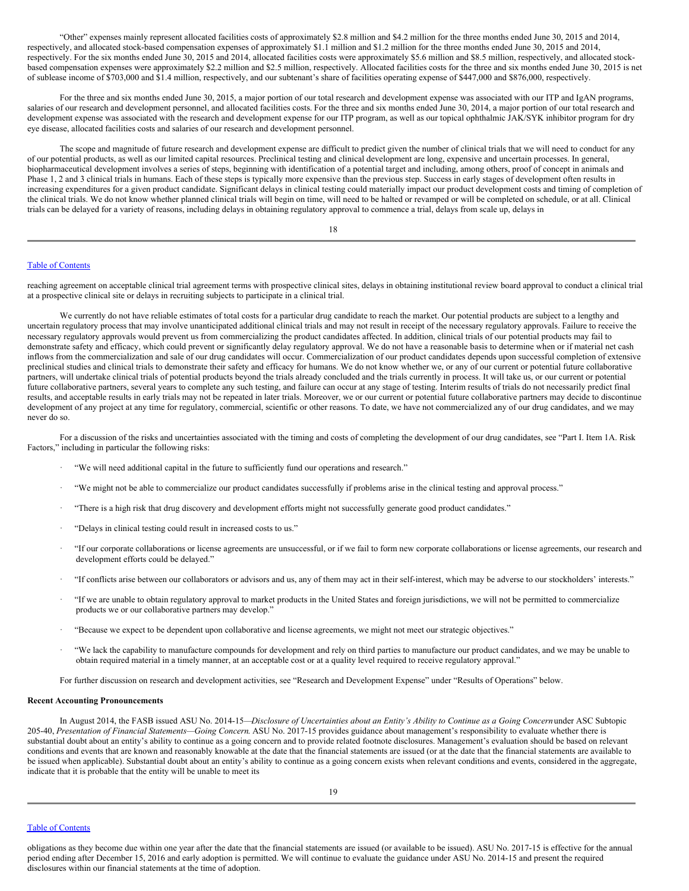"Other" expenses mainly represent allocated facilities costs of approximately \$2.8 million and \$4.2 million for the three months ended June 30, 2015 and 2014, respectively, and allocated stock-based compensation expenses of approximately \$1.1 million and \$1.2 million for the three months ended June 30, 2015 and 2014, respectively. For the six months ended June 30, 2015 and 2014, allocated facilities costs were approximately \$5.6 million and \$8.5 million, respectively, and allocated stockbased compensation expenses were approximately \$2.2 million and \$2.5 million, respectively. Allocated facilities costs for the three and six months ended June 30, 2015 is net of sublease income of \$703,000 and \$1.4 million, respectively, and our subtenant's share of facilities operating expense of \$447,000 and \$876,000, respectively.

For the three and six months ended June 30, 2015, a major portion of our total research and development expense was associated with our ITP and IgAN programs, salaries of our research and development personnel, and allocated facilities costs. For the three and six months ended June 30, 2014, a major portion of our total research and development expense was associated with the research and development expense for our ITP program, as well as our topical ophthalmic JAK/SYK inhibitor program for dry eye disease, allocated facilities costs and salaries of our research and development personnel.

The scope and magnitude of future research and development expense are difficult to predict given the number of clinical trials that we will need to conduct for any of our potential products, as well as our limited capital resources. Preclinical testing and clinical development are long, expensive and uncertain processes. In general, biopharmaceutical development involves a series of steps, beginning with identification of a potential target and including, among others, proof of concept in animals and Phase 1, 2 and 3 clinical trials in humans. Each of these steps is typically more expensive than the previous step. Success in early stages of development often results in increasing expenditures for a given product candidate. Significant delays in clinical testing could materially impact our product development costs and timing of completion of the clinical trials. We do not know whether planned clinical trials will begin on time, will need to be halted or revamped or will be completed on schedule, or at all. Clinical trials can be delayed for a variety of reasons, including delays in obtaining regulatory approval to commence a trial, delays from scale up, delays in

18

# Table of [Contents](#page-0-0)

reaching agreement on acceptable clinical trial agreement terms with prospective clinical sites, delays in obtaining institutional review board approval to conduct a clinical trial at a prospective clinical site or delays in recruiting subjects to participate in a clinical trial.

We currently do not have reliable estimates of total costs for a particular drug candidate to reach the market. Our potential products are subject to a lengthy and uncertain regulatory process that may involve unanticipated additional clinical trials and may not result in receipt of the necessary regulatory approvals. Failure to receive the necessary regulatory approvals would prevent us from commercializing the product candidates affected. In addition, clinical trials of our potential products may fail to demonstrate safety and efficacy, which could prevent or significantly delay regulatory approval. We do not have a reasonable basis to determine when or if material net cash inflows from the commercialization and sale of our drug candidates will occur. Commercialization of our product candidates depends upon successful completion of extensive preclinical studies and clinical trials to demonstrate their safety and efficacy for humans. We do not know whether we, or any of our current or potential future collaborative partners, will undertake clinical trials of potential products beyond the trials already concluded and the trials currently in process. It will take us, or our current or potential future collaborative partners, several years to complete any such testing, and failure can occur at any stage of testing. Interim results of trials do not necessarily predict final results, and acceptable results in early trials may not be repeated in later trials. Moreover, we or our current or potential future collaborative partners may decide to discontinue development of any project at any time for regulatory, commercial, scientific or other reasons. To date, we have not commercialized any of our drug candidates, and we may never do so.

For a discussion of the risks and uncertainties associated with the timing and costs of completing the development of our drug candidates, see "Part I. Item 1A. Risk Factors," including in particular the following risks:

- · "We will need additional capital in the future to sufficiently fund our operations and research."
- · "We might not be able to commercialize our product candidates successfully if problems arise in the clinical testing and approval process."
- · "There is a high risk that drug discovery and development efforts might not successfully generate good product candidates."
- · "Delays in clinical testing could result in increased costs to us."
- · "If our corporate collaborations or license agreements are unsuccessful, or if we fail to form new corporate collaborations or license agreements, our research and development efforts could be delayed."
- · "If conflicts arise between our collaborators or advisors and us, any of them may act in their self-interest, which may be adverse to our stockholders' interests."
- · "If we are unable to obtain regulatory approval to market products in the United States and foreign jurisdictions, we will not be permitted to commercialize products we or our collaborative partners may develop."
- · "Because we expect to be dependent upon collaborative and license agreements, we might not meet our strategic objectives."
- · "We lack the capability to manufacture compounds for development and rely on third parties to manufacture our product candidates, and we may be unable to obtain required material in a timely manner, at an acceptable cost or at a quality level required to receive regulatory approval."

For further discussion on research and development activities, see "Research and Development Expense" under "Results of Operations" below.

#### **Recent Accounting Pronouncements**

In August 2014, the FASB issued ASU No. 2014-15-Disclosure of Uncertainties about an Entity's Ability to Continue as a Going Concernunder ASC Subtopic 205-40, *Presentation of Financial Statements—Going Concern*. ASU No. 2017-15 provides guidance about management's responsibility to evaluate whether there is substantial doubt about an entity's ability to continue as a going concern and to provide related footnote disclosures. Management's evaluation should be based on relevant conditions and events that are known and reasonably knowable at the date that the financial statements are issued (or at the date that the financial statements are available to be issued when applicable). Substantial doubt about an entity's ability to continue as a going concern exists when relevant conditions and events, considered in the aggregate, indicate that it is probable that the entity will be unable to meet its

Table of [Contents](#page-0-0)

obligations as they become due within one year after the date that the financial statements are issued (or available to be issued). ASU No. 2017-15 is effective for the annual period ending after December 15, 2016 and early adoption is permitted. We will continue to evaluate the guidance under ASU No. 2014-15 and present the required disclosures within our financial statements at the time of adoption.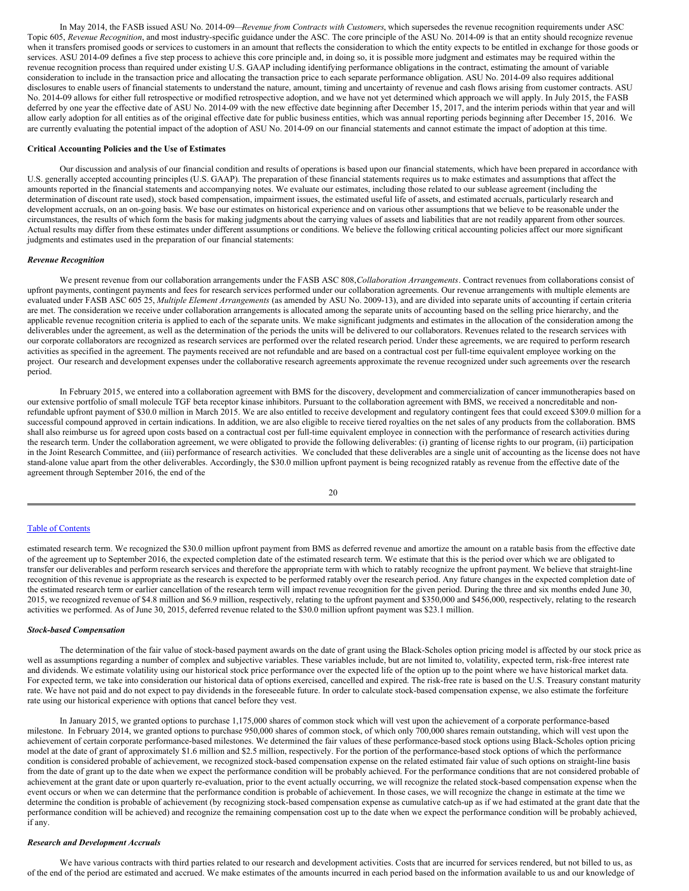In May 2014, the FASB issued ASU No. 2014-09—*Revenue from Contracts with Customers*, which supersedes the revenue recognition requirements under ASC Topic 605, *Revenue Recognition*, and most industry-specific guidance under the ASC. The core principle of the ASU No. 2014-09 is that an entity should recognize revenue when it transfers promised goods or services to customers in an amount that reflects the consideration to which the entity expects to be entitled in exchange for those goods or services. ASU 2014-09 defines a five step process to achieve this core principle and, in doing so, it is possible more judgment and estimates may be required within the revenue recognition process than required under existing U.S. GAAP including identifying performance obligations in the contract, estimating the amount of variable consideration to include in the transaction price and allocating the transaction price to each separate performance obligation. ASU No. 2014-09 also requires additional disclosures to enable users of financial statements to understand the nature, amount, timing and uncertainty of revenue and cash flows arising from customer contracts. ASU No. 2014-09 allows for either full retrospective or modified retrospective adoption, and we have not yet determined which approach we will apply. In July 2015, the FASB deferred by one year the effective date of ASU No. 2014-09 with the new effective date beginning after December 15, 2017, and the interim periods within that year and will allow early adoption for all entities as of the original effective date for public business entities, which was annual reporting periods beginning after December 15, 2016. We are currently evaluating the potential impact of the adoption of ASU No. 2014-09 on our financial statements and cannot estimate the impact of adoption at this time.

### **Critical Accounting Policies and the Use of Estimates**

Our discussion and analysis of our financial condition and results of operations is based upon our financial statements, which have been prepared in accordance with U.S. generally accepted accounting principles (U.S. GAAP). The preparation of these financial statements requires us to make estimates and assumptions that affect the amounts reported in the financial statements and accompanying notes. We evaluate our estimates, including those related to our sublease agreement (including the determination of discount rate used), stock based compensation, impairment issues, the estimated useful life of assets, and estimated accruals, particularly research and development accruals, on an on-going basis. We base our estimates on historical experience and on various other assumptions that we believe to be reasonable under the circumstances, the results of which form the basis for making judgments about the carrying values of assets and liabilities that are not readily apparent from other sources. Actual results may differ from these estimates under different assumptions or conditions. We believe the following critical accounting policies affect our more significant judgments and estimates used in the preparation of our financial statements:

#### *Revenue Recognition*

We present revenue from our collaboration arrangements under the FASB ASC 808,*Collaboration Arrangements*. Contract revenues from collaborations consist of upfront payments, contingent payments and fees for research services performed under our collaboration agreements. Our revenue arrangements with multiple elements are evaluated under FASB ASC 605 25, *Multiple Element Arrangements* (as amended by ASU No. 2009-13), and are divided into separate units of accounting if certain criteria are met. The consideration we receive under collaboration arrangements is allocated among the separate units of accounting based on the selling price hierarchy, and the applicable revenue recognition criteria is applied to each of the separate units. We make significant judgments and estimates in the allocation of the consideration among the deliverables under the agreement, as well as the determination of the periods the units will be delivered to our collaborators. Revenues related to the research services with our corporate collaborators are recognized as research services are performed over the related research period. Under these agreements, we are required to perform research activities as specified in the agreement. The payments received are not refundable and are based on a contractual cost per full-time equivalent employee working on the project. Our research and development expenses under the collaborative research agreements approximate the revenue recognized under such agreements over the research period.

In February 2015, we entered into a collaboration agreement with BMS for the discovery, development and commercialization of cancer immunotherapies based on our extensive portfolio of small molecule TGF beta receptor kinase inhibitors. Pursuant to the collaboration agreement with BMS, we received a noncreditable and nonrefundable upfront payment of \$30.0 million in March 2015. We are also entitled to receive development and regulatory contingent fees that could exceed \$309.0 million for a successful compound approved in certain indications. In addition, we are also eligible to receive tiered royalties on the net sales of any products from the collaboration. BMS shall also reimburse us for agreed upon costs based on a contractual cost per full-time equivalent employee in connection with the performance of research activities during the research term. Under the collaboration agreement, we were obligated to provide the following deliverables: (i) granting of license rights to our program, (ii) participation in the Joint Research Committee, and (iii) performance of research activities. We concluded that these deliverables are a single unit of accounting as the license does not have stand-alone value apart from the other deliverables. Accordingly, the \$30.0 million upfront payment is being recognized ratably as revenue from the effective date of the agreement through September 2016, the end of the

20

#### Table of [Contents](#page-0-0)

estimated research term. We recognized the \$30.0 million upfront payment from BMS as deferred revenue and amortize the amount on a ratable basis from the effective date of the agreement up to September 2016, the expected completion date of the estimated research term. We estimate that this is the period over which we are obligated to transfer our deliverables and perform research services and therefore the appropriate term with which to ratably recognize the upfront payment. We believe that straight-line recognition of this revenue is appropriate as the research is expected to be performed ratably over the research period. Any future changes in the expected completion date of the estimated research term or earlier cancellation of the research term will impact revenue recognition for the given period. During the three and six months ended June 30, 2015, we recognized revenue of \$4.8 million and \$6.9 million, respectively, relating to the upfront payment and \$350,000 and \$456,000, respectively, relating to the research activities we performed. As of June 30, 2015, deferred revenue related to the \$30.0 million upfront payment was \$23.1 million.

# *Stock-based Compensation*

The determination of the fair value of stock-based payment awards on the date of grant using the Black-Scholes option pricing model is affected by our stock price as well as assumptions regarding a number of complex and subjective variables. These variables include, but are not limited to, volatility, expected term, risk-free interest rate and dividends. We estimate volatility using our historical stock price performance over the expected life of the option up to the point where we have historical market data. For expected term, we take into consideration our historical data of options exercised, cancelled and expired. The risk-free rate is based on the U.S. Treasury constant maturity rate. We have not paid and do not expect to pay dividends in the foreseeable future. In order to calculate stock-based compensation expense, we also estimate the forfeiture rate using our historical experience with options that cancel before they vest.

In January 2015, we granted options to purchase 1,175,000 shares of common stock which will vest upon the achievement of a corporate performance-based milestone. In February 2014, we granted options to purchase 950,000 shares of common stock, of which only 700,000 shares remain outstanding, which will vest upon the achievement of certain corporate performance-based milestones. We determined the fair values of these performance-based stock options using Black-Scholes option pricing model at the date of grant of approximately \$1.6 million and \$2.5 million, respectively. For the portion of the performance-based stock options of which the performance condition is considered probable of achievement, we recognized stock-based compensation expense on the related estimated fair value of such options on straight-line basis from the date of grant up to the date when we expect the performance condition will be probably achieved. For the performance conditions that are not considered probable of achievement at the grant date or upon quarterly re-evaluation, prior to the event actually occurring, we will recognize the related stock-based compensation expense when the event occurs or when we can determine that the performance condition is probable of achievement. In those cases, we will recognize the change in estimate at the time we determine the condition is probable of achievement (by recognizing stock-based compensation expense as cumulative catch-up as if we had estimated at the grant date that the performance condition will be achieved) and recognize the remaining compensation cost up to the date when we expect the performance condition will be probably achieved, if any.

#### *Research and Development Accruals*

We have various contracts with third parties related to our research and development activities. Costs that are incurred for services rendered, but not billed to us, as of the end of the period are estimated and accrued. We make estimates of the amounts incurred in each period based on the information available to us and our knowledge of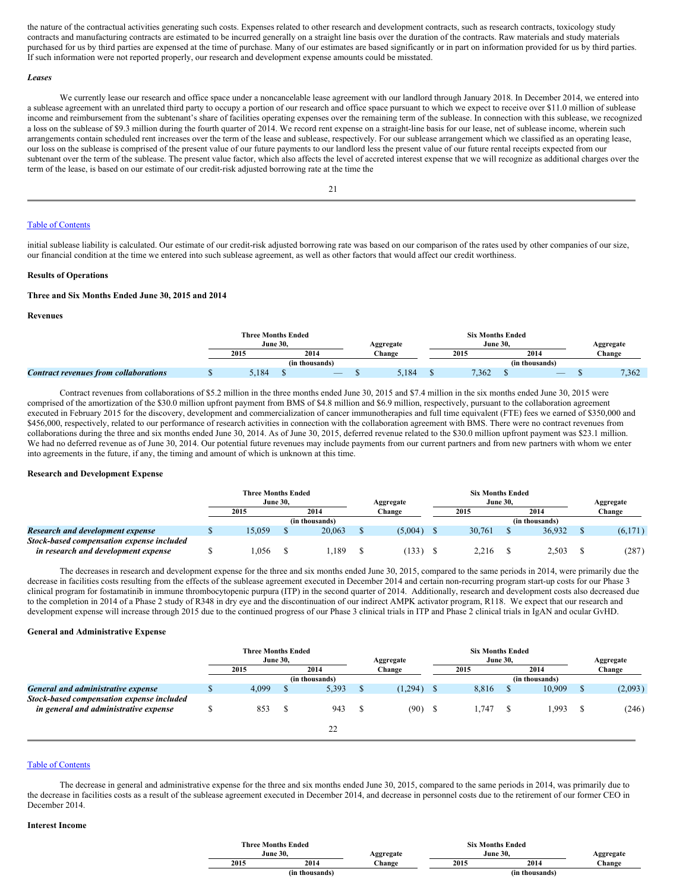the nature of the contractual activities generating such costs. Expenses related to other research and development contracts, such as research contracts, toxicology study contracts and manufacturing contracts are estimated to be incurred generally on a straight line basis over the duration of the contracts. Raw materials and study materials purchased for us by third parties are expensed at the time of purchase. Many of our estimates are based significantly or in part on information provided for us by third parties. If such information were not reported properly, our research and development expense amounts could be misstated.

#### *Leases*

We currently lease our research and office space under a noncancelable lease agreement with our landlord through January 2018. In December 2014, we entered into a sublease agreement with an unrelated third party to occupy a portion of our research and office space pursuant to which we expect to receive over \$11.0 million of sublease income and reimbursement from the subtenant's share of facilities operating expenses over the remaining term of the sublease. In connection with this sublease, we recognized a loss on the sublease of \$9.3 million during the fourth quarter of 2014. We record rent expense on a straight-line basis for our lease, net of sublease income, wherein such arrangements contain scheduled rent increases over the term of the lease and sublease, respectively. For our sublease arrangement which we classified as an operating lease, our loss on the sublease is comprised of the present value of our future payments to our landlord less the present value of our future rental receipts expected from our subtenant over the term of the sublease. The present value factor, which also affects the level of accreted interest expense that we will recognize as additional charges over the term of the lease, is based on our estimate of our credit-risk adjusted borrowing rate at the time the

21

### Table of [Contents](#page-0-0)

initial sublease liability is calculated. Our estimate of our credit-risk adjusted borrowing rate was based on our comparison of the rates used by other companies of our size, our financial condition at the time we entered into such sublease agreement, as well as other factors that would affect our credit worthiness.

#### **Results of Operations**

## **Three and Six Months Ended June 30, 2015 and 2014**

#### **Revenues**

|                                              | <b>Three Months Ended</b><br><b>June 30.</b> |  |                          |  |                     | <b>Six Months Ended</b><br>June 30. |  |                          |  |                     |  |
|----------------------------------------------|----------------------------------------------|--|--------------------------|--|---------------------|-------------------------------------|--|--------------------------|--|---------------------|--|
|                                              | 2015                                         |  | 2014                     |  | Aggregate<br>Change | 2015                                |  | 2014                     |  | Aggregate<br>Change |  |
|                                              |                                              |  | (in thousands)           |  |                     |                                     |  | (in thousands)           |  |                     |  |
| <b>Contract revenues from collaborations</b> | 5.184                                        |  | $\overline{\phantom{a}}$ |  | 3,184               | 7,362                               |  | $\overline{\phantom{a}}$ |  | 7,362               |  |

Contract revenues from collaborations of \$5.2 million in the three months ended June 30, 2015 and \$7.4 million in the six months ended June 30, 2015 were comprised of the amortization of the \$30.0 million upfront payment from BMS of \$4.8 million and \$6.9 million, respectively, pursuant to the collaboration agreement executed in February 2015 for the discovery, development and commercialization of cancer immunotherapies and full time equivalent (FTE) fees we earned of \$350,000 and \$456,000, respectively, related to our performance of research activities in connection with the collaboration agreement with BMS. There were no contract revenues from collaborations during the three and six months ended June 30, 2014. As of June 30, 2015, deferred revenue related to the \$30.0 million upfront payment was \$23.1 million. We had no deferred revenue as of June 30, 2014. Our potential future revenues may include payments from our current partners and from new partners with whom we enter into agreements in the future, if any, the timing and amount of which is unknown at this time.

#### **Research and Development Expense**

|                                           | <b>Three Months Ended</b><br><b>June 30.</b> |                | Aggregate | <b>Six Months Ended</b><br><b>June 30.</b> |                | Aggregate |
|-------------------------------------------|----------------------------------------------|----------------|-----------|--------------------------------------------|----------------|-----------|
|                                           | 2015                                         | 2014           | Change    | 2015                                       | 2014           | Change    |
|                                           |                                              | (in thousands) |           |                                            | (in thousands) |           |
| Research and development expense          | 15,059                                       | 20,063         | (5,004)   | 30.761                                     | 36.932         | (6,171)   |
| Stock-based compensation expense included |                                              |                |           |                                            |                |           |
| in research and development expense       | ,056                                         | .189           | (133)     | 2,216                                      | 2,503          | (287)     |

The decreases in research and development expense for the three and six months ended June 30, 2015, compared to the same periods in 2014, were primarily due the decrease in facilities costs resulting from the effects of the sublease agreement executed in December 2014 and certain non-recurring program start-up costs for our Phase 3 clinical program for fostamatinib in immune thrombocytopenic purpura (ITP) in the second quarter of 2014. Additionally, research and development costs also decreased due to the completion in 2014 of a Phase 2 study of R348 in dry eye and the discontinuation of our indirect AMPK activator program, R118. We expect that our research and development expense will increase through 2015 due to the continued progress of our Phase 3 clinical trials in ITP and Phase 2 clinical trials in IgAN and ocular GvHD.

#### **General and Administrative Expense**

|                                           | <b>Three Months Ended</b><br><b>June 30.</b> |   |                | Aggregate | <b>Six Months Ended</b> | <b>June 30,</b> |                | Aggregate |
|-------------------------------------------|----------------------------------------------|---|----------------|-----------|-------------------------|-----------------|----------------|-----------|
|                                           | 2015                                         |   | 2014           | Change    | 2015                    |                 | 2014           | Change    |
|                                           |                                              |   | (in thousands) |           |                         |                 | (in thousands) |           |
| General and administrative expense        | 4,099                                        | Ъ | 5,393          | (1,294)   | 8,816                   |                 | 10,909         | (2,093)   |
| Stock-based compensation expense included |                                              |   |                |           |                         |                 |                |           |
| in general and administrative expense     | 853                                          |   | 943            | (90)      | l.747                   |                 | 1,993          | (246)     |
|                                           |                                              |   |                |           |                         |                 |                |           |
|                                           |                                              |   | 22             |           |                         |                 |                |           |
|                                           |                                              |   |                |           |                         |                 |                |           |

#### Table of [Contents](#page-0-0)

The decrease in general and administrative expense for the three and six months ended June 30, 2015, compared to the same periods in 2014, was primarily due to the decrease in facilities costs as a result of the sublease agreement executed in December 2014, and decrease in personnel costs due to the retirement of our former CEO in December 2014.

#### **Interest Income**

|      | <b>Three Months Ended</b> |               | <b>Six Months Ended</b> |                |           |
|------|---------------------------|---------------|-------------------------|----------------|-----------|
|      | <b>June 30.</b>           | Aggregate     | <b>June 30.</b>         |                | Aggregate |
| 2015 | 2014                      | <b>Change</b> | 2015                    | 2014           | Change    |
|      | (in thousands)            |               |                         | (in thousands) |           |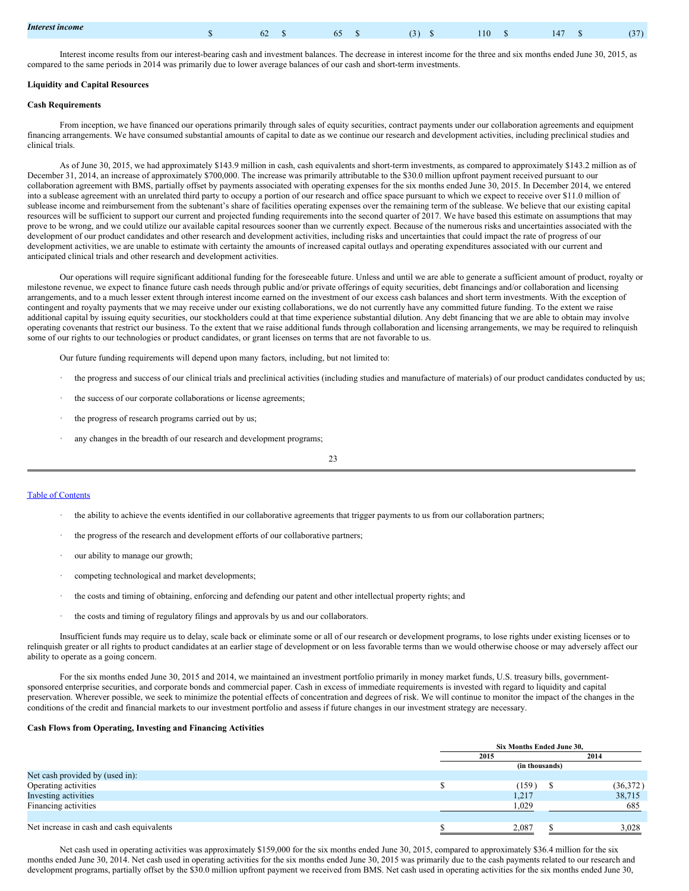| Interest income<br>. | 04 | n, | (2) | 110 | $-4.5$ | $\sim$ |
|----------------------|----|----|-----|-----|--------|--------|
|                      |    |    |     |     |        |        |

Interest income results from our interest-bearing cash and investment balances. The decrease in interest income for the three and six months ended June 30, 2015, as compared to the same periods in 2014 was primarily due to lower average balances of our cash and short-term investments.

# **Liquidity and Capital Resources**

# **Cash Requirements**

From inception, we have financed our operations primarily through sales of equity securities, contract payments under our collaboration agreements and equipment financing arrangements. We have consumed substantial amounts of capital to date as we continue our research and development activities, including preclinical studies and clinical trials.

As of June 30, 2015, we had approximately \$143.9 million in cash, cash equivalents and short-term investments, as compared to approximately \$143.2 million as of December 31, 2014, an increase of approximately \$700,000. The increase was primarily attributable to the \$30.0 million upfront payment received pursuant to our collaboration agreement with BMS, partially offset by payments associated with operating expenses for the six months ended June 30, 2015. In December 2014, we entered into a sublease agreement with an unrelated third party to occupy a portion of our research and office space pursuant to which we expect to receive over \$11.0 million of sublease income and reimbursement from the subtenant's share of facilities operating expenses over the remaining term of the sublease. We believe that our existing capital resources will be sufficient to support our current and projected funding requirements into the second quarter of 2017. We have based this estimate on assumptions that may prove to be wrong, and we could utilize our available capital resources sooner than we currently expect. Because of the numerous risks and uncertainties associated with the development of our product candidates and other research and development activities, including risks and uncertainties that could impact the rate of progress of our development activities, we are unable to estimate with certainty the amounts of increased capital outlays and operating expenditures associated with our current and anticipated clinical trials and other research and development activities.

Our operations will require significant additional funding for the foreseeable future. Unless and until we are able to generate a sufficient amount of product, royalty or milestone revenue, we expect to finance future cash needs through public and/or private offerings of equity securities, debt financings and/or collaboration and licensing arrangements, and to a much lesser extent through interest income earned on the investment of our excess cash balances and short term investments. With the exception of contingent and royalty payments that we may receive under our existing collaborations, we do not currently have any committed future funding. To the extent we raise additional capital by issuing equity securities, our stockholders could at that time experience substantial dilution. Any debt financing that we are able to obtain may involve operating covenants that restrict our business. To the extent that we raise additional funds through collaboration and licensing arrangements, we may be required to relinquish some of our rights to our technologies or product candidates, or grant licenses on terms that are not favorable to us.

Our future funding requirements will depend upon many factors, including, but not limited to:

- the progress and success of our clinical trials and preclinical activities (including studies and manufacture of materials) of our product candidates conducted by us;
- the success of our corporate collaborations or license agreements;
- the progress of research programs carried out by us;
- any changes in the breadth of our research and development programs;

23

#### Table of [Contents](#page-0-0)

- the ability to achieve the events identified in our collaborative agreements that trigger payments to us from our collaboration partners;
- the progress of the research and development efforts of our collaborative partners;
- our ability to manage our growth;
- competing technological and market developments;
- · the costs and timing of obtaining, enforcing and defending our patent and other intellectual property rights; and
- the costs and timing of regulatory filings and approvals by us and our collaborators.

Insufficient funds may require us to delay, scale back or eliminate some or all of our research or development programs, to lose rights under existing licenses or to relinquish greater or all rights to product candidates at an earlier stage of development or on less favorable terms than we would otherwise choose or may adversely affect our ability to operate as a going concern.

For the six months ended June 30, 2015 and 2014, we maintained an investment portfolio primarily in money market funds, U.S. treasury bills, governmentsponsored enterprise securities, and corporate bonds and commercial paper. Cash in excess of immediate requirements is invested with regard to liquidity and capital preservation. Wherever possible, we seek to minimize the potential effects of concentration and degrees of risk. We will continue to monitor the impact of the changes in the conditions of the credit and financial markets to our investment portfolio and assess if future changes in our investment strategy are necessary.

### **Cash Flows from Operating, Investing and Financing Activities**

|                                           | Six Months Ended June 30, |          |  |  |  |
|-------------------------------------------|---------------------------|----------|--|--|--|
|                                           | 2015                      | 2014     |  |  |  |
|                                           | (in thousands)            |          |  |  |  |
| Net cash provided by (used in):           |                           |          |  |  |  |
| Operating activities                      | (159)                     | (36,372) |  |  |  |
| Investing activities                      | 1,217                     | 38,715   |  |  |  |
| Financing activities                      | 1,029                     | 685      |  |  |  |
|                                           |                           |          |  |  |  |
| Net increase in cash and cash equivalents | 2,087                     | 3.028    |  |  |  |

Net cash used in operating activities was approximately \$159,000 for the six months ended June 30, 2015, compared to approximately \$36.4 million for the six months ended June 30, 2014. Net cash used in operating activities for the six months ended June 30, 2015 was primarily due to the cash payments related to our research and development programs, partially offset by the \$30.0 million upfront payment we received from BMS. Net cash used in operating activities for the six months ended June 30,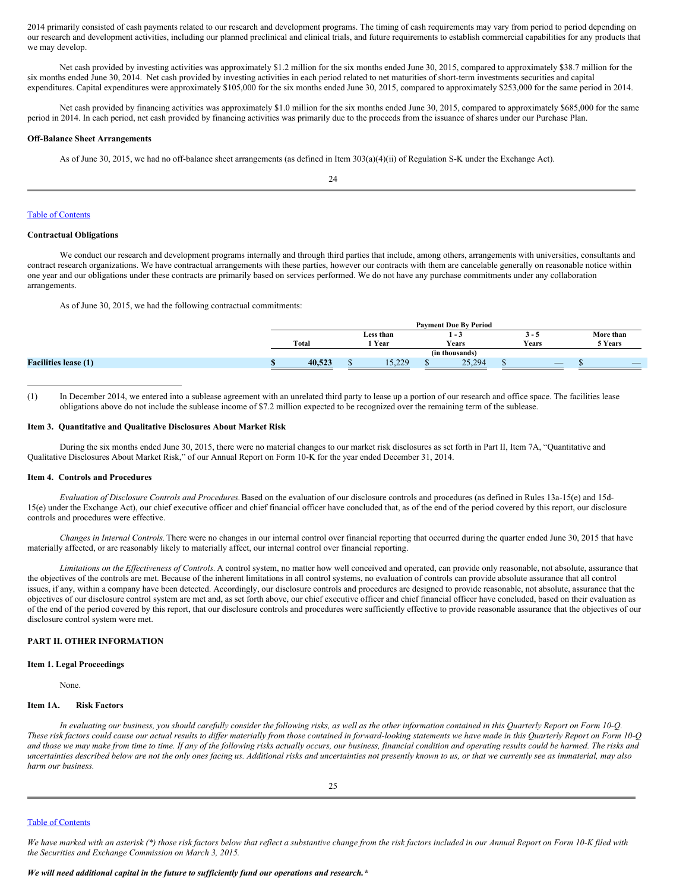2014 primarily consisted of cash payments related to our research and development programs. The timing of cash requirements may vary from period to period depending on our research and development activities, including our planned preclinical and clinical trials, and future requirements to establish commercial capabilities for any products that we may develop.

Net cash provided by investing activities was approximately \$1.2 million for the six months ended June 30, 2015, compared to approximately \$38.7 million for the six months ended June 30, 2014. Net cash provided by investing activities in each period related to net maturities of short-term investments securities and capital expenditures. Capital expenditures were approximately \$105,000 for the six months ended June 30, 2015, compared to approximately \$253,000 for the same period in 2014.

Net cash provided by financing activities was approximately \$1.0 million for the six months ended June 30, 2015, compared to approximately \$685,000 for the same period in 2014. In each period, net cash provided by financing activities was primarily due to the proceeds from the issuance of shares under our Purchase Plan.

#### **Off-Balance Sheet Arrangements**

As of June 30, 2015, we had no off-balance sheet arrangements (as defined in Item 303(a)(4)(ii) of Regulation S-K under the Exchange Act).

<span id="page-14-0"></span>24

#### Table of [Contents](#page-0-0)

### **Contractual Obligations**

We conduct our research and development programs internally and through third parties that include, among others, arrangements with universities, consultants and contract research organizations. We have contractual arrangements with these parties, however our contracts with them are cancelable generally on reasonable notice within one year and our obligations under these contracts are primarily based on services performed. We do not have any purchase commitments under any collaboration arrangements.

As of June 30, 2015, we had the following contractual commitments:

|                             |              |           | <b>Payment Due By Period</b> |                          |                          |
|-----------------------------|--------------|-----------|------------------------------|--------------------------|--------------------------|
|                             |              | Less than | ن - ۰                        | 3-5                      | More than                |
|                             | <b>Total</b> | 'Year     | Years                        | Years                    | 5 Years                  |
|                             |              |           | (in thousands)               |                          |                          |
| <b>Facilities lease (1)</b> | 40.523       | 15,229    | 25.294                       | $\overline{\phantom{a}}$ | $\overline{\phantom{a}}$ |
|                             |              |           |                              |                          |                          |

(1) In December 2014, we entered into a sublease agreement with an unrelated third party to lease up a portion of our research and office space. The facilities lease obligations above do not include the sublease income of \$7.2 million expected to be recognized over the remaining term of the sublease.

#### **Item 3. Quantitative and Qualitative Disclosures About Market Risk**

During the six months ended June 30, 2015, there were no material changes to our market risk disclosures as set forth in Part II, Item 7A, "Quantitative and Qualitative Disclosures About Market Risk," of our Annual Report on Form 10-K for the year ended December 31, 2014.

#### <span id="page-14-1"></span>**Item 4. Controls and Procedures**

*Evaluation of Disclosure Controls and Procedures.*Based on the evaluation of our disclosure controls and procedures (as defined in Rules 13a-15(e) and 15d-15(e) under the Exchange Act), our chief executive officer and chief financial officer have concluded that, as of the end of the period covered by this report, our disclosure controls and procedures were effective.

*Changes in Internal Controls.* There were no changes in our internal control over financial reporting that occurred during the quarter ended June 30, 2015 that have materially affected, or are reasonably likely to materially affect, our internal control over financial reporting.

*Limitations on the Effectiveness of Controls.* A control system, no matter how well conceived and operated, can provide only reasonable, not absolute, assurance that the objectives of the controls are met. Because of the inherent limitations in all control systems, no evaluation of controls can provide absolute assurance that all control issues, if any, within a company have been detected. Accordingly, our disclosure controls and procedures are designed to provide reasonable, not absolute, assurance that the objectives of our disclosure control system are met and, as set forth above, our chief executive officer and chief financial officer have concluded, based on their evaluation as of the end of the period covered by this report, that our disclosure controls and procedures were sufficiently effective to provide reasonable assurance that the objectives of our disclosure control system were met.

### **PART II. OTHER INFORMATION**

#### **Item 1. Legal Proceedings**

<span id="page-14-4"></span><span id="page-14-3"></span><span id="page-14-2"></span>None.

#### **Item 1A. Risk Factors**

In evaluating our business, you should carefully consider the following risks, as well as the other information contained in this Quarterly Report on Form 10-Q. These risk factors could cause our actual results to differ materially from those contained in forward-looking statements we have made in this Quarterly Report on Form 10-Q and those we may make from time to time. If any of the following risks actually occurs, our business, financial condition and operating results could be harmed. The risks and uncertainties described below are not the only ones facing us. Additional risks and uncertainties not presently known to us, or that we currently see as immaterial, may also *harm our business.*

### Table of [Contents](#page-0-0)

We have marked with an asterisk (\*) those risk factors below that reflect a substantive change from the risk factors included in our Annual Report on Form 10-K filed with *the Securities and Exchange Commission on March 3, 2015.*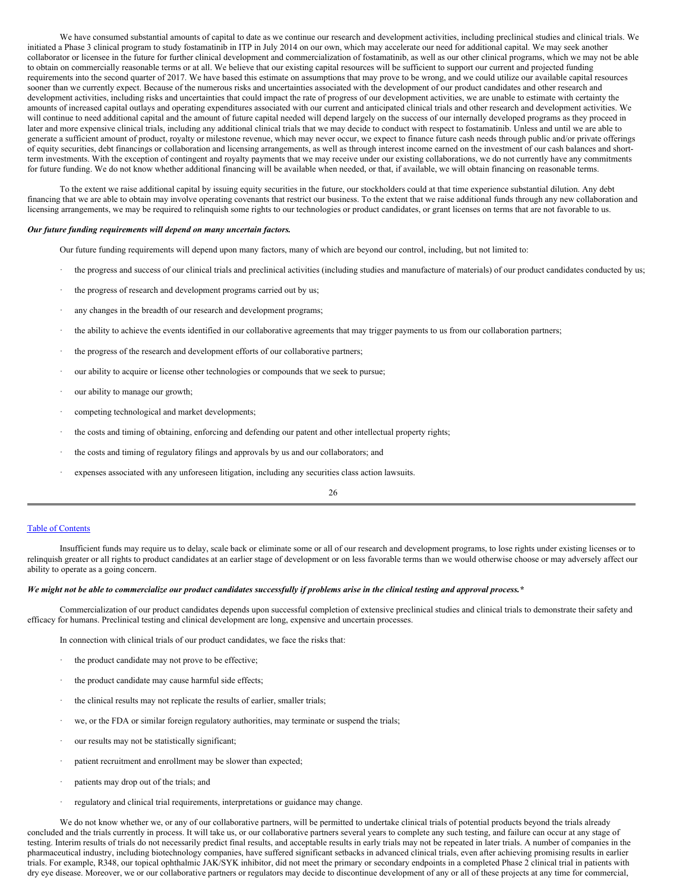We have consumed substantial amounts of capital to date as we continue our research and development activities, including preclinical studies and clinical trials. We initiated a Phase 3 clinical program to study fostamatinib in ITP in July 2014 on our own, which may accelerate our need for additional capital. We may seek another collaborator or licensee in the future for further clinical development and commercialization of fostamatinib, as well as our other clinical programs, which we may not be able to obtain on commercially reasonable terms or at all. We believe that our existing capital resources will be sufficient to support our current and projected funding requirements into the second quarter of 2017. We have based this estimate on assumptions that may prove to be wrong, and we could utilize our available capital resources sooner than we currently expect. Because of the numerous risks and uncertainties associated with the development of our product candidates and other research and development activities, including risks and uncertainties that could impact the rate of progress of our development activities, we are unable to estimate with certainty the amounts of increased capital outlays and operating expenditures associated with our current and anticipated clinical trials and other research and development activities. We will continue to need additional capital and the amount of future capital needed will depend largely on the success of our internally developed programs as they proceed in later and more expensive clinical trials, including any additional clinical trials that we may decide to conduct with respect to fostamatinib. Unless and until we are able to generate a sufficient amount of product, royalty or milestone revenue, which may never occur, we expect to finance future cash needs through public and/or private offerings of equity securities, debt financings or collaboration and licensing arrangements, as well as through interest income earned on the investment of our cash balances and shortterm investments. With the exception of contingent and royalty payments that we may receive under our existing collaborations, we do not currently have any commitments for future funding. We do not know whether additional financing will be available when needed, or that, if available, we will obtain financing on reasonable terms.

To the extent we raise additional capital by issuing equity securities in the future, our stockholders could at that time experience substantial dilution. Any debt financing that we are able to obtain may involve operating covenants that restrict our business. To the extent that we raise additional funds through any new collaboration and licensing arrangements, we may be required to relinquish some rights to our technologies or product candidates, or grant licenses on terms that are not favorable to us.

#### *Our future funding requirements will depend on many uncertain factors.*

Our future funding requirements will depend upon many factors, many of which are beyond our control, including, but not limited to:

- · the progress and success of our clinical trials and preclinical activities (including studies and manufacture of materials) of our product candidates conducted by us;
- the progress of research and development programs carried out by us;
- any changes in the breadth of our research and development programs;
- the ability to achieve the events identified in our collaborative agreements that may trigger payments to us from our collaboration partners;
- the progress of the research and development efforts of our collaborative partners;
- our ability to acquire or license other technologies or compounds that we seek to pursue;
- our ability to manage our growth;
- competing technological and market developments;
- the costs and timing of obtaining, enforcing and defending our patent and other intellectual property rights;
- the costs and timing of regulatory filings and approvals by us and our collaborators; and
- expenses associated with any unforeseen litigation, including any securities class action lawsuits.

26

#### Table of [Contents](#page-0-0)

Insufficient funds may require us to delay, scale back or eliminate some or all of our research and development programs, to lose rights under existing licenses or to relinquish greater or all rights to product candidates at an earlier stage of development or on less favorable terms than we would otherwise choose or may adversely affect our ability to operate as a going concern.

#### We might not be able to commercialize our product candidates successfully if problems arise in the clinical testing and approval process.\*

Commercialization of our product candidates depends upon successful completion of extensive preclinical studies and clinical trials to demonstrate their safety and efficacy for humans. Preclinical testing and clinical development are long, expensive and uncertain processes.

In connection with clinical trials of our product candidates, we face the risks that:

- the product candidate may not prove to be effective;
- the product candidate may cause harmful side effects;
- the clinical results may not replicate the results of earlier, smaller trials;
- we, or the FDA or similar foreign regulatory authorities, may terminate or suspend the trials;
- our results may not be statistically significant;
- patient recruitment and enrollment may be slower than expected;
- patients may drop out of the trials; and
- regulatory and clinical trial requirements, interpretations or guidance may change.

We do not know whether we, or any of our collaborative partners, will be permitted to undertake clinical trials of potential products beyond the trials already concluded and the trials currently in process. It will take us, or our collaborative partners several years to complete any such testing, and failure can occur at any stage of testing. Interim results of trials do not necessarily predict final results, and acceptable results in early trials may not be repeated in later trials. A number of companies in the pharmaceutical industry, including biotechnology companies, have suffered significant setbacks in advanced clinical trials, even after achieving promising results in earlier trials. For example, R348, our topical ophthalmic JAK/SYK inhibitor, did not meet the primary or secondary endpoints in a completed Phase 2 clinical trial in patients with dry eye disease. Moreover, we or our collaborative partners or regulators may decide to discontinue development of any or all of these projects at any time for commercial,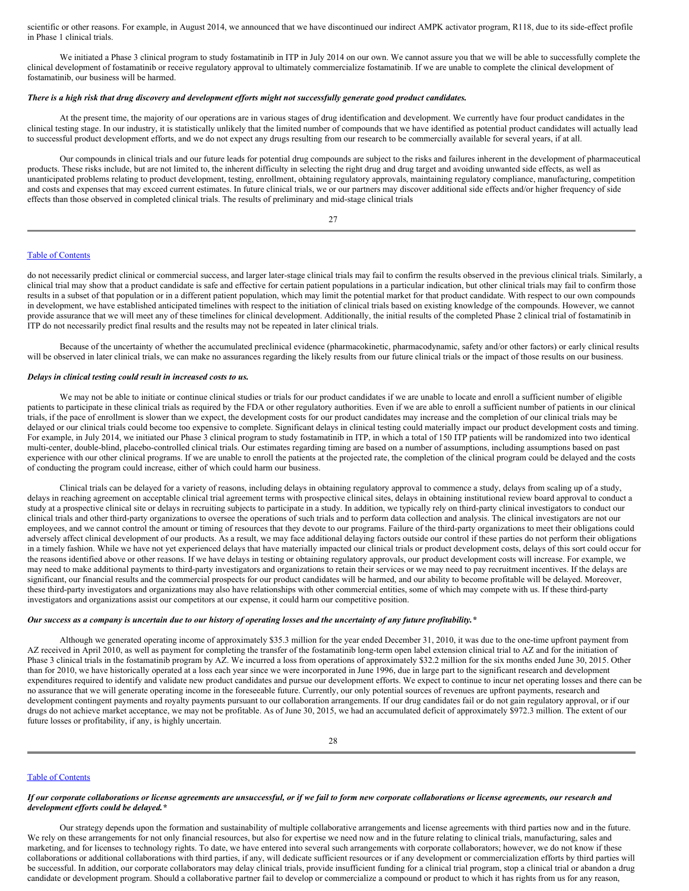scientific or other reasons. For example, in August 2014, we announced that we have discontinued our indirect AMPK activator program, R118, due to its side-effect profile in Phase 1 clinical trials.

We initiated a Phase 3 clinical program to study fostamatinib in ITP in July 2014 on our own. We cannot assure you that we will be able to successfully complete the clinical development of fostamatinib or receive regulatory approval to ultimately commercialize fostamatinib. If we are unable to complete the clinical development of fostamatinib, our business will be harmed.

# There is a high risk that drug discovery and development efforts might not successfully generate good product candidates.

At the present time, the majority of our operations are in various stages of drug identification and development. We currently have four product candidates in the clinical testing stage. In our industry, it is statistically unlikely that the limited number of compounds that we have identified as potential product candidates will actually lead to successful product development efforts, and we do not expect any drugs resulting from our research to be commercially available for several years, if at all.

Our compounds in clinical trials and our future leads for potential drug compounds are subject to the risks and failures inherent in the development of pharmaceutical products. These risks include, but are not limited to, the inherent difficulty in selecting the right drug and drug target and avoiding unwanted side effects, as well as unanticipated problems relating to product development, testing, enrollment, obtaining regulatory approvals, maintaining regulatory compliance, manufacturing, competition and costs and expenses that may exceed current estimates. In future clinical trials, we or our partners may discover additional side effects and/or higher frequency of side effects than those observed in completed clinical trials. The results of preliminary and mid-stage clinical trials

### Table of [Contents](#page-0-0)

do not necessarily predict clinical or commercial success, and larger later-stage clinical trials may fail to confirm the results observed in the previous clinical trials. Similarly, a clinical trial may show that a product candidate is safe and effective for certain patient populations in a particular indication, but other clinical trials may fail to confirm those results in a subset of that population or in a different patient population, which may limit the potential market for that product candidate. With respect to our own compounds in development, we have established anticipated timelines with respect to the initiation of clinical trials based on existing knowledge of the compounds. However, we cannot provide assurance that we will meet any of these timelines for clinical development. Additionally, the initial results of the completed Phase 2 clinical trial of fostamatinib in ITP do not necessarily predict final results and the results may not be repeated in later clinical trials.

Because of the uncertainty of whether the accumulated preclinical evidence (pharmacokinetic, pharmacodynamic, safety and/or other factors) or early clinical results will be observed in later clinical trials, we can make no assurances regarding the likely results from our future clinical trials or the impact of those results on our business.

# *Delays in clinical testing could result in increased costs to us.*

We may not be able to initiate or continue clinical studies or trials for our product candidates if we are unable to locate and enroll a sufficient number of eligible patients to participate in these clinical trials as required by the FDA or other regulatory authorities. Even if we are able to enroll a sufficient number of patients in our clinical trials, if the pace of enrollment is slower than we expect, the development costs for our product candidates may increase and the completion of our clinical trials may be delayed or our clinical trials could become too expensive to complete. Significant delays in clinical testing could materially impact our product development costs and timing. For example, in July 2014, we initiated our Phase 3 clinical program to study fostamatinib in ITP, in which a total of 150 ITP patients will be randomized into two identical multi-center, double-blind, placebo-controlled clinical trials. Our estimates regarding timing are based on a number of assumptions, including assumptions based on past experience with our other clinical programs. If we are unable to enroll the patients at the projected rate, the completion of the clinical program could be delayed and the costs of conducting the program could increase, either of which could harm our business.

Clinical trials can be delayed for a variety of reasons, including delays in obtaining regulatory approval to commence a study, delays from scaling up of a study, delays in reaching agreement on acceptable clinical trial agreement terms with prospective clinical sites, delays in obtaining institutional review board approval to conduct a study at a prospective clinical site or delays in recruiting subjects to participate in a study. In addition, we typically rely on third-party clinical investigators to conduct our clinical trials and other third-party organizations to oversee the operations of such trials and to perform data collection and analysis. The clinical investigators are not our employees, and we cannot control the amount or timing of resources that they devote to our programs. Failure of the third-party organizations to meet their obligations could adversely affect clinical development of our products. As a result, we may face additional delaying factors outside our control if these parties do not perform their obligations in a timely fashion. While we have not yet experienced delays that have materially impacted our clinical trials or product development costs, delays of this sort could occur for the reasons identified above or other reasons. If we have delays in testing or obtaining regulatory approvals, our product development costs will increase. For example, we may need to make additional payments to third-party investigators and organizations to retain their services or we may need to pay recruitment incentives. If the delays are significant, our financial results and the commercial prospects for our product candidates will be harmed, and our ability to become profitable will be delayed. Moreover, these third-party investigators and organizations may also have relationships with other commercial entities, some of which may compete with us. If these third-party investigators and organizations assist our competitors at our expense, it could harm our competitive position.

#### Our success as a company is uncertain due to our history of operating losses and the uncertainty of any future profitability.\*

Although we generated operating income of approximately \$35.3 million for the year ended December 31, 2010, it was due to the one-time upfront payment from AZ received in April 2010, as well as payment for completing the transfer of the fostamatinib long-term open label extension clinical trial to AZ and for the initiation of Phase 3 clinical trials in the fostamatinib program by AZ. We incurred a loss from operations of approximately \$32.2 million for the six months ended June 30, 2015. Other than for 2010, we have historically operated at a loss each year since we were incorporated in June 1996, due in large part to the significant research and development expenditures required to identify and validate new product candidates and pursue our development efforts. We expect to continue to incur net operating losses and there can be no assurance that we will generate operating income in the foreseeable future. Currently, our only potential sources of revenues are upfront payments, research and development contingent payments and royalty payments pursuant to our collaboration arrangements. If our drug candidates fail or do not gain regulatory approval, or if our drugs do not achieve market acceptance, we may not be profitable. As of June 30, 2015, we had an accumulated deficit of approximately \$972.3 million. The extent of our future losses or profitability, if any, is highly uncertain.

#### Table of [Contents](#page-0-0)

If our corporate collaborations or license agreements are unsuccessful, or if we fail to form new corporate collaborations or license agreements, our research and *development ef orts could be delayed.\**

Our strategy depends upon the formation and sustainability of multiple collaborative arrangements and license agreements with third parties now and in the future. We rely on these arrangements for not only financial resources, but also for expertise we need now and in the future relating to clinical trials, manufacturing, sales and marketing, and for licenses to technology rights. To date, we have entered into several such arrangements with corporate collaborators; however, we do not know if these collaborations or additional collaborations with third parties, if any, will dedicate sufficient resources or if any development or commercialization efforts by third parties will be successful. In addition, our corporate collaborators may delay clinical trials, provide insufficient funding for a clinical trial program, stop a clinical trial or abandon a drug candidate or development program. Should a collaborative partner fail to develop or commercialize a compound or product to which it has rights from us for any reason,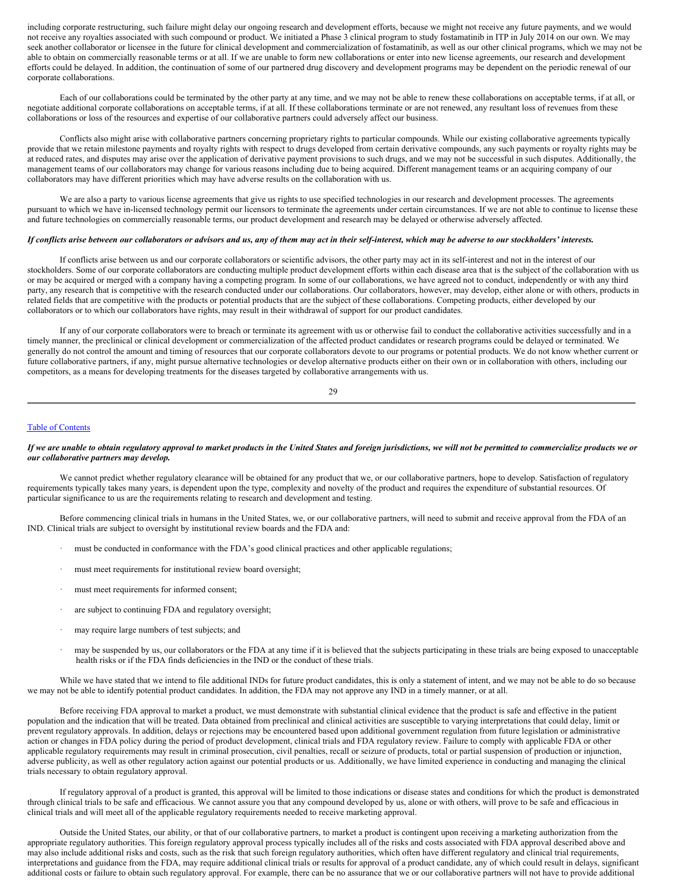including corporate restructuring, such failure might delay our ongoing research and development efforts, because we might not receive any future payments, and we would not receive any royalties associated with such compound or product. We initiated a Phase 3 clinical program to study fostamatinib in ITP in July 2014 on our own. We may seek another collaborator or licensee in the future for clinical development and commercialization of fostamatinib, as well as our other clinical programs, which we may not be able to obtain on commercially reasonable terms or at all. If we are unable to form new collaborations or enter into new license agreements, our research and development efforts could be delayed. In addition, the continuation of some of our partnered drug discovery and development programs may be dependent on the periodic renewal of our corporate collaborations.

Each of our collaborations could be terminated by the other party at any time, and we may not be able to renew these collaborations on acceptable terms, if at all, or negotiate additional corporate collaborations on acceptable terms, if at all. If these collaborations terminate or are not renewed, any resultant loss of revenues from these collaborations or loss of the resources and expertise of our collaborative partners could adversely affect our business.

Conflicts also might arise with collaborative partners concerning proprietary rights to particular compounds. While our existing collaborative agreements typically provide that we retain milestone payments and royalty rights with respect to drugs developed from certain derivative compounds, any such payments or royalty rights may be at reduced rates, and disputes may arise over the application of derivative payment provisions to such drugs, and we may not be successful in such disputes. Additionally, the management teams of our collaborators may change for various reasons including due to being acquired. Different management teams or an acquiring company of our collaborators may have different priorities which may have adverse results on the collaboration with us.

We are also a party to various license agreements that give us rights to use specified technologies in our research and development processes. The agreements pursuant to which we have in-licensed technology permit our licensors to terminate the agreements under certain circumstances. If we are not able to continue to license these and future technologies on commercially reasonable terms, our product development and research may be delayed or otherwise adversely affected.

# If conflicts arise between our collaborators or advisors and us, any of them may act in their self-interest, which may be adverse to our stockholders' interests.

If conflicts arise between us and our corporate collaborators or scientific advisors, the other party may act in its self-interest and not in the interest of our stockholders. Some of our corporate collaborators are conducting multiple product development efforts within each disease area that is the subject of the collaboration with us or may be acquired or merged with a company having a competing program. In some of our collaborations, we have agreed not to conduct, independently or with any third party, any research that is competitive with the research conducted under our collaborations. Our collaborators, however, may develop, either alone or with others, products in related fields that are competitive with the products or potential products that are the subject of these collaborations. Competing products, either developed by our collaborators or to which our collaborators have rights, may result in their withdrawal of support for our product candidates.

If any of our corporate collaborators were to breach or terminate its agreement with us or otherwise fail to conduct the collaborative activities successfully and in a timely manner, the preclinical or clinical development or commercialization of the affected product candidates or research programs could be delayed or terminated. We generally do not control the amount and timing of resources that our corporate collaborators devote to our programs or potential products. We do not know whether current or future collaborative partners, if any, might pursue alternative technologies or develop alternative products either on their own or in collaboration with others, including our competitors, as a means for developing treatments for the diseases targeted by collaborative arrangements with us.

29

#### Table of [Contents](#page-0-0)

# If we are unable to obtain regulatory approval to market products in the United States and foreign jurisdictions, we will not be permitted to commercialize products we or *our collaborative partners may develop.*

We cannot predict whether regulatory clearance will be obtained for any product that we, or our collaborative partners, hope to develop. Satisfaction of regulatory requirements typically takes many years, is dependent upon the type, complexity and novelty of the product and requires the expenditure of substantial resources. Of particular significance to us are the requirements relating to research and development and testing.

Before commencing clinical trials in humans in the United States, we, or our collaborative partners, will need to submit and receive approval from the FDA of an IND. Clinical trials are subject to oversight by institutional review boards and the FDA and:

- must be conducted in conformance with the FDA's good clinical practices and other applicable regulations;
- must meet requirements for institutional review board oversight;
- must meet requirements for informed consent;
- are subject to continuing FDA and regulatory oversight;
- may require large numbers of test subjects; and
- may be suspended by us, our collaborators or the FDA at any time if it is believed that the subjects participating in these trials are being exposed to unacceptable health risks or if the FDA finds deficiencies in the IND or the conduct of these trials.

While we have stated that we intend to file additional INDs for future product candidates, this is only a statement of intent, and we may not be able to do so because we may not be able to identify potential product candidates. In addition, the FDA may not approve any IND in a timely manner, or at all.

Before receiving FDA approval to market a product, we must demonstrate with substantial clinical evidence that the product is safe and effective in the patient population and the indication that will be treated. Data obtained from preclinical and clinical activities are susceptible to varying interpretations that could delay, limit or prevent regulatory approvals. In addition, delays or rejections may be encountered based upon additional government regulation from future legislation or administrative action or changes in FDA policy during the period of product development, clinical trials and FDA regulatory review. Failure to comply with applicable FDA or other applicable regulatory requirements may result in criminal prosecution, civil penalties, recall or seizure of products, total or partial suspension of production or injunction, adverse publicity, as well as other regulatory action against our potential products or us. Additionally, we have limited experience in conducting and managing the clinical trials necessary to obtain regulatory approval.

If regulatory approval of a product is granted, this approval will be limited to those indications or disease states and conditions for which the product is demonstrated through clinical trials to be safe and efficacious. We cannot assure you that any compound developed by us, alone or with others, will prove to be safe and efficacious in clinical trials and will meet all of the applicable regulatory requirements needed to receive marketing approval.

Outside the United States, our ability, or that of our collaborative partners, to market a product is contingent upon receiving a marketing authorization from the appropriate regulatory authorities. This foreign regulatory approval process typically includes all of the risks and costs associated with FDA approval described above and may also include additional risks and costs, such as the risk that such foreign regulatory authorities, which often have different regulatory and clinical trial requirements, interpretations and guidance from the FDA, may require additional clinical trials or results for approval of a product candidate, any of which could result in delays, significant additional costs or failure to obtain such regulatory approval. For example, there can be no assurance that we or our collaborative partners will not have to provide additional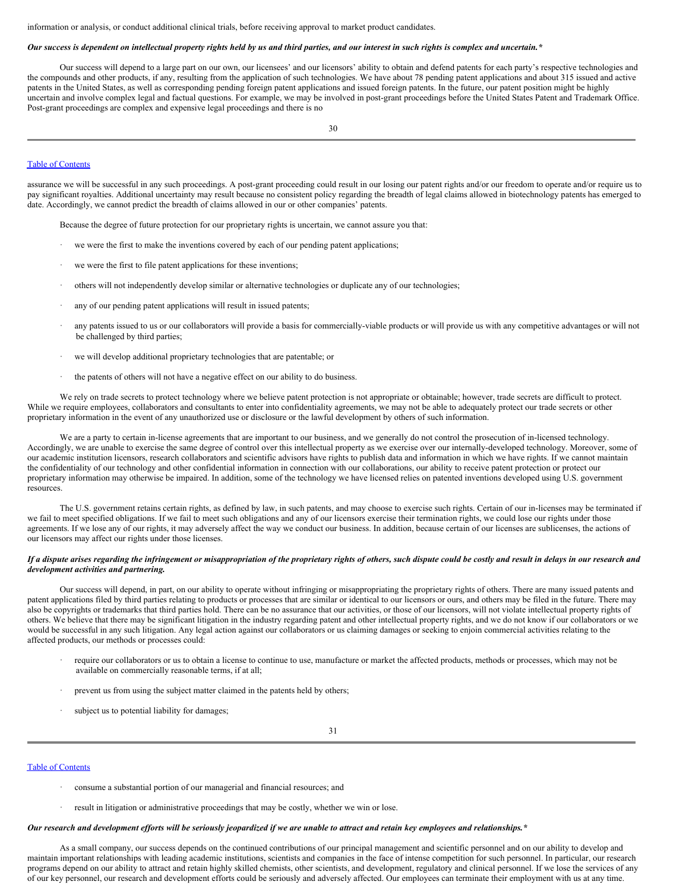information or analysis, or conduct additional clinical trials, before receiving approval to market product candidates.

# Our success is dependent on intellectual property rights held by us and third parties, and our interest in such rights is complex and uncertain.\*

Our success will depend to a large part on our own, our licensees' and our licensors' ability to obtain and defend patents for each party's respective technologies and the compounds and other products, if any, resulting from the application of such technologies. We have about 78 pending patent applications and about 315 issued and active patents in the United States, as well as corresponding pending foreign patent applications and issued foreign patents. In the future, our patent position might be highly uncertain and involve complex legal and factual questions. For example, we may be involved in post-grant proceedings before the United States Patent and Trademark Office. Post-grant proceedings are complex and expensive legal proceedings and there is no

#### Table of [Contents](#page-0-0)

assurance we will be successful in any such proceedings. A post-grant proceeding could result in our losing our patent rights and/or our freedom to operate and/or require us to pay significant royalties. Additional uncertainty may result because no consistent policy regarding the breadth of legal claims allowed in biotechnology patents has emerged to date. Accordingly, we cannot predict the breadth of claims allowed in our or other companies' patents.

Because the degree of future protection for our proprietary rights is uncertain, we cannot assure you that:

- we were the first to make the inventions covered by each of our pending patent applications;
- we were the first to file patent applications for these inventions;
- others will not independently develop similar or alternative technologies or duplicate any of our technologies;
- any of our pending patent applications will result in issued patents;
- any patents issued to us or our collaborators will provide a basis for commercially-viable products or will provide us with any competitive advantages or will not be challenged by third parties;
- we will develop additional proprietary technologies that are patentable; or
- the patents of others will not have a negative effect on our ability to do business.

We rely on trade secrets to protect technology where we believe patent protection is not appropriate or obtainable; however, trade secrets are difficult to protect. While we require employees, collaborators and consultants to enter into confidentiality agreements, we may not be able to adequately protect our trade secrets or other proprietary information in the event of any unauthorized use or disclosure or the lawful development by others of such information.

We are a party to certain in-license agreements that are important to our business, and we generally do not control the prosecution of in-licensed technology. Accordingly, we are unable to exercise the same degree of control over this intellectual property as we exercise over our internally-developed technology. Moreover, some of our academic institution licensors, research collaborators and scientific advisors have rights to publish data and information in which we have rights. If we cannot maintain the confidentiality of our technology and other confidential information in connection with our collaborations, our ability to receive patent protection or protect our proprietary information may otherwise be impaired. In addition, some of the technology we have licensed relies on patented inventions developed using U.S. government resources.

The U.S. government retains certain rights, as defined by law, in such patents, and may choose to exercise such rights. Certain of our in-licenses may be terminated if we fail to meet specified obligations. If we fail to meet such obligations and any of our licensors exercise their termination rights, we could lose our rights under those agreements. If we lose any of our rights, it may adversely affect the way we conduct our business. In addition, because certain of our licenses are sublicenses, the actions of our licensors may affect our rights under those licenses.

# If a dispute arises regarding the infringement or misappropriation of the proprietary rights of others, such dispute could be costly and result in delays in our research and *development activities and partnering.*

Our success will depend, in part, on our ability to operate without infringing or misappropriating the proprietary rights of others. There are many issued patents and patent applications filed by third parties relating to products or processes that are similar or identical to our licensors or ours, and others may be filed in the future. There may also be copyrights or trademarks that third parties hold. There can be no assurance that our activities, or those of our licensors, will not violate intellectual property rights of others. We believe that there may be significant litigation in the industry regarding patent and other intellectual property rights, and we do not know if our collaborators or we would be successful in any such litigation. Any legal action against our collaborators or us claiming damages or seeking to enjoin commercial activities relating to the affected products, our methods or processes could:

- require our collaborators or us to obtain a license to continue to use, manufacture or market the affected products, methods or processes, which may not be available on commercially reasonable terms, if at all;
- prevent us from using the subject matter claimed in the patents held by others;
- subject us to potential liability for damages;

# Table of [Contents](#page-0-0)

- · consume a substantial portion of our managerial and financial resources; and
- result in litigation or administrative proceedings that may be costly, whether we win or lose.

# Our research and development efforts will be seriously jeopardized if we are unable to attract and retain key employees and relationships.\*

As a small company, our success depends on the continued contributions of our principal management and scientific personnel and on our ability to develop and maintain important relationships with leading academic institutions, scientists and companies in the face of intense competition for such personnel. In particular, our research programs depend on our ability to attract and retain highly skilled chemists, other scientists, and development, regulatory and clinical personnel. If we lose the services of any of our key personnel, our research and development efforts could be seriously and adversely affected. Our employees can terminate their employment with us at any time.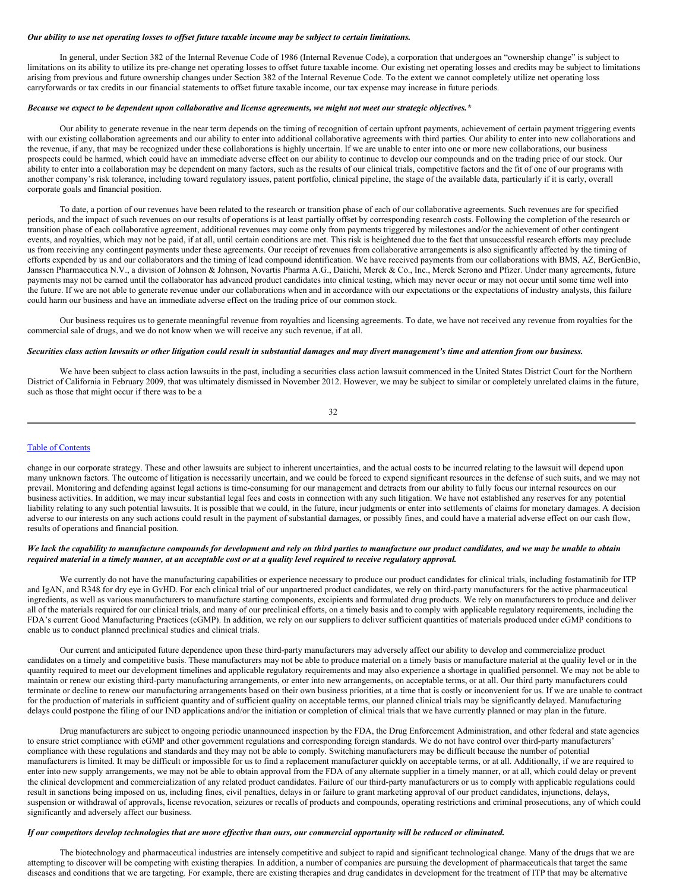#### Our ability to use net operating losses to offset future taxable income may be subject to certain limitations.

In general, under Section 382 of the Internal Revenue Code of 1986 (Internal Revenue Code), a corporation that undergoes an "ownership change" is subject to limitations on its ability to utilize its pre-change net operating losses to offset future taxable income. Our existing net operating losses and credits may be subject to limitations arising from previous and future ownership changes under Section 382 of the Internal Revenue Code. To the extent we cannot completely utilize net operating loss carryforwards or tax credits in our financial statements to offset future taxable income, our tax expense may increase in future periods.

#### Because we expect to be dependent upon collaborative and license agreements, we might not meet our strategic objectives.\*

Our ability to generate revenue in the near term depends on the timing of recognition of certain upfront payments, achievement of certain payment triggering events with our existing collaboration agreements and our ability to enter into additional collaborative agreements with third parties. Our ability to enter into new collaborations and the revenue, if any, that may be recognized under these collaborations is highly uncertain. If we are unable to enter into one or more new collaborations, our business prospects could be harmed, which could have an immediate adverse effect on our ability to continue to develop our compounds and on the trading price of our stock. Our ability to enter into a collaboration may be dependent on many factors, such as the results of our clinical trials, competitive factors and the fit of one of our programs with another company's risk tolerance, including toward regulatory issues, patent portfolio, clinical pipeline, the stage of the available data, particularly if it is early, overall corporate goals and financial position.

To date, a portion of our revenues have been related to the research or transition phase of each of our collaborative agreements. Such revenues are for specified periods, and the impact of such revenues on our results of operations is at least partially offset by corresponding research costs. Following the completion of the research or transition phase of each collaborative agreement, additional revenues may come only from payments triggered by milestones and/or the achievement of other contingent events, and royalties, which may not be paid, if at all, until certain conditions are met. This risk is heightened due to the fact that unsuccessful research efforts may preclude us from receiving any contingent payments under these agreements. Our receipt of revenues from collaborative arrangements is also significantly affected by the timing of efforts expended by us and our collaborators and the timing of lead compound identification. We have received payments from our collaborations with BMS, AZ, BerGenBio, Janssen Pharmaceutica N.V., a division of Johnson & Johnson, Novartis Pharma A.G., Daiichi, Merck & Co., Inc., Merck Serono and Pfizer. Under many agreements, future payments may not be earned until the collaborator has advanced product candidates into clinical testing, which may never occur or may not occur until some time well into the future. If we are not able to generate revenue under our collaborations when and in accordance with our expectations or the expectations of industry analysts, this failure could harm our business and have an immediate adverse effect on the trading price of our common stock.

Our business requires us to generate meaningful revenue from royalties and licensing agreements. To date, we have not received any revenue from royalties for the commercial sale of drugs, and we do not know when we will receive any such revenue, if at all.

# Securities class action lawsuits or other litigation could result in substantial damages and may divert management's time and attention from our business.

We have been subject to class action lawsuits in the past, including a securities class action lawsuit commenced in the United States District Court for the Northern District of California in February 2009, that was ultimately dismissed in November 2012. However, we may be subject to similar or completely unrelated claims in the future, such as those that might occur if there was to be a

32

### Table of [Contents](#page-0-0)

change in our corporate strategy. These and other lawsuits are subject to inherent uncertainties, and the actual costs to be incurred relating to the lawsuit will depend upon many unknown factors. The outcome of litigation is necessarily uncertain, and we could be forced to expend significant resources in the defense of such suits, and we may not prevail. Monitoring and defending against legal actions is time-consuming for our management and detracts from our ability to fully focus our internal resources on our business activities. In addition, we may incur substantial legal fees and costs in connection with any such litigation. We have not established any reserves for any potential liability relating to any such potential lawsuits. It is possible that we could, in the future, incur judgments or enter into settlements of claims for monetary damages. A decision adverse to our interests on any such actions could result in the payment of substantial damages, or possibly fines, and could have a material adverse effect on our cash flow, results of operations and financial position.

# We lack the capability to manufacture compounds for development and rely on third parties to manufacture our product candidates, and we may be unable to obtain required material in a timely manner, at an acceptable cost or at a quality level required to receive regulatory approval.

We currently do not have the manufacturing capabilities or experience necessary to produce our product candidates for clinical trials, including fostamatinib for ITP and IgAN, and R348 for dry eye in GvHD. For each clinical trial of our unpartnered product candidates, we rely on third-party manufacturers for the active pharmaceutical ingredients, as well as various manufacturers to manufacture starting components, excipients and formulated drug products. We rely on manufacturers to produce and deliver all of the materials required for our clinical trials, and many of our preclinical efforts, on a timely basis and to comply with applicable regulatory requirements, including the FDA's current Good Manufacturing Practices (cGMP). In addition, we rely on our suppliers to deliver sufficient quantities of materials produced under cGMP conditions to enable us to conduct planned preclinical studies and clinical trials.

Our current and anticipated future dependence upon these third-party manufacturers may adversely affect our ability to develop and commercialize product candidates on a timely and competitive basis. These manufacturers may not be able to produce material on a timely basis or manufacture material at the quality level or in the quantity required to meet our development timelines and applicable regulatory requirements and may also experience a shortage in qualified personnel. We may not be able to maintain or renew our existing third-party manufacturing arrangements, or enter into new arrangements, on acceptable terms, or at all. Our third party manufacturers could terminate or decline to renew our manufacturing arrangements based on their own business priorities, at a time that is costly or inconvenient for us. If we are unable to contract for the production of materials in sufficient quantity and of sufficient quality on acceptable terms, our planned clinical trials may be significantly delayed. Manufacturing delays could postpone the filing of our IND applications and/or the initiation or completion of clinical trials that we have currently planned or may plan in the future.

Drug manufacturers are subject to ongoing periodic unannounced inspection by the FDA, the Drug Enforcement Administration, and other federal and state agencies to ensure strict compliance with cGMP and other government regulations and corresponding foreign standards. We do not have control over third-party manufacturers' compliance with these regulations and standards and they may not be able to comply. Switching manufacturers may be difficult because the number of potential manufacturers is limited. It may be difficult or impossible for us to find a replacement manufacturer quickly on acceptable terms, or at all. Additionally, if we are required to enter into new supply arrangements, we may not be able to obtain approval from the FDA of any alternate supplier in a timely manner, or at all, which could delay or prevent the clinical development and commercialization of any related product candidates. Failure of our third-party manufacturers or us to comply with applicable regulations could result in sanctions being imposed on us, including fines, civil penalties, delays in or failure to grant marketing approval of our product candidates, injunctions, delays, suspension or withdrawal of approvals, license revocation, seizures or recalls of products and compounds, operating restrictions and criminal prosecutions, any of which could significantly and adversely affect our business.

#### If our competitors develop technologies that are more effective than ours, our commercial opportunity will be reduced or eliminated.

The biotechnology and pharmaceutical industries are intensely competitive and subject to rapid and significant technological change. Many of the drugs that we are attempting to discover will be competing with existing therapies. In addition, a number of companies are pursuing the development of pharmaceuticals that target the same diseases and conditions that we are targeting. For example, there are existing therapies and drug candidates in development for the treatment of ITP that may be alternative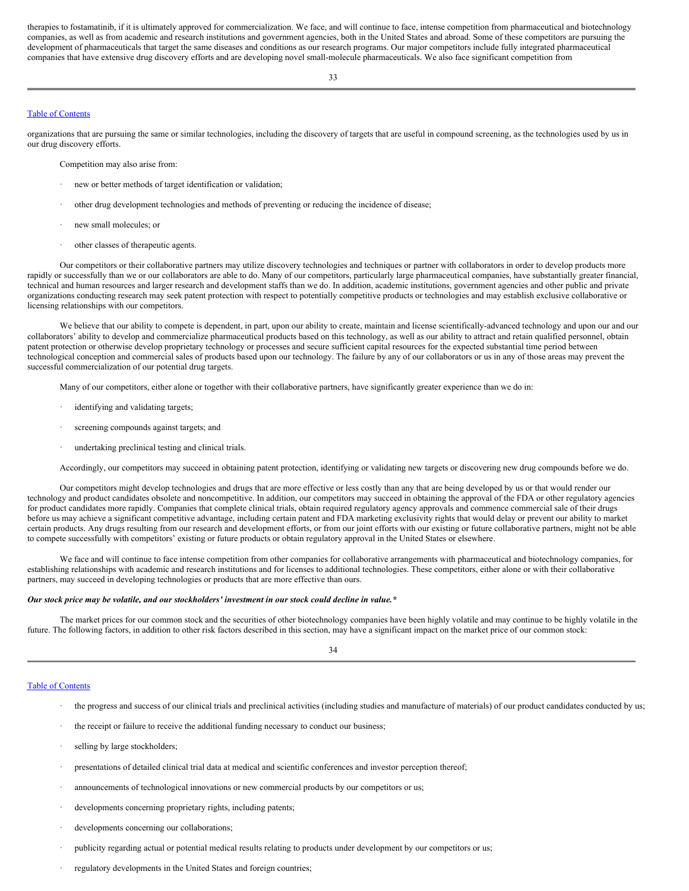therapies to fostamatinib, if it is ultimately approved for commercialization. We face, and will continue to face, intense competition from pharmaceutical and biotechnology companies, as well as from academic and research institutions and government agencies, both in the United States and abroad. Some of these competitors are pursuing the development of pharmaceuticals that target the same diseases and conditions as our research programs. Our major competitors include fully integrated pharmaceutical companies that have extensive drug discovery efforts and are developing novel small-molecule pharmaceuticals. We also face significant competition from

# Table of [Contents](#page-0-0)

organizations that are pursuing the same or similar technologies, including the discovery of targets that are useful in compound screening, as the technologies used by us in our drug discovery efforts.

- Competition may also arise from:
- new or better methods of target identification or validation;
- other drug development technologies and methods of preventing or reducing the incidence of disease;
- new small molecules; or
- · other classes of therapeutic agents.

Our competitors or their collaborative partners may utilize discovery technologies and techniques or partner with collaborators in order to develop products more rapidly or successfully than we or our collaborators are able to do. Many of our competitors, particularly large pharmaceutical companies, have substantially greater financial, technical and human resources and larger research and development staffs than we do. In addition, academic institutions, government agencies and other public and private organizations conducting research may seek patent protection with respect to potentially competitive products or technologies and may establish exclusive collaborative or licensing relationships with our competitors.

We believe that our ability to compete is dependent, in part, upon our ability to create, maintain and license scientifically-advanced technology and upon our and our collaborators' ability to develop and commercialize pharmaceutical products based on this technology, as well as our ability to attract and retain qualified personnel, obtain patent protection or otherwise develop proprietary technology or processes and secure sufficient capital resources for the expected substantial time period between technological conception and commercial sales of products based upon our technology. The failure by any of our collaborators or us in any of those areas may prevent the successful commercialization of our potential drug targets.

Many of our competitors, either alone or together with their collaborative partners, have significantly greater experience than we do in:

- identifying and validating targets;
- screening compounds against targets; and
- undertaking preclinical testing and clinical trials.

Accordingly, our competitors may succeed in obtaining patent protection, identifying or validating new targets or discovering new drug compounds before we do.

Our competitors might develop technologies and drugs that are more effective or less costly than any that are being developed by us or that would render our technology and product candidates obsolete and noncompetitive. In addition, our competitors may succeed in obtaining the approval of the FDA or other regulatory agencies for product candidates more rapidly. Companies that complete clinical trials, obtain required regulatory agency approvals and commence commercial sale of their drugs before us may achieve a significant competitive advantage, including certain patent and FDA marketing exclusivity rights that would delay or prevent our ability to market certain products. Any drugs resulting from our research and development efforts, or from our joint efforts with our existing or future collaborative partners, might not be able to compete successfully with competitors' existing or future products or obtain regulatory approval in the United States or elsewhere.

We face and will continue to face intense competition from other companies for collaborative arrangements with pharmaceutical and biotechnology companies, for establishing relationships with academic and research institutions and for licenses to additional technologies. These competitors, either alone or with their collaborative partners, may succeed in developing technologies or products that are more effective than ours.

### *Our stock price may be volatile, and our stockholders' investment in our stock could decline in value.\**

The market prices for our common stock and the securities of other biotechnology companies have been highly volatile and may continue to be highly volatile in the future. The following factors, in addition to other risk factors described in this section, may have a significant impact on the market price of our common stock:

# 34

#### Table of [Contents](#page-0-0)

- · the progress and success of our clinical trials and preclinical activities (including studies and manufacture of materials) of our product candidates conducted by us;
- the receipt or failure to receive the additional funding necessary to conduct our business;
- selling by large stockholders;
- presentations of detailed clinical trial data at medical and scientific conferences and investor perception thereof;
- announcements of technological innovations or new commercial products by our competitors or us;
- developments concerning proprietary rights, including patents;
- developments concerning our collaborations;
- publicity regarding actual or potential medical results relating to products under development by our competitors or us;
- regulatory developments in the United States and foreign countries;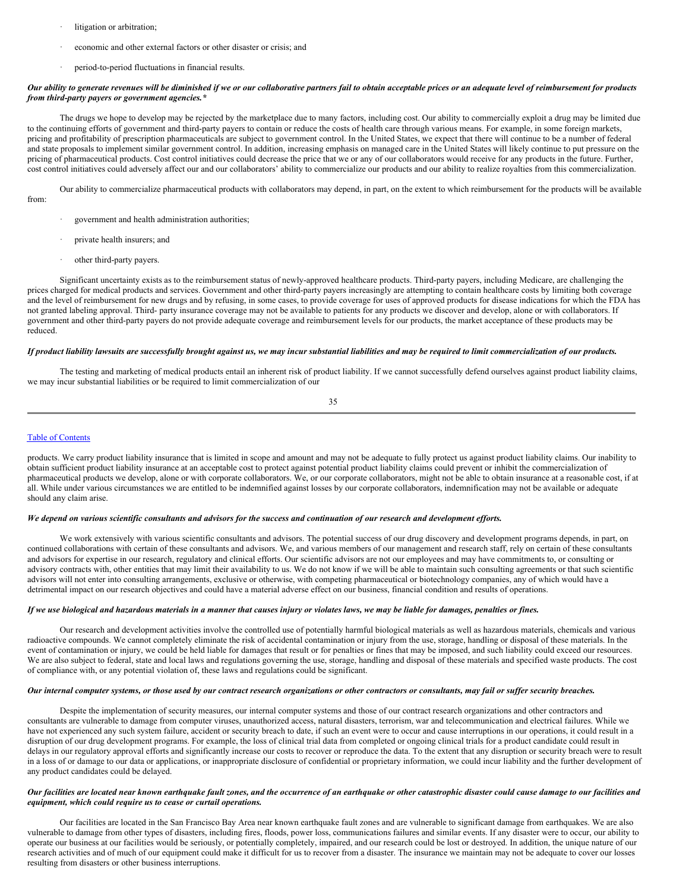- litigation or arbitration;
- economic and other external factors or other disaster or crisis; and
- period-to-period fluctuations in financial results.

### Our ability to generate revenues will be diminished if we or our collaborative partners fail to obtain acceptable prices or an adequate level of reimbursement for products *from third-party payers or government agencies.\**

The drugs we hope to develop may be rejected by the marketplace due to many factors, including cost. Our ability to commercially exploit a drug may be limited due to the continuing efforts of government and third-party payers to contain or reduce the costs of health care through various means. For example, in some foreign markets, pricing and profitability of prescription pharmaceuticals are subject to government control. In the United States, we expect that there will continue to be a number of federal and state proposals to implement similar government control. In addition, increasing emphasis on managed care in the United States will likely continue to put pressure on the pricing of pharmaceutical products. Cost control initiatives could decrease the price that we or any of our collaborators would receive for any products in the future. Further, cost control initiatives could adversely affect our and our collaborators' ability to commercialize our products and our ability to realize royalties from this commercialization.

Our ability to commercialize pharmaceutical products with collaborators may depend, in part, on the extent to which reimbursement for the products will be available from:

- government and health administration authorities;
- private health insurers; and
- other third-party payers.

Significant uncertainty exists as to the reimbursement status of newly-approved healthcare products. Third-party payers, including Medicare, are challenging the prices charged for medical products and services. Government and other third-party payers increasingly are attempting to contain healthcare costs by limiting both coverage and the level of reimbursement for new drugs and by refusing, in some cases, to provide coverage for uses of approved products for disease indications for which the FDA has not granted labeling approval. Third- party insurance coverage may not be available to patients for any products we discover and develop, alone or with collaborators. If government and other third-party payers do not provide adequate coverage and reimbursement levels for our products, the market acceptance of these products may be reduced.

### If product liability lawsuits are successfully brought against us, we may incur substantial liabilities and may be required to limit commercialization of our products.

The testing and marketing of medical products entail an inherent risk of product liability. If we cannot successfully defend ourselves against product liability claims, we may incur substantial liabilities or be required to limit commercialization of our

| ٠<br>-- | I<br>I |  |
|---------|--------|--|

# Table of [Contents](#page-0-0)

products. We carry product liability insurance that is limited in scope and amount and may not be adequate to fully protect us against product liability claims. Our inability to obtain sufficient product liability insurance at an acceptable cost to protect against potential product liability claims could prevent or inhibit the commercialization of pharmaceutical products we develop, alone or with corporate collaborators. We, or our corporate collaborators, might not be able to obtain insurance at a reasonable cost, if at all. While under various circumstances we are entitled to be indemnified against losses by our corporate collaborators, indemnification may not be available or adequate should any claim arise.

## We depend on various scientific consultants and advisors for the success and continuation of our research and development efforts.

We work extensively with various scientific consultants and advisors. The potential success of our drug discovery and development programs depends, in part, on continued collaborations with certain of these consultants and advisors. We, and various members of our management and research staff, rely on certain of these consultants and advisors for expertise in our research, regulatory and clinical efforts. Our scientific advisors are not our employees and may have commitments to, or consulting or advisory contracts with, other entities that may limit their availability to us. We do not know if we will be able to maintain such consulting agreements or that such scientific advisors will not enter into consulting arrangements, exclusive or otherwise, with competing pharmaceutical or biotechnology companies, any of which would have a detrimental impact on our research objectives and could have a material adverse effect on our business, financial condition and results of operations.

#### If we use biological and hazardous materials in a manner that causes injury or violates laws, we may be liable for damages, penalties or fines.

Our research and development activities involve the controlled use of potentially harmful biological materials as well as hazardous materials, chemicals and various radioactive compounds. We cannot completely eliminate the risk of accidental contamination or injury from the use, storage, handling or disposal of these materials. In the event of contamination or injury, we could be held liable for damages that result or for penalties or fines that may be imposed, and such liability could exceed our resources. We are also subject to federal, state and local laws and regulations governing the use, storage, handling and disposal of these materials and specified waste products. The cost of compliance with, or any potential violation of, these laws and regulations could be significant.

#### Our internal computer systems, or those used by our contract research organizations or other contractors or consultants, may fail or suffer security breaches.

Despite the implementation of security measures, our internal computer systems and those of our contract research organizations and other contractors and consultants are vulnerable to damage from computer viruses, unauthorized access, natural disasters, terrorism, war and telecommunication and electrical failures. While we have not experienced any such system failure, accident or security breach to date, if such an event were to occur and cause interruptions in our operations, it could result in a disruption of our drug development programs. For example, the loss of clinical trial data from completed or ongoing clinical trials for a product candidate could result in delays in our regulatory approval efforts and significantly increase our costs to recover or reproduce the data. To the extent that any disruption or security breach were to result in a loss of or damage to our data or applications, or inappropriate disclosure of confidential or proprietary information, we could incur liability and the further development of any product candidates could be delayed.

### Our facilities are located near known earthquake fault zones, and the occurrence of an earthquake or other catastrophic disaster could cause damage to our facilities and *equipment, which could require us to cease or curtail operations.*

Our facilities are located in the San Francisco Bay Area near known earthquake fault zones and are vulnerable to significant damage from earthquakes. We are also vulnerable to damage from other types of disasters, including fires, floods, power loss, communications failures and similar events. If any disaster were to occur, our ability to operate our business at our facilities would be seriously, or potentially completely, impaired, and our research could be lost or destroyed. In addition, the unique nature of our research activities and of much of our equipment could make it difficult for us to recover from a disaster. The insurance we maintain may not be adequate to cover our losses resulting from disasters or other business interruptions.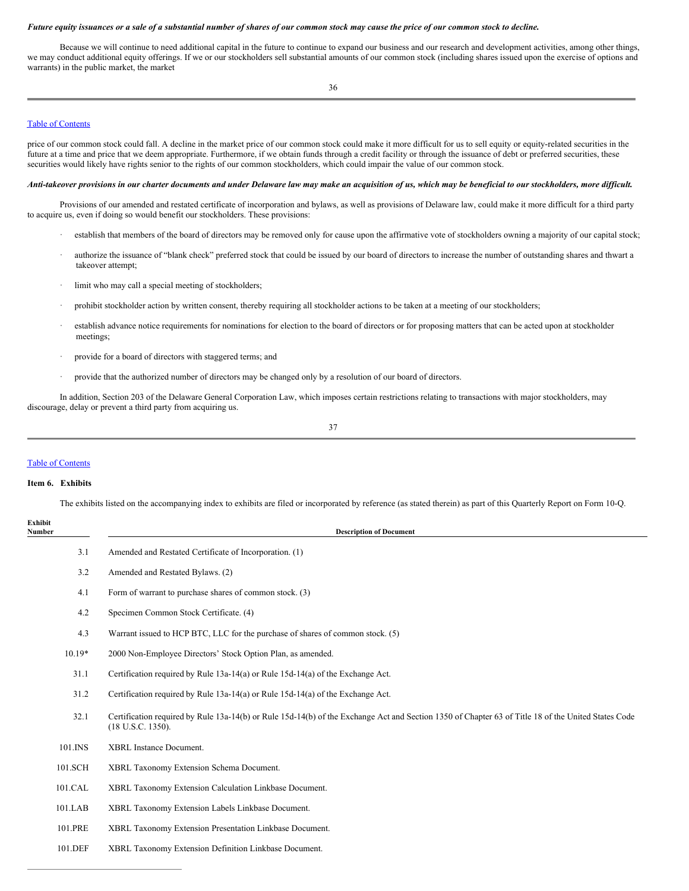### Future equity issuances or a sale of a substantial number of shares of our common stock may cause the price of our common stock to decline.

Because we will continue to need additional capital in the future to continue to expand our business and our research and development activities, among other things, we may conduct additional equity offerings. If we or our stockholders sell substantial amounts of our common stock (including shares issued upon the exercise of options and warrants) in the public market, the market

36

# Table of [Contents](#page-0-0)

price of our common stock could fall. A decline in the market price of our common stock could make it more difficult for us to sell equity or equity-related securities in the future at a time and price that we deem appropriate. Furthermore, if we obtain funds through a credit facility or through the issuance of debt or preferred securities, these securities would likely have rights senior to the rights of our common stockholders, which could impair the value of our common stock.

# Anti-takeover provisions in our charter documents and under Delaware law may make an acquisition of us, which may be beneficial to our stockholders, more difficult.

Provisions of our amended and restated certificate of incorporation and bylaws, as well as provisions of Delaware law, could make it more difficult for a third party to acquire us, even if doing so would benefit our stockholders. These provisions:

- establish that members of the board of directors may be removed only for cause upon the affirmative vote of stockholders owning a majority of our capital stock;
- authorize the issuance of "blank check" preferred stock that could be issued by our board of directors to increase the number of outstanding shares and thwart a takeover attempt;
- limit who may call a special meeting of stockholders;
- prohibit stockholder action by written consent, thereby requiring all stockholder actions to be taken at a meeting of our stockholders;
- establish advance notice requirements for nominations for election to the board of directors or for proposing matters that can be acted upon at stockholder meetings;
- provide for a board of directors with staggered terms; and
- provide that the authorized number of directors may be changed only by a resolution of our board of directors.

In addition, Section 203 of the Delaware General Corporation Law, which imposes certain restrictions relating to transactions with major stockholders, may discourage, delay or prevent a third party from acquiring us.

37

## Table of [Contents](#page-0-0)

#### **Item 6. Exhibits**

**Exhibit**

<span id="page-22-0"></span>The exhibits listed on the accompanying index to exhibits are filed or incorporated by reference (as stated therein) as part of this Quarterly Report on Form 10-Q.

| Number   | <b>Description of Document</b>                                                                                                                                             |  |
|----------|----------------------------------------------------------------------------------------------------------------------------------------------------------------------------|--|
| 3.1      | Amended and Restated Certificate of Incorporation. (1)                                                                                                                     |  |
| 3.2      | Amended and Restated Bylaws. (2)                                                                                                                                           |  |
| 4.1      | Form of warrant to purchase shares of common stock. (3)                                                                                                                    |  |
| 4.2      | Specimen Common Stock Certificate. (4)                                                                                                                                     |  |
| 4.3      | Warrant issued to HCP BTC, LLC for the purchase of shares of common stock. (5)                                                                                             |  |
| $10.19*$ | 2000 Non-Employee Directors' Stock Option Plan, as amended.                                                                                                                |  |
| 31.1     | Certification required by Rule 13a-14(a) or Rule 15d-14(a) of the Exchange Act.                                                                                            |  |
| 31.2     | Certification required by Rule $13a-14(a)$ or Rule $15d-14(a)$ of the Exchange Act.                                                                                        |  |
| 32.1     | Certification required by Rule 13a-14(b) or Rule 15d-14(b) of the Exchange Act and Section 1350 of Chapter 63 of Title 18 of the United States Code<br>$(18$ U.S.C. 1350). |  |
| 101.INS  | <b>XBRL</b> Instance Document.                                                                                                                                             |  |
| 101.SCH  | XBRL Taxonomy Extension Schema Document.                                                                                                                                   |  |
| 101.CAL  | XBRL Taxonomy Extension Calculation Linkbase Document.                                                                                                                     |  |
| 101.LAB  | XBRL Taxonomy Extension Labels Linkbase Document.                                                                                                                          |  |
| 101.PRE  | XBRL Taxonomy Extension Presentation Linkbase Document.                                                                                                                    |  |
| 101.DEF  | XBRL Taxonomy Extension Definition Linkbase Document.                                                                                                                      |  |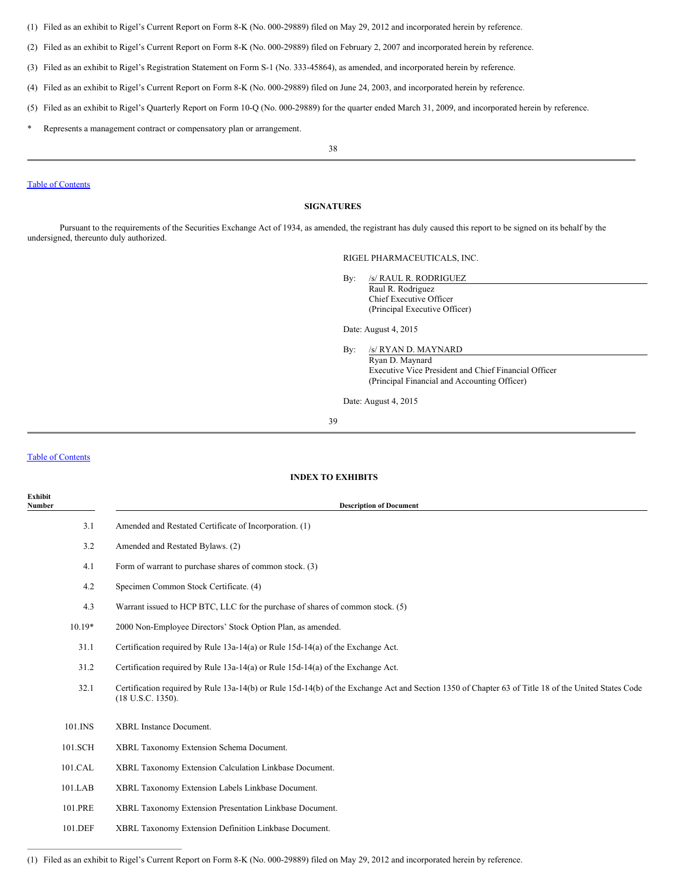(1) Filed as an exhibit to Rigel's Current Report on Form 8-K (No. 000-29889) filed on May 29, 2012 and incorporated herein by reference.

(2) Filed as an exhibit to Rigel's Current Report on Form 8-K (No. 000-29889) filed on February 2, 2007 and incorporated herein by reference.

(3) Filed as an exhibit to Rigel's Registration Statement on Form S-1 (No. 333-45864), as amended, and incorporated herein by reference.

(4) Filed as an exhibit to Rigel's Current Report on Form 8-K (No. 000-29889) filed on June 24, 2003, and incorporated herein by reference.

(5) Filed as an exhibit to Rigel's Quarterly Report on Form 10-Q (No. 000-29889) for the quarter ended March 31, 2009, and incorporated herein by reference.

Represents a management contract or compensatory plan or arrangement.

38

# Table of [Contents](#page-0-0)

# <span id="page-23-0"></span>**SIGNATURES**

Pursuant to the requirements of the Securities Exchange Act of 1934, as amended, the registrant has duly caused this report to be signed on its behalf by the undersigned, thereunto duly authorized.

RIGEL PHARMACEUTICALS, INC.

By: /s/ RAUL R. RODRIGUEZ Raul R. Rodriguez Chief Executive Officer (Principal Executive Officer)

Date: August 4, 2015

By: /s/ RYAN D. MAYNARD Ryan D. Maynard Executive Vice President and Chief Financial Officer (Principal Financial and Accounting Officer)

Date: August 4, 2015

39

Table of [Contents](#page-0-0)

# **INDEX TO EXHIBITS**

| Exhibit<br>Number | <b>Description of Document</b>                                                                                                                                           |  |
|-------------------|--------------------------------------------------------------------------------------------------------------------------------------------------------------------------|--|
| 3.1               | Amended and Restated Certificate of Incorporation. (1)                                                                                                                   |  |
| 3.2               | Amended and Restated Bylaws. (2)                                                                                                                                         |  |
| 4.1               | Form of warrant to purchase shares of common stock. (3)                                                                                                                  |  |
| 4.2               | Specimen Common Stock Certificate. (4)                                                                                                                                   |  |
| 4.3               | Warrant issued to HCP BTC, LLC for the purchase of shares of common stock. (5)                                                                                           |  |
| $10.19*$          | 2000 Non-Employee Directors' Stock Option Plan, as amended.                                                                                                              |  |
| 31.1              | Certification required by Rule 13a-14(a) or Rule 15d-14(a) of the Exchange Act.                                                                                          |  |
| 31.2              | Certification required by Rule 13a-14(a) or Rule 15d-14(a) of the Exchange Act.                                                                                          |  |
| 32.1              | Certification required by Rule 13a-14(b) or Rule 15d-14(b) of the Exchange Act and Section 1350 of Chapter 63 of Title 18 of the United States Code<br>(18 U.S.C. 1350). |  |
| 101.INS           | <b>XBRL</b> Instance Document.                                                                                                                                           |  |
| 101.SCH           | XBRL Taxonomy Extension Schema Document.                                                                                                                                 |  |
| 101.CAL           | XBRL Taxonomy Extension Calculation Linkbase Document.                                                                                                                   |  |
| 101.LAB           | XBRL Taxonomy Extension Labels Linkbase Document.                                                                                                                        |  |
| 101.PRE           | XBRL Taxonomy Extension Presentation Linkbase Document.                                                                                                                  |  |
| 101.DEF           | XBRL Taxonomy Extension Definition Linkbase Document.                                                                                                                    |  |

<sup>(1)</sup> Filed as an exhibit to Rigel's Current Report on Form 8-K (No. 000-29889) filed on May 29, 2012 and incorporated herein by reference.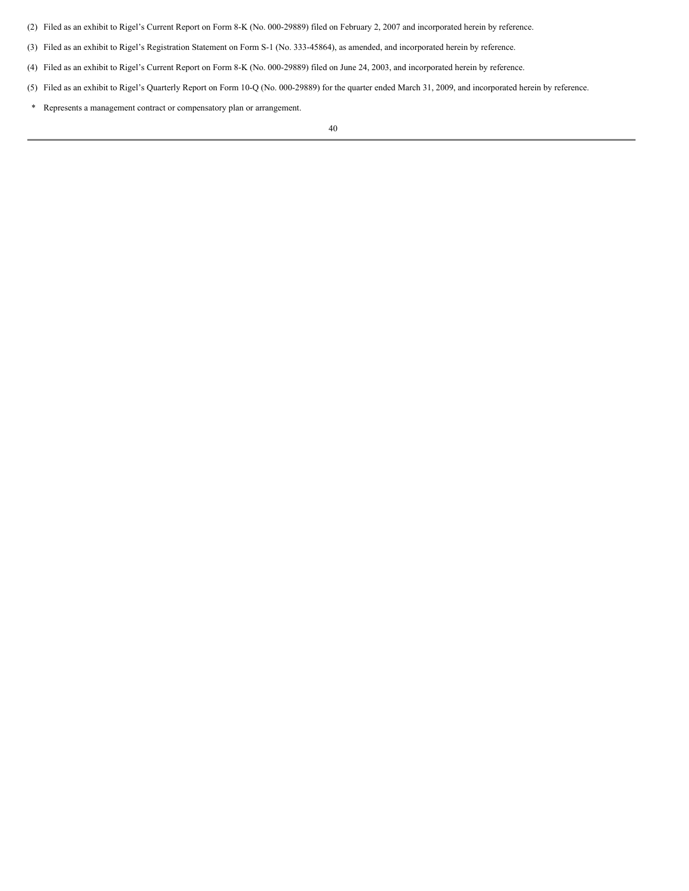- (2) Filed as an exhibit to Rigel's Current Report on Form 8-K (No. 000-29889) filed on February 2, 2007 and incorporated herein by reference.
- (3) Filed as an exhibit to Rigel's Registration Statement on Form S-1 (No. 333-45864), as amended, and incorporated herein by reference.
- (4) Filed as an exhibit to Rigel's Current Report on Form 8-K (No. 000-29889) filed on June 24, 2003, and incorporated herein by reference.
- (5) Filed as an exhibit to Rigel's Quarterly Report on Form 10-Q (No. 000-29889) for the quarter ended March 31, 2009, and incorporated herein by reference.
- \* Represents a management contract or compensatory plan or arrangement.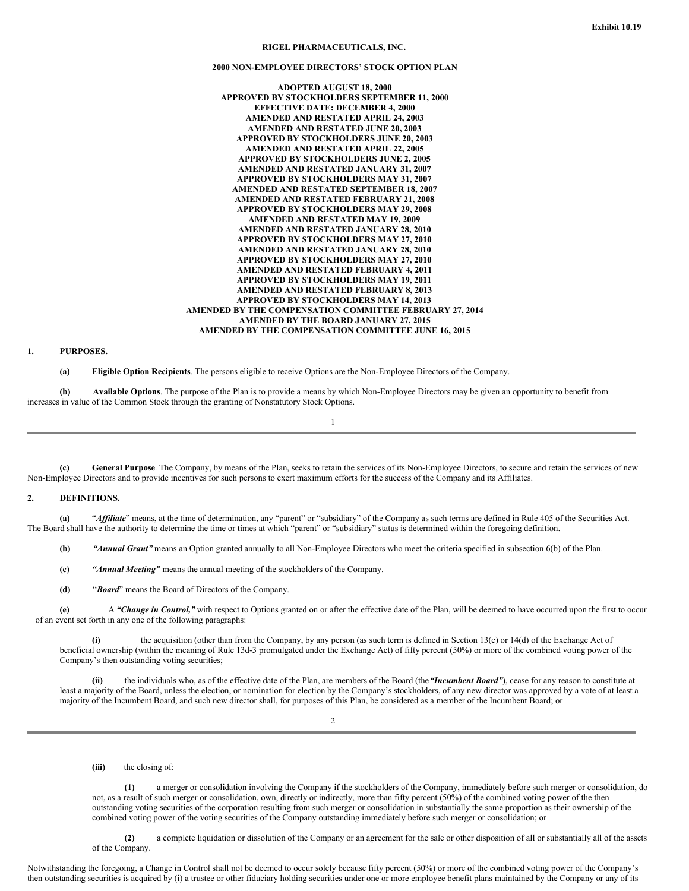# **RIGEL PHARMACEUTICALS, INC.**

#### **2000 NON-EMPLOYEE DIRECTORS' STOCK OPTION PLAN**



# **1. PURPOSES.**

**(a) Eligible Option Recipients**. The persons eligible to receive Options are the Non-Employee Directors of the Company.

**(b) Available Options**. The purpose of the Plan is to provide a means by which Non-Employee Directors may be given an opportunity to benefit from increases in value of the Common Stock through the granting of Nonstatutory Stock Options.

1

**(c) General Purpose**. The Company, by means of the Plan, seeks to retain the services of its Non-Employee Directors, to secure and retain the services of new Non-Employee Directors and to provide incentives for such persons to exert maximum efforts for the success of the Company and its Affiliates.

#### **2. DEFINITIONS.**

**(a)** "*Af iliate*" means, at the time of determination, any "parent" or "subsidiary" of the Company as such terms are defined in Rule 405 of the Securities Act. The Board shall have the authority to determine the time or times at which "parent" or "subsidiary" status is determined within the foregoing definition.

**(b)** *"Annual Grant"* means an Option granted annually to all Non-Employee Directors who meet the criteria specified in subsection 6(b) of the Plan.

- **(c)** *"Annual Meeting"* means the annual meeting of the stockholders of the Company.
- **(d)** "*Board*" means the Board of Directors of the Company.

**(e)** A *"Change in Control,"* with respect to Options granted on or after the effective date of the Plan, will be deemed to have occurred upon the first to occur of an event set forth in any one of the following paragraphs:

**(i)** the acquisition (other than from the Company, by any person (as such term is defined in Section 13(c) or 14(d) of the Exchange Act of beneficial ownership (within the meaning of Rule 13d-3 promulgated under the Exchange Act) of fifty percent (50%) or more of the combined voting power of the Company's then outstanding voting securities;

**(ii)** the individuals who, as of the effective date of the Plan, are members of the Board (the*"Incumbent Board"*), cease for any reason to constitute at least a majority of the Board, unless the election, or nomination for election by the Company's stockholders, of any new director was approved by a vote of at least a majority of the Incumbent Board, and such new director shall, for purposes of this Plan, be considered as a member of the Incumbent Board; or

**(iii)** the closing of:

**(1)** a merger or consolidation involving the Company if the stockholders of the Company, immediately before such merger or consolidation, do not, as a result of such merger or consolidation, own, directly or indirectly, more than fifty percent (50%) of the combined voting power of the then outstanding voting securities of the corporation resulting from such merger or consolidation in substantially the same proportion as their ownership of the combined voting power of the voting securities of the Company outstanding immediately before such merger or consolidation; or

**(2)** a complete liquidation or dissolution of the Company or an agreement for the sale or other disposition of all or substantially all of the assets of the Company.

Notwithstanding the foregoing, a Change in Control shall not be deemed to occur solely because fifty percent (50%) or more of the combined voting power of the Company's then outstanding securities is acquired by (i) a trustee or other fiduciary holding securities under one or more employee benefit plans maintained by the Company or any of its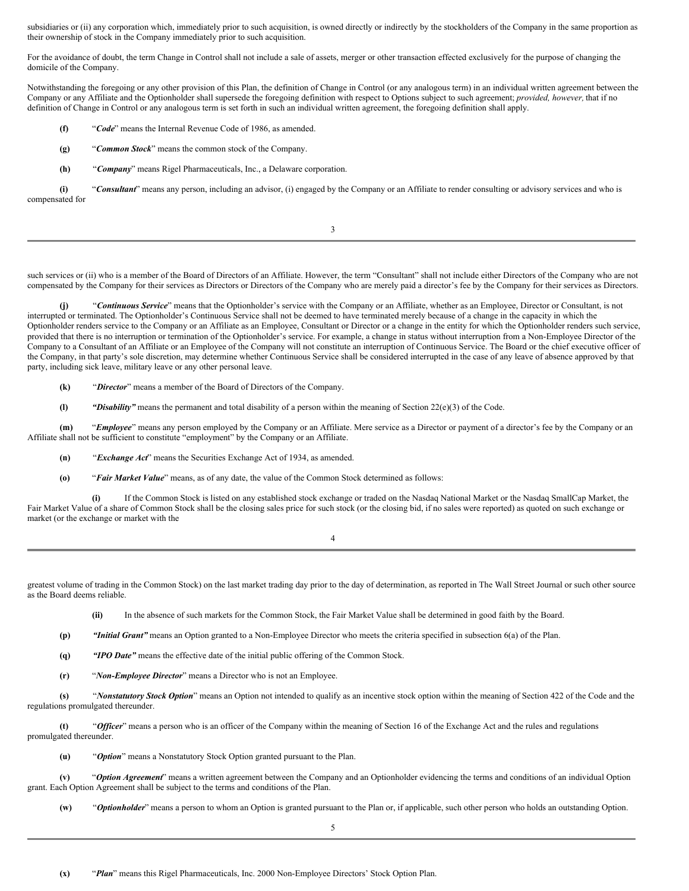subsidiaries or (ii) any corporation which, immediately prior to such acquisition, is owned directly or indirectly by the stockholders of the Company in the same proportion as their ownership of stock in the Company immediately prior to such acquisition.

For the avoidance of doubt, the term Change in Control shall not include a sale of assets, merger or other transaction effected exclusively for the purpose of changing the domicile of the Company.

Notwithstanding the foregoing or any other provision of this Plan, the definition of Change in Control (or any analogous term) in an individual written agreement between the Company or any Affiliate and the Optionholder shall supersede the foregoing definition with respect to Options subject to such agreement; *provided, however,* that if no definition of Change in Control or any analogous term is set forth in such an individual written agreement, the foregoing definition shall apply.

- **(f)** "*Code*" means the Internal Revenue Code of 1986, as amended.
- **(g)** "*Common Stock*" means the common stock of the Company.
- **(h)** "*Company*" means Rigel Pharmaceuticals, Inc., a Delaware corporation.

**(i)** "*Consultant*" means any person, including an advisor, (i) engaged by the Company or an Affiliate to render consulting or advisory services and who is compensated for

3

such services or (ii) who is a member of the Board of Directors of an Affiliate. However, the term "Consultant" shall not include either Directors of the Company who are not compensated by the Company for their services as Directors or Directors of the Company who are merely paid a director's fee by the Company for their services as Directors.

**(j)** "*Continuous Service*" means that the Optionholder's service with the Company or an Affiliate, whether as an Employee, Director or Consultant, is not interrupted or terminated. The Optionholder's Continuous Service shall not be deemed to have terminated merely because of a change in the capacity in which the Optionholder renders service to the Company or an Affiliate as an Employee, Consultant or Director or a change in the entity for which the Optionholder renders such service, provided that there is no interruption or termination of the Optionholder's service. For example, a change in status without interruption from a Non-Employee Director of the Company to a Consultant of an Affiliate or an Employee of the Company will not constitute an interruption of Continuous Service. The Board or the chief executive officer of the Company, in that party's sole discretion, may determine whether Continuous Service shall be considered interrupted in the case of any leave of absence approved by that party, including sick leave, military leave or any other personal leave.

- **(k)** "*Director*" means a member of the Board of Directors of the Company.
- **(l)** *"Disability"* means the permanent and total disability of a person within the meaning of Section 22(e)(3) of the Code.

**(m)** "*Employee*" means any person employed by the Company or an Affiliate. Mere service as a Director or payment of a director's fee by the Company or an Affiliate shall not be sufficient to constitute "employment" by the Company or an Affiliate.

- **(n)** "*Exchange Act*" means the Securities Exchange Act of 1934, as amended.
- **(o)** "*Fair Market Value*" means, as of any date, the value of the Common Stock determined as follows:

**(i)** If the Common Stock is listed on any established stock exchange or traded on the Nasdaq National Market or the Nasdaq SmallCap Market, the Fair Market Value of a share of Common Stock shall be the closing sales price for such stock (or the closing bid, if no sales were reported) as quoted on such exchange or market (or the exchange or market with the

4

greatest volume of trading in the Common Stock) on the last market trading day prior to the day of determination, as reported in The Wall Street Journal or such other source as the Board deems reliable.

**(ii)** In the absence of such markets for the Common Stock, the Fair Market Value shall be determined in good faith by the Board.

**(p)** *"Initial Grant"* means an Option granted to a Non-Employee Director who meets the criteria specified in subsection 6(a) of the Plan.

- **(q)** *"IPO Date"* means the effective date of the initial public offering of the Common Stock.
- **(r)** "*Non-Employee Director*" means a Director who is not an Employee.

**(s)** "*Nonstatutory Stock Option*" means an Option not intended to qualify as an incentive stock option within the meaning of Section 422 of the Code and the regulations promulgated thereunder.

**(t)** "*Of icer*" means a person who is an officer of the Company within the meaning of Section 16 of the Exchange Act and the rules and regulations promulgated thereunder.

**(u)** "*Option*" means a Nonstatutory Stock Option granted pursuant to the Plan.

**(v)** "*Option Agreement*" means a written agreement between the Company and an Optionholder evidencing the terms and conditions of an individual Option grant. Each Option Agreement shall be subject to the terms and conditions of the Plan.

**(w)** "*Optionholder*" means a person to whom an Option is granted pursuant to the Plan or, if applicable, such other person who holds an outstanding Option.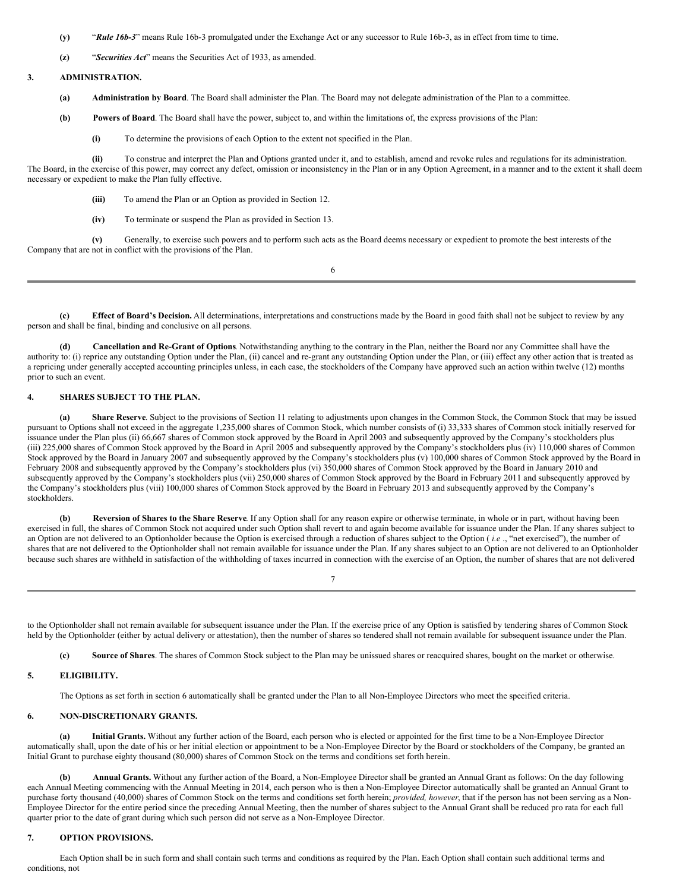- **(y)** "*Rule 16b-3*" means Rule 16b-3 promulgated under the Exchange Act or any successor to Rule 16b-3, as in effect from time to time.
- **(z)** "*Securities Act*" means the Securities Act of 1933, as amended.

#### **3. ADMINISTRATION.**

- **(a) Administration by Board**. The Board shall administer the Plan. The Board may not delegate administration of the Plan to a committee.
- **(b) Powers of Board**. The Board shall have the power, subject to, and within the limitations of, the express provisions of the Plan:
	- **(i)** To determine the provisions of each Option to the extent not specified in the Plan.

**(ii)** To construe and interpret the Plan and Options granted under it, and to establish, amend and revoke rules and regulations for its administration. The Board, in the exercise of this power, may correct any defect, omission or inconsistency in the Plan or in any Option Agreement, in a manner and to the extent it shall deem necessary or expedient to make the Plan fully effective.

- **(iii)** To amend the Plan or an Option as provided in Section 12.
- **(iv)** To terminate or suspend the Plan as provided in Section 13.

**(v)** Generally, to exercise such powers and to perform such acts as the Board deems necessary or expedient to promote the best interests of the Company that are not in conflict with the provisions of the Plan.

6

**(c) Effect of Board's Decision.** All determinations, interpretations and constructions made by the Board in good faith shall not be subject to review by any person and shall be final, binding and conclusive on all persons.

**(d) Cancellation and Re-Grant of Options**. Notwithstanding anything to the contrary in the Plan, neither the Board nor any Committee shall have the authority to: (i) reprice any outstanding Option under the Plan, (ii) cancel and re-grant any outstanding Option under the Plan, or (iii) effect any other action that is treated as a repricing under generally accepted accounting principles unless, in each case, the stockholders of the Company have approved such an action within twelve (12) months prior to such an event.

# **4. SHARES SUBJECT TO THE PLAN.**

**(a) Share Reserve**. Subject to the provisions of Section 11 relating to adjustments upon changes in the Common Stock, the Common Stock that may be issued pursuant to Options shall not exceed in the aggregate 1,235,000 shares of Common Stock, which number consists of (i) 33,333 shares of Common stock initially reserved for issuance under the Plan plus (ii) 66,667 shares of Common stock approved by the Board in April 2003 and subsequently approved by the Company's stockholders plus (iii) 225,000 shares of Common Stock approved by the Board in April 2005 and subsequently approved by the Company's stockholders plus (iv) 110,000 shares of Common Stock approved by the Board in January 2007 and subsequently approved by the Company's stockholders plus (v) 100,000 shares of Common Stock approved by the Board in February 2008 and subsequently approved by the Company's stockholders plus (vi) 350,000 shares of Common Stock approved by the Board in January 2010 and subsequently approved by the Company's stockholders plus (vii) 250,000 shares of Common Stock approved by the Board in February 2011 and subsequently approved by the Company's stockholders plus (viii) 100,000 shares of Common Stock approved by the Board in February 2013 and subsequently approved by the Company's stockholders.

**(b) Reversion of Shares to the Share Reserve**. If any Option shall for any reason expire or otherwise terminate, in whole or in part, without having been exercised in full, the shares of Common Stock not acquired under such Option shall revert to and again become available for issuance under the Plan. If any shares subject to an Option are not delivered to an Optionholder because the Option is exercised through a reduction of shares subject to the Option (*i.e.*, "net exercised"), the number of shares that are not delivered to the Optionholder shall not remain available for issuance under the Plan. If any shares subject to an Option are not delivered to an Optionholder because such shares are withheld in satisfaction of the withholding of taxes incurred in connection with the exercise of an Option, the number of shares that are not delivered

# 7

to the Optionholder shall not remain available for subsequent issuance under the Plan. If the exercise price of any Option is satisfied by tendering shares of Common Stock held by the Optionholder (either by actual delivery or attestation), then the number of shares so tendered shall not remain available for subsequent issuance under the Plan.

**(c) Source of Shares**. The shares of Common Stock subject to the Plan may be unissued shares or reacquired shares, bought on the market or otherwise.

# **5. ELIGIBILITY.**

The Options as set forth in section 6 automatically shall be granted under the Plan to all Non-Employee Directors who meet the specified criteria.

# **6. NON-DISCRETIONARY GRANTS.**

**(a) Initial Grants.** Without any further action of the Board, each person who is elected or appointed for the first time to be a Non-Employee Director automatically shall, upon the date of his or her initial election or appointment to be a Non-Employee Director by the Board or stockholders of the Company, be granted an Initial Grant to purchase eighty thousand (80,000) shares of Common Stock on the terms and conditions set forth herein.

**(b) Annual Grants.** Without any further action of the Board, a Non-Employee Director shall be granted an Annual Grant as follows: On the day following each Annual Meeting commencing with the Annual Meeting in 2014, each person who is then a Non-Employee Director automatically shall be granted an Annual Grant to purchase forty thousand (40,000) shares of Common Stock on the terms and conditions set forth herein; *provided, however*, that if the person has not been serving as a Non-Employee Director for the entire period since the preceding Annual Meeting, then the number of shares subject to the Annual Grant shall be reduced pro rata for each full quarter prior to the date of grant during which such person did not serve as a Non-Employee Director.

# **7. OPTION PROVISIONS.**

Each Option shall be in such form and shall contain such terms and conditions as required by the Plan. Each Option shall contain such additional terms and conditions, not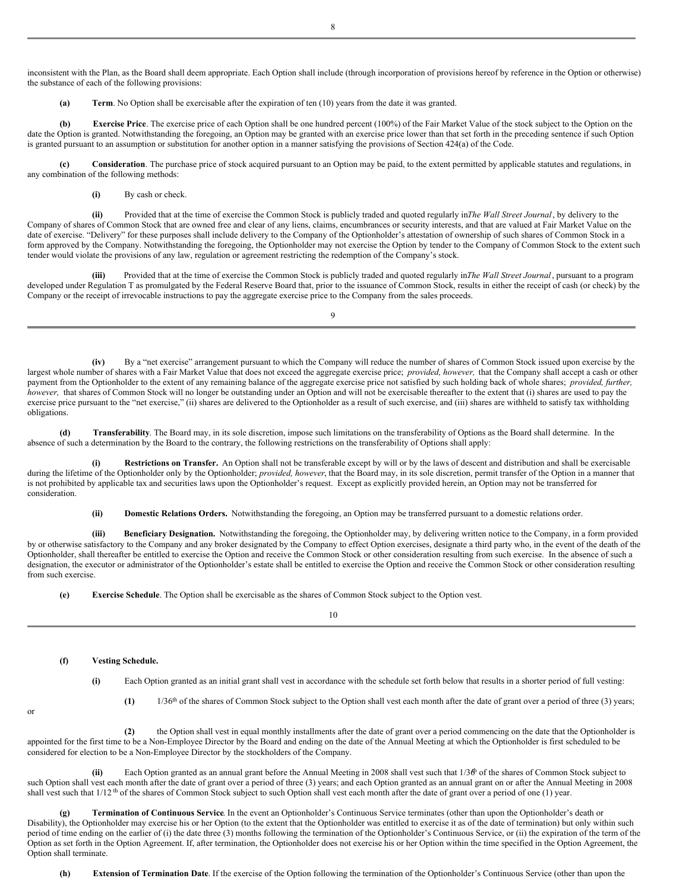inconsistent with the Plan, as the Board shall deem appropriate. Each Option shall include (through incorporation of provisions hereof by reference in the Option or otherwise) the substance of each of the following provisions:

**(a) Term**. No Option shall be exercisable after the expiration of ten (10) years from the date it was granted.

**(b) Exercise Price**. The exercise price of each Option shall be one hundred percent (100%) of the Fair Market Value of the stock subject to the Option on the date the Option is granted. Notwithstanding the foregoing, an Option may be granted with an exercise price lower than that set forth in the preceding sentence if such Option is granted pursuant to an assumption or substitution for another option in a manner satisfying the provisions of Section 424(a) of the Code.

**(c) Consideration**. The purchase price of stock acquired pursuant to an Option may be paid, to the extent permitted by applicable statutes and regulations, in any combination of the following methods:

**(i)** By cash or check.

**(ii)** Provided that at the time of exercise the Common Stock is publicly traded and quoted regularly in*The Wall Street Journal*, by delivery to the Company of shares of Common Stock that are owned free and clear of any liens, claims, encumbrances or security interests, and that are valued at Fair Market Value on the date of exercise. "Delivery" for these purposes shall include delivery to the Company of the Optionholder's attestation of ownership of such shares of Common Stock in a form approved by the Company. Notwithstanding the foregoing, the Optionholder may not exercise the Option by tender to the Company of Common Stock to the extent such tender would violate the provisions of any law, regulation or agreement restricting the redemption of the Company's stock.

**(iii)** Provided that at the time of exercise the Common Stock is publicly traded and quoted regularly in*The Wall Street Journal*, pursuant to a program developed under Regulation T as promulgated by the Federal Reserve Board that, prior to the issuance of Common Stock, results in either the receipt of cash (or check) by the Company or the receipt of irrevocable instructions to pay the aggregate exercise price to the Company from the sales proceeds.

9

**(iv)** By a "net exercise" arrangement pursuant to which the Company will reduce the number of shares of Common Stock issued upon exercise by the largest whole number of shares with a Fair Market Value that does not exceed the aggregate exercise price; *provided, however,* that the Company shall accept a cash or other payment from the Optionholder to the extent of any remaining balance of the aggregate exercise price not satisfied by such holding back of whole shares; *provided, further, however*, that shares of Common Stock will no longer be outstanding under an Option and will not be exercisable thereafter to the extent that (i) shares are used to pay the exercise price pursuant to the "net exercise," (ii) shares are delivered to the Optionholder as a result of such exercise, and (iii) shares are withheld to satisfy tax withholding obligations.

**(d) Transferability**. The Board may, in its sole discretion, impose such limitations on the transferability of Options as the Board shall determine. In the absence of such a determination by the Board to the contrary, the following restrictions on the transferability of Options shall apply:

**(i) Restrictions on Transfer.** An Option shall not be transferable except by will or by the laws of descent and distribution and shall be exercisable during the lifetime of the Optionholder only by the Optionholder; *provided, however*, that the Board may, in its sole discretion, permit transfer of the Option in a manner that is not prohibited by applicable tax and securities laws upon the Optionholder's request. Except as explicitly provided herein, an Option may not be transferred for consideration.

**(ii) Domestic Relations Orders.** Notwithstanding the foregoing, an Option may be transferred pursuant to a domestic relations order.

**(iii) Beneficiary Designation.** Notwithstanding the foregoing, the Optionholder may, by delivering written notice to the Company, in a form provided by or otherwise satisfactory to the Company and any broker designated by the Company to effect Option exercises, designate a third party who, in the event of the death of the Optionholder, shall thereafter be entitled to exercise the Option and receive the Common Stock or other consideration resulting from such exercise. In the absence of such a designation, the executor or administrator of the Optionholder's estate shall be entitled to exercise the Option and receive the Common Stock or other consideration resulting from such exercise.

**(e) Exercise Schedule**. The Option shall be exercisable as the shares of Common Stock subject to the Option vest.

#### **(f) Vesting Schedule.**

**(i)** Each Option granted as an initial grant shall vest in accordance with the schedule set forth below that results in a shorter period of full vesting:

 $(1)$  1/36<sup>th</sup> of the shares of Common Stock subject to the Option shall vest each month after the date of grant over a period of three (3) years;

or

**(2)** the Option shall vest in equal monthly installments after the date of grant over a period commencing on the date that the Optionholder is appointed for the first time to be a Non-Employee Director by the Board and ending on the date of the Annual Meeting at which the Optionholder is first scheduled to be considered for election to be a Non-Employee Director by the stockholders of the Company.

(ii) Each Option granted as an annual grant before the Annual Meeting in 2008 shall vest such that  $1/36$ <sup>h</sup> of the shares of Common Stock subject to such Option shall vest each month after the date of grant over a period of three (3) years; and each Option granted as an annual grant on or after the Annual Meeting in 2008 shall vest such that  $1/12$ <sup>th</sup> of the shares of Common Stock subject to such Option shall vest each month after the date of grant over a period of one (1) year.

**(g) Termination of Continuous Service**. In the event an Optionholder's Continuous Service terminates (other than upon the Optionholder's death or Disability), the Optionholder may exercise his or her Option (to the extent that the Optionholder was entitled to exercise it as of the date of termination) but only within such period of time ending on the earlier of (i) the date three (3) months following the termination of the Optionholder's Continuous Service, or (ii) the expiration of the term of the Option as set forth in the Option Agreement. If, after termination, the Optionholder does not exercise his or her Option within the time specified in the Option Agreement, the Option shall terminate.

**(h) Extension of Termination Date**. If the exercise of the Option following the termination of the Optionholder's Continuous Service (other than upon the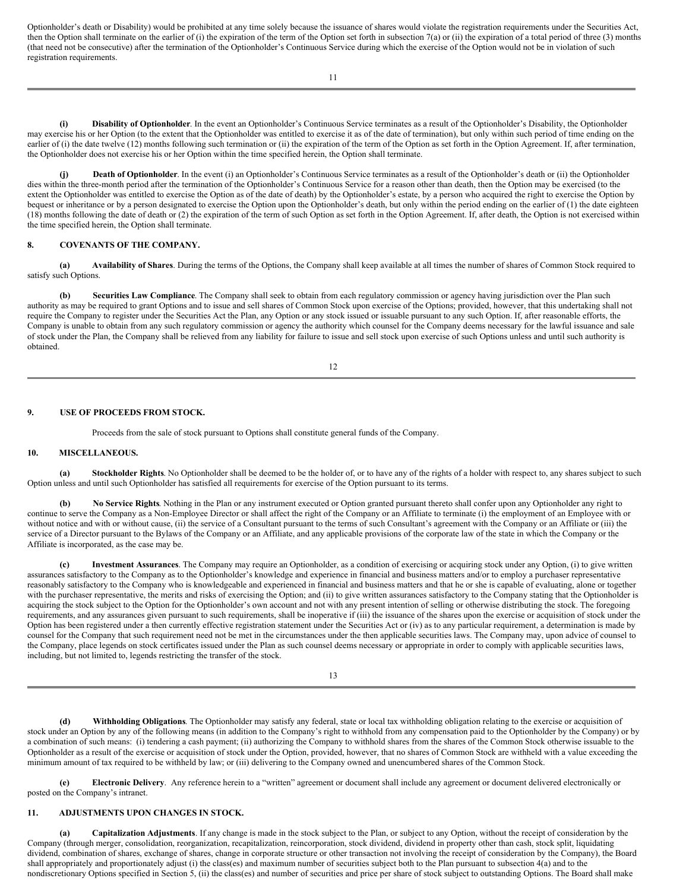Optionholder's death or Disability) would be prohibited at any time solely because the issuance of shares would violate the registration requirements under the Securities Act, then the Option shall terminate on the earlier of (i) the expiration of the term of the Option set forth in subsection 7(a) or (ii) the expiration of a total period of three (3) months (that need not be consecutive) after the termination of the Optionholder's Continuous Service during which the exercise of the Option would not be in violation of such registration requirements.

11

**(i) Disability of Optionholder**. In the event an Optionholder's Continuous Service terminates as a result of the Optionholder's Disability, the Optionholder may exercise his or her Option (to the extent that the Optionholder was entitled to exercise it as of the date of termination), but only within such period of time ending on the earlier of (i) the date twelve (12) months following such termination or (ii) the expiration of the term of the Option as set forth in the Option Agreement. If, after termination, the Optionholder does not exercise his or her Option within the time specified herein, the Option shall terminate.

**(j) Death of Optionholder**. In the event (i) an Optionholder's Continuous Service terminates as a result of the Optionholder's death or (ii) the Optionholder dies within the three-month period after the termination of the Optionholder's Continuous Service for a reason other than death, then the Option may be exercised (to the extent the Optionholder was entitled to exercise the Option as of the date of death) by the Optionholder's estate, by a person who acquired the right to exercise the Option by bequest or inheritance or by a person designated to exercise the Option upon the Optionholder's death, but only within the period ending on the earlier of (1) the date eighteen (18) months following the date of death or (2) the expiration of the term of such Option as set forth in the Option Agreement. If, after death, the Option is not exercised within the time specified herein, the Option shall terminate.

# **8. COVENANTS OF THE COMPANY.**

**(a) Availability of Shares**. During the terms of the Options, the Company shall keep available at all times the number of shares of Common Stock required to satisfy such Options.

**(b) Securities Law Compliance**. The Company shall seek to obtain from each regulatory commission or agency having jurisdiction over the Plan such authority as may be required to grant Options and to issue and sell shares of Common Stock upon exercise of the Options; provided, however, that this undertaking shall not require the Company to register under the Securities Act the Plan, any Option or any stock issued or issuable pursuant to any such Option. If, after reasonable efforts, the Company is unable to obtain from any such regulatory commission or agency the authority which counsel for the Company deems necessary for the lawful issuance and sale of stock under the Plan, the Company shall be relieved from any liability for failure to issue and sell stock upon exercise of such Options unless and until such authority is obtained.

| ×<br>ł<br>×,<br>I |
|-------------------|
|                   |

# **9. USE OF PROCEEDS FROM STOCK.**

Proceeds from the sale of stock pursuant to Options shall constitute general funds of the Company.

# **10. MISCELLANEOUS.**

**(a) Stockholder Rights**. No Optionholder shall be deemed to be the holder of, or to have any of the rights of a holder with respect to, any shares subject to such Option unless and until such Optionholder has satisfied all requirements for exercise of the Option pursuant to its terms.

**(b) No Service Rights**. Nothing in the Plan or any instrument executed or Option granted pursuant thereto shall confer upon any Optionholder any right to continue to serve the Company as a Non-Employee Director or shall affect the right of the Company or an Affiliate to terminate (i) the employment of an Employee with or without notice and with or without cause, (ii) the service of a Consultant pursuant to the terms of such Consultant's agreement with the Company or an Affiliate or (iii) the service of a Director pursuant to the Bylaws of the Company or an Affiliate, and any applicable provisions of the corporate law of the state in which the Company or the Affiliate is incorporated, as the case may be.

**(c) Investment Assurances**. The Company may require an Optionholder, as a condition of exercising or acquiring stock under any Option, (i) to give written assurances satisfactory to the Company as to the Optionholder's knowledge and experience in financial and business matters and/or to employ a purchaser representative reasonably satisfactory to the Company who is knowledgeable and experienced in financial and business matters and that he or she is capable of evaluating, alone or together with the purchaser representative, the merits and risks of exercising the Option; and (ii) to give written assurances satisfactory to the Company stating that the Optionholder is acquiring the stock subject to the Option for the Optionholder's own account and not with any present intention of selling or otherwise distributing the stock. The foregoing requirements, and any assurances given pursuant to such requirements, shall be inoperative if (iii) the issuance of the shares upon the exercise or acquisition of stock under the Option has been registered under a then currently effective registration statement under the Securities Act or (iv) as to any particular requirement, a determination is made by counsel for the Company that such requirement need not be met in the circumstances under the then applicable securities laws. The Company may, upon advice of counsel to the Company, place legends on stock certificates issued under the Plan as such counsel deems necessary or appropriate in order to comply with applicable securities laws, including, but not limited to, legends restricting the transfer of the stock.

13

**(d) Withholding Obligations**. The Optionholder may satisfy any federal, state or local tax withholding obligation relating to the exercise or acquisition of stock under an Option by any of the following means (in addition to the Company's right to withhold from any compensation paid to the Optionholder by the Company) or by a combination of such means: (i) tendering a cash payment; (ii) authorizing the Company to withhold shares from the shares of the Common Stock otherwise issuable to the Optionholder as a result of the exercise or acquisition of stock under the Option, provided, however, that no shares of Common Stock are withheld with a value exceeding the minimum amount of tax required to be withheld by law; or (iii) delivering to the Company owned and unencumbered shares of the Common Stock.

**(e) Electronic Delivery**. Any reference herein to a "written" agreement or document shall include any agreement or document delivered electronically or posted on the Company's intranet.

# **11. ADJUSTMENTS UPON CHANGES IN STOCK.**

**(a) Capitalization Adjustments**. If any change is made in the stock subject to the Plan, or subject to any Option, without the receipt of consideration by the Company (through merger, consolidation, reorganization, recapitalization, reincorporation, stock dividend, dividend in property other than cash, stock split, liquidating dividend, combination of shares, exchange of shares, change in corporate structure or other transaction not involving the receipt of consideration by the Company), the Board shall appropriately and proportionately adjust (i) the class(es) and maximum number of securities subject both to the Plan pursuant to subsection 4(a) and to the nondiscretionary Options specified in Section 5, (ii) the class(es) and number of securities and price per share of stock subject to outstanding Options. The Board shall make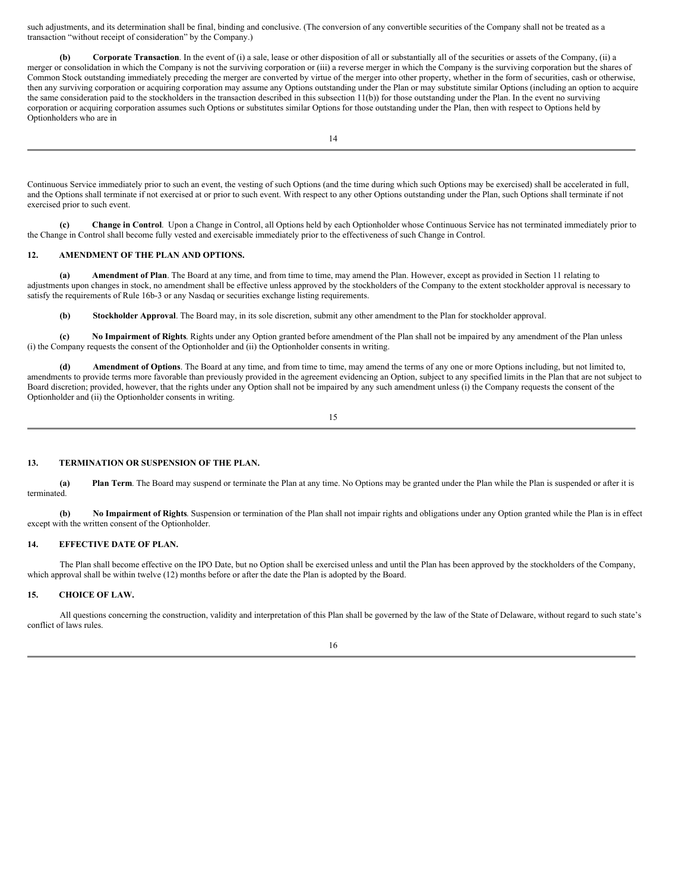such adjustments, and its determination shall be final, binding and conclusive. (The conversion of any convertible securities of the Company shall not be treated as a transaction "without receipt of consideration" by the Company.)

**(b) Corporate Transaction**. In the event of (i) a sale, lease or other disposition of all or substantially all of the securities or assets of the Company, (ii) a merger or consolidation in which the Company is not the surviving corporation or (iii) a reverse merger in which the Company is the surviving corporation but the shares of Common Stock outstanding immediately preceding the merger are converted by virtue of the merger into other property, whether in the form of securities, cash or otherwise, then any surviving corporation or acquiring corporation may assume any Options outstanding under the Plan or may substitute similar Options (including an option to acquire the same consideration paid to the stockholders in the transaction described in this subsection 11(b)) for those outstanding under the Plan. In the event no surviving corporation or acquiring corporation assumes such Options or substitutes similar Options for those outstanding under the Plan, then with respect to Options held by Optionholders who are in

Continuous Service immediately prior to such an event, the vesting of such Options (and the time during which such Options may be exercised) shall be accelerated in full, and the Options shall terminate if not exercised at or prior to such event. With respect to any other Options outstanding under the Plan, such Options shall terminate if not exercised prior to such event.

**(c) Change in Control**. Upon a Change in Control, all Options held by each Optionholder whose Continuous Service has not terminated immediately prior to the Change in Control shall become fully vested and exercisable immediately prior to the effectiveness of such Change in Control.

# **12. AMENDMENT OF THE PLAN AND OPTIONS.**

**(a) Amendment of Plan**. The Board at any time, and from time to time, may amend the Plan. However, except as provided in Section 11 relating to adjustments upon changes in stock, no amendment shall be effective unless approved by the stockholders of the Company to the extent stockholder approval is necessary to satisfy the requirements of Rule 16b-3 or any Nasdaq or securities exchange listing requirements.

**(b) Stockholder Approval**. The Board may, in its sole discretion, submit any other amendment to the Plan for stockholder approval.

**(c) No Impairment of Rights**. Rights under any Option granted before amendment of the Plan shall not be impaired by any amendment of the Plan unless (i) the Company requests the consent of the Optionholder and (ii) the Optionholder consents in writing.

**(d) Amendment of Options**. The Board at any time, and from time to time, may amend the terms of any one or more Options including, but not limited to, amendments to provide terms more favorable than previously provided in the agreement evidencing an Option, subject to any specified limits in the Plan that are not subject to Board discretion; provided, however, that the rights under any Option shall not be impaired by any such amendment unless (i) the Company requests the consent of the Optionholder and (ii) the Optionholder consents in writing.

15

## **13. TERMINATION OR SUSPENSION OF THE PLAN.**

**(a) Plan Term**. The Board may suspend or terminate the Plan at any time. No Options may be granted under the Plan while the Plan is suspended or after it is terminated.

**(b) No Impairment of Rights**. Suspension or termination of the Plan shall not impair rights and obligations under any Option granted while the Plan is in effect except with the written consent of the Optionholder.

# **14. EFFECTIVE DATE OF PLAN.**

The Plan shall become effective on the IPO Date, but no Option shall be exercised unless and until the Plan has been approved by the stockholders of the Company, which approval shall be within twelve (12) months before or after the date the Plan is adopted by the Board.

# **15. CHOICE OF LAW.**

All questions concerning the construction, validity and interpretation of this Plan shall be governed by the law of the State of Delaware, without regard to such state's conflict of laws rules.

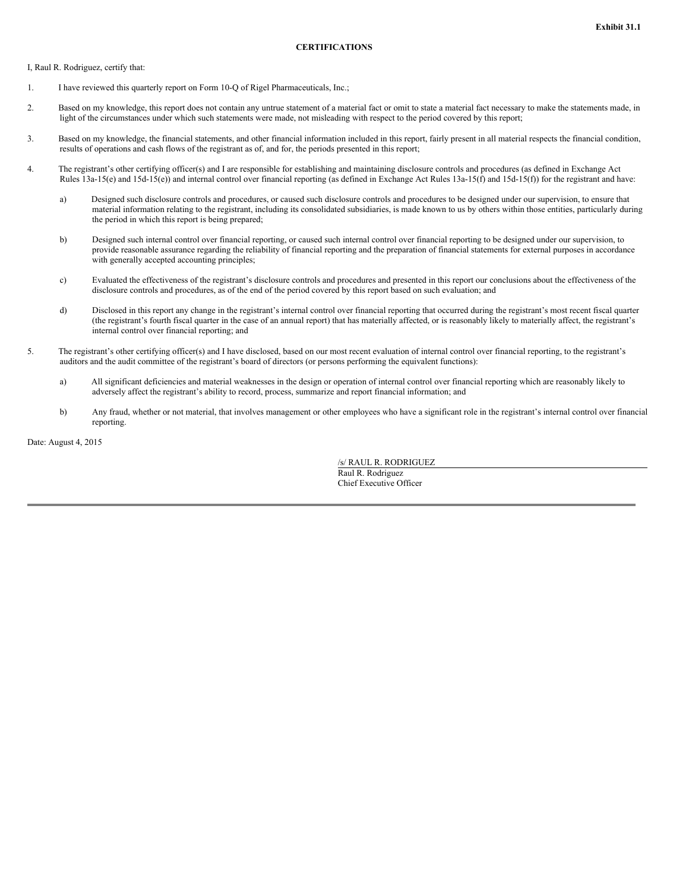I, Raul R. Rodriguez, certify that:

- 1. I have reviewed this quarterly report on Form 10-Q of Rigel Pharmaceuticals, Inc.;
- 2. Based on my knowledge, this report does not contain any untrue statement of a material fact or omit to state a material fact necessary to make the statements made, in light of the circumstances under which such statements were made, not misleading with respect to the period covered by this report;
- 3. Based on my knowledge, the financial statements, and other financial information included in this report, fairly present in all material respects the financial condition, results of operations and cash flows of the registrant as of, and for, the periods presented in this report;
- 4. The registrant's other certifying officer(s) and I are responsible for establishing and maintaining disclosure controls and procedures (as defined in Exchange Act Rules 13a-15(e) and 15d-15(e)) and internal control over financial reporting (as defined in Exchange Act Rules 13a-15(f) and 15d-15(f)) for the registrant and have:
	- a) Designed such disclosure controls and procedures, or caused such disclosure controls and procedures to be designed under our supervision, to ensure that material information relating to the registrant, including its consolidated subsidiaries, is made known to us by others within those entities, particularly during the period in which this report is being prepared;
	- b) Designed such internal control over financial reporting, or caused such internal control over financial reporting to be designed under our supervision, to provide reasonable assurance regarding the reliability of financial reporting and the preparation of financial statements for external purposes in accordance with generally accepted accounting principles;
	- c) Evaluated the effectiveness of the registrant's disclosure controls and procedures and presented in this report our conclusions about the effectiveness of the disclosure controls and procedures, as of the end of the period covered by this report based on such evaluation; and
	- d) Disclosed in this report any change in the registrant's internal control over financial reporting that occurred during the registrant's most recent fiscal quarter (the registrant's fourth fiscal quarter in the case of an annual report) that has materially affected, or is reasonably likely to materially affect, the registrant's internal control over financial reporting; and
- 5. The registrant's other certifying officer(s) and I have disclosed, based on our most recent evaluation of internal control over financial reporting, to the registrant's auditors and the audit committee of the registrant's board of directors (or persons performing the equivalent functions):
	- a) All significant deficiencies and material weaknesses in the design or operation of internal control over financial reporting which are reasonably likely to adversely affect the registrant's ability to record, process, summarize and report financial information; and
	- b) Any fraud, whether or not material, that involves management or other employees who have a significant role in the registrant's internal control over financial reporting.

Date: August 4, 2015

/s/ RAUL R. RODRIGUEZ Raul R. Rodriguez Chief Executive Officer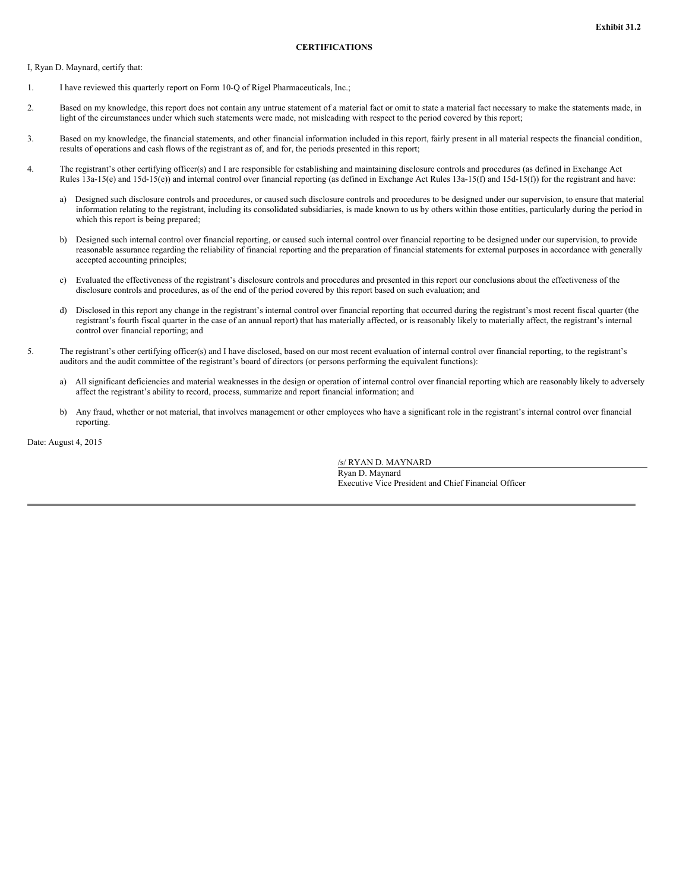I, Ryan D. Maynard, certify that:

- 1. I have reviewed this quarterly report on Form 10-Q of Rigel Pharmaceuticals, Inc.;
- 2. Based on my knowledge, this report does not contain any untrue statement of a material fact or omit to state a material fact necessary to make the statements made, in light of the circumstances under which such statements were made, not misleading with respect to the period covered by this report;
- 3. Based on my knowledge, the financial statements, and other financial information included in this report, fairly present in all material respects the financial condition, results of operations and cash flows of the registrant as of, and for, the periods presented in this report;
- 4. The registrant's other certifying officer(s) and I are responsible for establishing and maintaining disclosure controls and procedures (as defined in Exchange Act Rules 13a-15(e) and 15d-15(e)) and internal control over financial reporting (as defined in Exchange Act Rules 13a-15(f) and 15d-15(f)) for the registrant and have:
	- a) Designed such disclosure controls and procedures, or caused such disclosure controls and procedures to be designed under our supervision, to ensure that material information relating to the registrant, including its consolidated subsidiaries, is made known to us by others within those entities, particularly during the period in which this report is being prepared;
	- b) Designed such internal control over financial reporting, or caused such internal control over financial reporting to be designed under our supervision, to provide reasonable assurance regarding the reliability of financial reporting and the preparation of financial statements for external purposes in accordance with generally accepted accounting principles;
	- c) Evaluated the effectiveness of the registrant's disclosure controls and procedures and presented in this report our conclusions about the effectiveness of the disclosure controls and procedures, as of the end of the period covered by this report based on such evaluation; and
	- d) Disclosed in this report any change in the registrant's internal control over financial reporting that occurred during the registrant's most recent fiscal quarter (the registrant's fourth fiscal quarter in the case of an annual report) that has materially affected, or is reasonably likely to materially affect, the registrant's internal control over financial reporting; and
- 5. The registrant's other certifying officer(s) and I have disclosed, based on our most recent evaluation of internal control over financial reporting, to the registrant's auditors and the audit committee of the registrant's board of directors (or persons performing the equivalent functions):
	- a) All significant deficiencies and material weaknesses in the design or operation of internal control over financial reporting which are reasonably likely to adversely affect the registrant's ability to record, process, summarize and report financial information; and
	- b) Any fraud, whether or not material, that involves management or other employees who have a significant role in the registrant's internal control over financial reporting.

Date: August 4, 2015

/s/ RYAN D. MAYNARD Ryan D. Maynard Executive Vice President and Chief Financial Officer